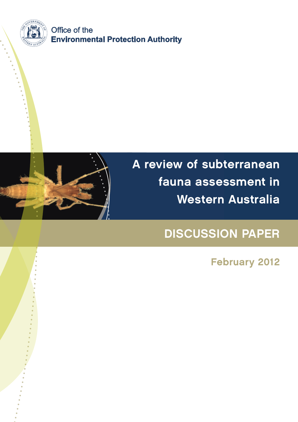



# A review of subterranean fauna assessment in Western Australia

## DISCUSSION PAPER

February 2012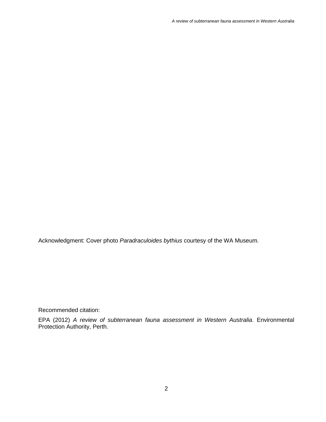Acknowledgment: Cover photo *Paradraculoides bythius* courtesy of the WA Museum*.*

Recommended citation:

EPA (2012) *A review of subterranean fauna assessment in Western Australia*. Environmental Protection Authority, Perth.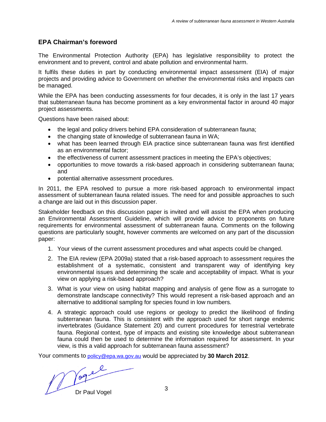#### **EPA Chairman's foreword**

The Environmental Protection Authority (EPA) has legislative responsibility to protect the environment and to prevent, control and abate pollution and environmental harm.

It fulfils these duties in part by conducting environmental impact assessment (EIA) of major projects and providing advice to Government on whether the environmental risks and impacts can be managed.

While the EPA has been conducting assessments for four decades, it is only in the last 17 years that subterranean fauna has become prominent as a key environmental factor in around 40 major project assessments.

Questions have been raised about:

- the legal and policy drivers behind EPA consideration of subterranean fauna;
- the changing state of knowledge of subterranean fauna in WA;
- what has been learned through EIA practice since subterranean fauna was first identified as an environmental factor;
- the effectiveness of current assessment practices in meeting the EPA's objectives;
- opportunities to move towards a risk-based approach in considering subterranean fauna; and
- potential alternative assessment procedures.

In 2011, the EPA resolved to pursue a more risk-based approach to environmental impact assessment of subterranean fauna related issues. The need for and possible approaches to such a change are laid out in this discussion paper.

Stakeholder feedback on this discussion paper is invited and will assist the EPA when producing an Environmental Assessment Guideline, which will provide advice to proponents on future requirements for environmental assessment of subterranean fauna. Comments on the following questions are particularly sought, however comments are welcomed on any part of the discussion paper:

- 1. Your views of the current assessment procedures and what aspects could be changed.
- 2. The EIA review (EPA 2009a) stated that a risk-based approach to assessment requires the establishment of a systematic, consistent and transparent way of identifying key environmental issues and determining the scale and acceptability of impact. What is your view on applying a risk-based approach?
- 3. What is your view on using habitat mapping and analysis of gene flow as a surrogate to demonstrate landscape connectivity? This would represent a risk-based approach and an alternative to additional sampling for species found in low numbers.
- 4. A strategic approach could use regions or geology to predict the likelihood of finding subterranean fauna. This is consistent with the approach used for short range endemic invertebrates (Guidance Statement 20) and current procedures for terrestrial vertebrate fauna. Regional context, type of impacts and existing site knowledge about subterranean fauna could then be used to determine the information required for assessment. In your view, is this a valid approach for subterranean fauna assessment?

Your comments to [policy@epa.wa.gov.au](mailto:policy@epa.wa.gov.au) would be appreciated by **30 March 2012**.

Dr Paul Vogel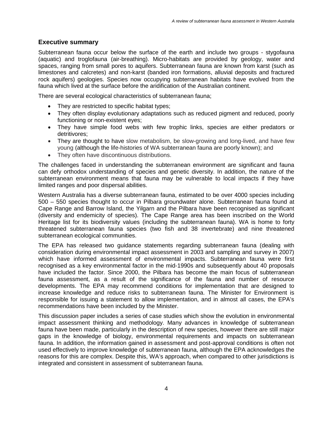#### **Executive summary**

Subterranean fauna occur below the surface of the earth and include two groups - stygofauna (aquatic) and troglofauna (air-breathing). Micro-habitats are provided by geology, water and spaces, ranging from small pores to aquifers. Subterranean fauna are known from karst (such as limestones and calcretes) and non-karst (banded iron formations, alluvial deposits and fractured rock aquifers) geologies. Species now occupying subterranean habitats have evolved from the fauna which lived at the surface before the aridification of the Australian continent.

There are several ecological characteristics of subterranean fauna;

- They are restricted to specific habitat types;
- They often display evolutionary adaptations such as reduced pigment and reduced, poorly functioning or non-existent eyes;
- They have simple food webs with few trophic links, species are either predators or detritivores;
- They are thought to have slow metabolism, be slow-growing and long-lived, and have few young (although the life-histories of WA subterranean fauna are poorly known); and
- They often have discontinuous distributions.

The challenges faced in understanding the subterranean environment are significant and fauna can defy orthodox understanding of species and genetic diversity. In addition, the nature of the subterranean environment means that fauna may be vulnerable to local impacts if they have limited ranges and poor dispersal abilities.

Western Australia has a diverse subterranean fauna, estimated to be over 4000 species including 500 – 550 species thought to occur in Pilbara groundwater alone. Subterranean fauna found at Cape Range and Barrow Island, the Yilgarn and the Pilbara have been recognised as significant (diversity and endemicity of species). The Cape Range area has been inscribed on the World Heritage list for its biodiversity values (including the subterranean fauna). WA is home to forty threatened subterranean fauna species (two fish and 38 invertebrate) and nine threatened subterranean ecological communities.

The EPA has released two guidance statements regarding subterranean fauna (dealing with consideration during environmental impact assessment in 2003 and sampling and survey in 2007) which have informed assessment of environmental impacts. Subterranean fauna were first recognised as a key environmental factor in the mid-1990s and subsequently about 40 proposals have included the factor. Since 2000, the Pilbara has become the main focus of subterranean fauna assessment, as a result of the significance of the fauna and number of resource developments. The EPA may recommend conditions for implementation that are designed to increase knowledge and reduce risks to subterranean fauna. The Minister for Environment is responsible for issuing a statement to allow implementation, and in almost all cases, the EPA's recommendations have been included by the Minister.

This discussion paper includes a series of case studies which show the evolution in environmental impact assessment thinking and methodology. Many advances in knowledge of subterranean fauna have been made, particularly in the description of new species, however there are still major gaps in the knowledge of biology, environmental requirements and impacts on subterranean fauna. In addition, the information gained in assessment and post-approval conditions is often not used effectively to improve knowledge of subterranean fauna, although the EPA acknowledges the reasons for this are complex. Despite this, WA's approach, when compared to other jurisdictions is integrated and consistent in assessment of subterranean fauna.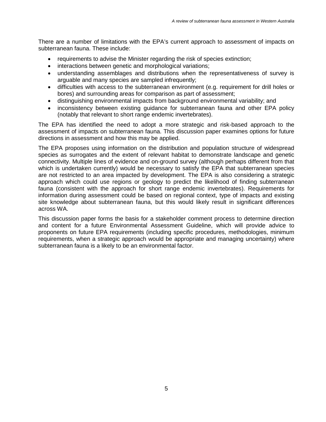There are a number of limitations with the EPA's current approach to assessment of impacts on subterranean fauna. These include:

- requirements to advise the Minister regarding the risk of species extinction;
- interactions between genetic and morphological variations;
- understanding assemblages and distributions when the representativeness of survey is arguable and many species are sampled infrequently;
- difficulties with access to the subterranean environment (e.g. requirement for drill holes or bores) and surrounding areas for comparison as part of assessment;
- distinguishing environmental impacts from background environmental variability; and
- inconsistency between existing guidance for subterranean fauna and other EPA policy (notably that relevant to short range endemic invertebrates).

The EPA has identified the need to adopt a more strategic and risk-based approach to the assessment of impacts on subterranean fauna. This discussion paper examines options for future directions in assessment and how this may be applied.

The EPA proposes using information on the distribution and population structure of widespread species as surrogates and the extent of relevant habitat to demonstrate landscape and genetic connectivity. Multiple lines of evidence and on-ground survey (although perhaps different from that which is undertaken currently) would be necessary to satisfy the EPA that subterranean species are not restricted to an area impacted by development. The EPA is also considering a strategic approach which could use regions or geology to predict the likelihood of finding subterranean fauna (consistent with the approach for short range endemic invertebrates). Requirements for information during assessment could be based on regional context, type of impacts and existing site knowledge about subterranean fauna, but this would likely result in significant differences across WA.

This discussion paper forms the basis for a stakeholder comment process to determine direction and content for a future Environmental Assessment Guideline, which will provide advice to proponents on future EPA requirements (including specific procedures, methodologies, minimum requirements, when a strategic approach would be appropriate and managing uncertainty) where subterranean fauna is a likely to be an environmental factor.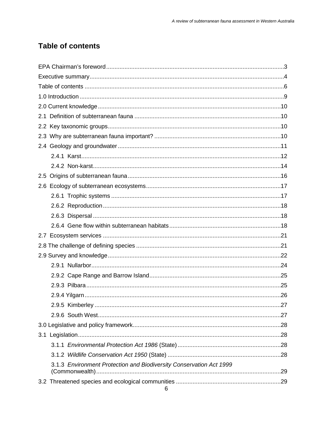### **Table of contents**

| 3.1.3 Environment Protection and Biodiversity Conservation Act 1999 |  |
|---------------------------------------------------------------------|--|
|                                                                     |  |
|                                                                     |  |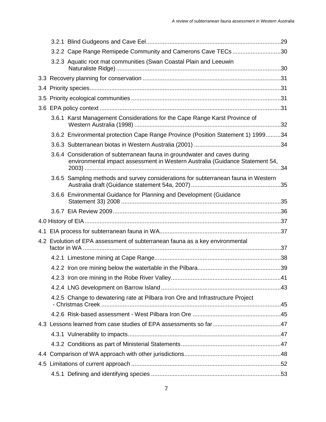|  | 3.2.2 Cape Range Remipede Community and Camerons Cave TECs 30                                                                                             |  |
|--|-----------------------------------------------------------------------------------------------------------------------------------------------------------|--|
|  | 3.2.3 Aquatic root mat communities (Swan Coastal Plain and Leeuwin                                                                                        |  |
|  |                                                                                                                                                           |  |
|  |                                                                                                                                                           |  |
|  |                                                                                                                                                           |  |
|  |                                                                                                                                                           |  |
|  | 3.6.1 Karst Management Considerations for the Cape Range Karst Province of                                                                                |  |
|  | 3.6.2 Environmental protection Cape Range Province (Position Statement 1) 199934                                                                          |  |
|  |                                                                                                                                                           |  |
|  | 3.6.4 Consideration of subterranean fauna in groundwater and caves during<br>environmental impact assessment in Western Australia (Guidance Statement 54, |  |
|  | 3.6.5 Sampling methods and survey considerations for subterranean fauna in Western                                                                        |  |
|  | 3.6.6 Environmental Guidance for Planning and Development (Guidance                                                                                       |  |
|  |                                                                                                                                                           |  |
|  |                                                                                                                                                           |  |
|  |                                                                                                                                                           |  |
|  | 4.2 Evolution of EPA assessment of subterranean fauna as a key environmental                                                                              |  |
|  |                                                                                                                                                           |  |
|  |                                                                                                                                                           |  |
|  |                                                                                                                                                           |  |
|  |                                                                                                                                                           |  |
|  | 4.2.5 Change to dewatering rate at Pilbara Iron Ore and Infrastructure Project                                                                            |  |
|  |                                                                                                                                                           |  |
|  |                                                                                                                                                           |  |
|  |                                                                                                                                                           |  |
|  |                                                                                                                                                           |  |
|  |                                                                                                                                                           |  |
|  |                                                                                                                                                           |  |
|  |                                                                                                                                                           |  |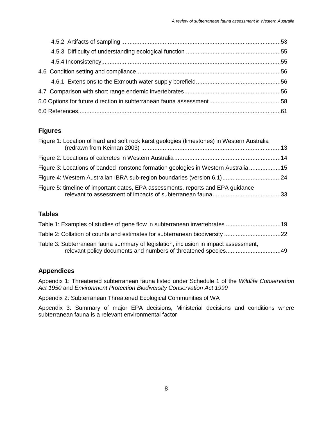#### **Figures**

| Figure 1: Location of hard and soft rock karst geologies (limestones) in Western Australia |  |
|--------------------------------------------------------------------------------------------|--|
|                                                                                            |  |
| Figure 3: Locations of banded ironstone formation geologies in Western Australia 15        |  |
|                                                                                            |  |
| Figure 5: timeline of important dates, EPA assessments, reports and EPA guidance           |  |

#### **Tables**

| Table 3: Subterranean fauna summary of legislation, inclusion in impact assessment, |  |
|-------------------------------------------------------------------------------------|--|

#### **Appendices**

Appendix 1: Threatened subterranean fauna listed under Schedule 1 of the *Wildlife Conservation Act 1950* and *Environment Protection Biodiversity Conservation Act 1999*

Appendix 2: Subterranean Threatened Ecological Communities of WA

Appendix 3: Summary of major EPA decisions, Ministerial decisions and conditions where subterranean fauna is a relevant environmental factor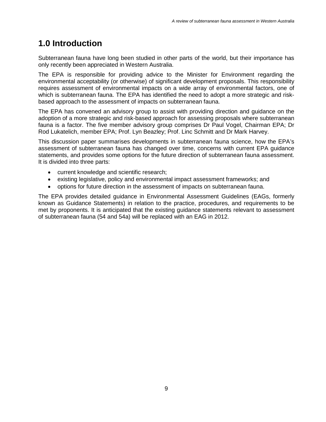## **1.0 Introduction**

Subterranean fauna have long been studied in other parts of the world, but their importance has only recently been appreciated in Western Australia.

The EPA is responsible for providing advice to the Minister for Environment regarding the environmental acceptability (or otherwise) of significant development proposals. This responsibility requires assessment of environmental impacts on a wide array of environmental factors, one of which is subterranean fauna. The EPA has identified the need to adopt a more strategic and riskbased approach to the assessment of impacts on subterranean fauna.

The EPA has convened an advisory group to assist with providing direction and guidance on the adoption of a more strategic and risk-based approach for assessing proposals where subterranean fauna is a factor. The five member advisory group comprises Dr Paul Vogel, Chairman EPA; Dr Rod Lukatelich, member EPA; Prof. Lyn Beazley; Prof. Linc Schmitt and Dr Mark Harvey.

This discussion paper summarises developments in subterranean fauna science, how the EPA's assessment of subterranean fauna has changed over time, concerns with current EPA guidance statements, and provides some options for the future direction of subterranean fauna assessment. It is divided into three parts:

- current knowledge and scientific research;
- existing legislative, policy and environmental impact assessment frameworks; and
- options for future direction in the assessment of impacts on subterranean fauna.

The EPA provides detailed guidance in Environmental Assessment Guidelines (EAGs, formerly known as Guidance Statements) in relation to the practice, procedures, and requirements to be met by proponents. It is anticipated that the existing guidance statements relevant to assessment of subterranean fauna (54 and 54a) will be replaced with an EAG in 2012.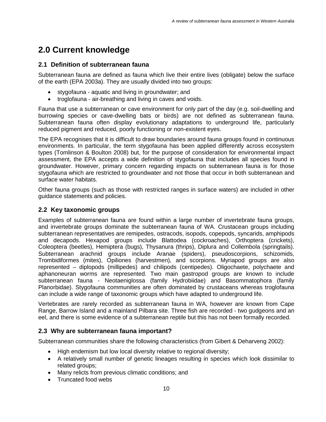## **2.0 Current knowledge**

#### **2.1 Definition of subterranean fauna**

Subterranean fauna are defined as fauna which live their entire lives (obligate) below the surface of the earth (EPA 2003a). They are usually divided into two groups:

- stygofauna aquatic and living in groundwater; and
- troglofauna air-breathing and living in caves and voids.

Fauna that use a subterranean or cave environment for only part of the day (e.g. soil-dwelling and burrowing species or cave-dwelling bats or birds) are not defined as subterranean fauna. Subterranean fauna often display evolutionary adaptations to underground life, particularly reduced pigment and reduced, poorly functioning or non-existent eyes.

The EPA recognises that it is difficult to draw boundaries around fauna groups found in continuous environments. In particular, the term stygofauna has been applied differently across ecosystem types (Tomlinson & Boulton 2008) but, for the purpose of consideration for environmental impact assessment, the EPA accepts a wide definition of stygofauna that includes all species found in groundwater. However, primary concern regarding impacts on subterranean fauna is for those stygofauna which are restricted to groundwater and not those that occur in both subterranean and surface water habitats.

Other fauna groups (such as those with restricted ranges in surface waters) are included in other guidance statements and policies.

#### **2.2 Key taxonomic groups**

Examples of subterranean fauna are found within a large number of invertebrate fauna groups, and invertebrate groups dominate the subterranean fauna of WA. Crustacean groups including subterranean representatives are remipedes, ostracods, isopods, copepods, syncarids, amphipods and decapods. Hexapod groups include Blattodea (cockroaches), Orthoptera (crickets), Coleoptera (beetles), Hemiptera (bugs), Thysanura (thrips), Diplura and Collembola (springtails). Subterranean arachnid groups include Aranae (spiders), pseudoscorpions, schizomids, Trombidiformes (mites), Opiliones (harvestmen), and scorpions. Myriapod groups are also represented – diplopods (millipedes) and chilipods (centipedes). Oligochaete, polychaete and aphanoneuran worms are represented. Two main gastropod groups are known to include subterranean fauna - Neotaeniglossa (family Hydrobiidae) and Basommatophora (family Planorbidae). Stygofauna communities are often dominated by crustaceans whereas troglofauna can include a wide range of taxonomic groups which have adapted to underground life.

Vertebrates are rarely recorded as subterranean fauna in WA, however are known from Cape Range, Barrow Island and a mainland Pilbara site. Three fish are recorded - two gudgeons and an eel, and there is some evidence of a subterranean reptile but this has not been formally recorded.

#### **2.3 Why are subterranean fauna important?**

Subterranean communities share the following characteristics (from Gibert & Deharveng 2002):

- High endemism but low local diversity relative to regional diversity;
- A relatively small number of genetic lineages resulting in species which look dissimilar to related groups;
- Many relicts from previous climatic conditions; and
- Truncated food webs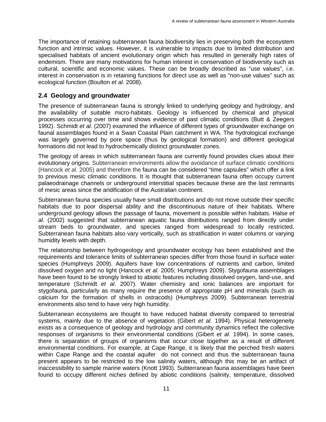The importance of retaining subterranean fauna biodiversity lies in preserving both the ecosystem function and intrinsic values. However, it is vulnerable to impacts due to limited distribution and specialised habitats of ancient evolutionary origin which has resulted in generally high rates of endemism. There are many motivations for human interest in conservation of biodiversity such as cultural, scientific and economic values. These can be broadly described as "use values", i.e. interest in conservation is in retaining functions for direct use as well as "non-use values" such as ecological function (Boulton *et al.* 2008).

#### **2.4 Geology and groundwater**

The presence of subterranean fauna is strongly linked to underlying geology and hydrology, and the availability of suitable micro-habitats. Geology is influenced by chemical and physical processes occurring over time and shows evidence of past climatic conditions (Butt & Zeegers 1992). Schmidt *et al*. (2007) examined the influence of different types of groundwater exchange on faunal assemblages found in a Swan Coastal Plain catchment in WA. The hydrological exchange was largely governed by pore space (thus by geological formation) and different geological formations did not lead to hydrochemically distinct groundwater zones.

The geology of areas in which subterranean fauna are currently found provides clues about their evolutionary origins. Subterranean environments allow the avoidance of surface climatic conditions (Hancock *et al.* 2005) and therefore the fauna can be considered "time capsules" which offer a link to previous mesic climatic conditions. It is thought that subterranean fauna often occupy current palaeodrainage channels or underground interstitial spaces because these are the last remnants of mesic areas since the aridification of the Australian continent.

Subterranean fauna species usually have small distributions and do not move outside their specific habitats due to poor dispersal ability and the discontinuous nature of their habitats. Where underground geology allows the passage of fauna, movement is possible within habitats. Halse *et al.* (2002) suggested that subterranean aquatic fauna distributions ranged from directly under stream beds to groundwater, and species ranged from widespread to locally restricted. Subterranean fauna habitats also vary vertically, such as stratification in water columns or varying humidity levels with depth.

The relationship between hydrogeology and groundwater ecology has been established and the requirements and tolerance limits of subterranean species differ from those found in surface water species (Humphreys 2009). Aquifers have low concentrations of nutrients and carbon, limited dissolved oxygen and no light (Hancock *et al.* 2005; Humphreys 2009). Stygofauna assemblages have been found to be strongly linked to abiotic features including dissolved oxygen, land-use, and temperature (Schmidt *et al*. 2007). Water chemistry and ionic balances are important for stygofauna, particularly as many require the presence of appropriate pH and minerals (such as calcium for the formation of shells in ostracods) (Humphreys 2009). Subterranean terrestrial environments also tend to have very high humidity.

Subterranean ecosystems are thought to have reduced habitat diversity compared to terrestrial systems, mainly due to the absence of vegetation (Gibert *et al.* 1994). Physical heterogeneity exists as a consequence of geology and hydrology and community dynamics reflect the collective responses of organisms to their environmental conditions (Gibert *et al.* 1994). In some cases, there is separation of groups of organisms that occur close together as a result of different environmental conditions. For example, at Cape Range, it is likely that the perched fresh waters within Cape Range and the coastal aquifer do not connect and thus the subterranean fauna present appears to be restricted to the low salinity waters, although this may be an artifact of inaccessibility to sample marine waters (Knott 1993). Subterranean fauna assemblages have been found to occupy different niches defined by abiotic conditions (salinity, temperature, dissolved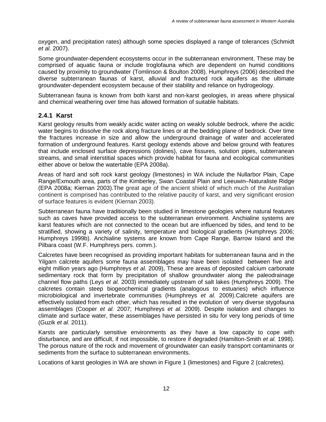oxygen, and precipitation rates) although some species displayed a range of tolerances (Schmidt *et al.* 2007).

Some groundwater-dependent ecosystems occur in the subterranean environment. These may be comprised of aquatic fauna or include troglofauna which are dependent on humid conditions caused by proximity to groundwater (Tomlinson & Boulton 2008). Humphreys (2006) described the diverse subterranean faunas of karst, alluvial and fractured rock aquifers as the ultimate groundwater-dependent ecosystem because of their stability and reliance on hydrogeology.

Subterranean fauna is known from both karst and non-karst geologies, in areas where physical and chemical weathering over time has allowed formation of suitable habitats.

#### **2.4.1 Karst**

Karst geology results from weakly acidic water acting on weakly soluble bedrock, where the acidic water begins to dissolve the rock along fracture lines or at the bedding plane of bedrock. Over time the fractures increase in size and allow the underground drainage of water and accelerated formation of underground features. Karst geology extends above and below ground with features that include enclosed surface depressions (dolines), cave fissures, solution pipes, subterranean streams, and small interstitial spaces which provide habitat for fauna and ecological communities either above or below the watertable (EPA 2008a).

Areas of hard and soft rock karst geology (limestones) in WA include the Nullarbor Plain, Cape Range/Exmouth area, parts of the Kimberley, Swan Coastal Plain and Leeuwin–Naturaliste Ridge (EPA 2008a; Kiernan 2003).The great age of the ancient shield of which much of the Australian continent is comprised has contributed to the relative paucity of karst, and very significant erosion of surface features is evident (Kiernan 2003).

Subterranean fauna have traditionally been studied in limestone geologies where natural features such as caves have provided access to the subterranean environment. Anchialine systems are karst features which are not connected to the ocean but are influenced by tides, and tend to be stratified, showing a variety of salinity, temperature and biological gradients (Humphreys 2006; Humphreys 1999b). Anchialine systems are known from Cape Range, Barrow Island and the Pilbara coast (W.F. Humphreys pers. comm.).

Calcretes have been recognised as providing important habitats for subterranean fauna and in the Yilgarn calcrete aquifers some fauna assemblages may have been isolated between five and eight million years ago (Humphreys *et al.* 2009), These are areas of deposited calcium carbonate sedimentary rock that form by precipitation of shallow groundwater along the paleodrainage channel flow paths (Leys *et al.* 2003) immediately upstream of salt lakes (Humphreys 2009). The calcretes contain steep biogeochemical gradients (analogous to estuaries) which influence microbiological and invertebrate communities (Humphreys *et al.* 2009).Calcrete aquifers are effectively isolated from each other, which has resulted in the evolution of very diverse stygofauna assemblages (Cooper *et al.* 2007; Humphreys *et al.* 2009). Despite isolation and changes to climate and surface water, these assemblages have persisted in situ for very long periods of time (Guzik *et al.* 2011).

Karsts are particularly sensitive environments as they have a low capacity to cope with disturbance, and are difficult, if not impossible, to restore if degraded (Hamilton-Smith *et al.* 1998). The porous nature of the rock and movement of groundwater can easily transport contaminants or sediments from the surface to subterranean environments.

Locations of karst geologies in WA are shown in Figure 1 (limestones) and Figure 2 (calcretes).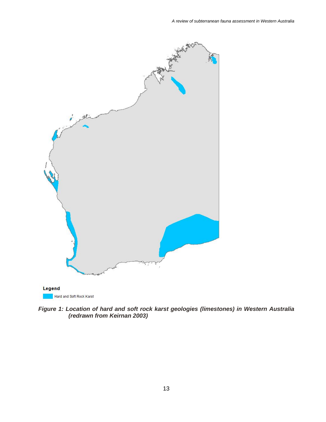

*Figure 1: Location of hard and soft rock karst geologies (limestones) in Western Australia (redrawn from Keirnan 2003)*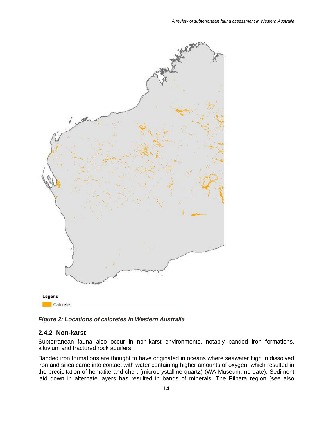

*Figure 2: Locations of calcretes in Western Australia*

#### **2.4.2 Non-karst**

Subterranean fauna also occur in non-karst environments, notably banded iron formations, alluvium and fractured rock aquifers.

Banded iron formations are thought to have originated in oceans where seawater high in dissolved iron and silica came into contact with water containing higher amounts of oxygen, which resulted in the precipitation of hematite and chert (microcrystalline quartz) (WA Museum, no date). Sediment laid down in alternate layers has resulted in bands of minerals. The Pilbara region (see also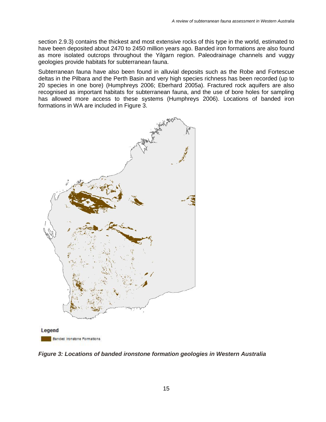section 2.9.3) contains the thickest and most extensive rocks of this type in the world, estimated to have been deposited about 2470 to 2450 million years ago. Banded iron formations are also found as more isolated outcrops throughout the Yilgarn region. Paleodrainage channels and vuggy geologies provide habitats for subterranean fauna.

Subterranean fauna have also been found in alluvial deposits such as the Robe and Fortescue deltas in the Pilbara and the Perth Basin and very high species richness has been recorded (up to 20 species in one bore) (Humphreys 2006; Eberhard 2005a). Fractured rock aquifers are also recognised as important habitats for subterranean fauna, and the use of bore holes for sampling has allowed more access to these systems (Humphreys 2006). Locations of banded iron formations in WA are included in Figure 3.



*Figure 3: Locations of banded ironstone formation geologies in Western Australia*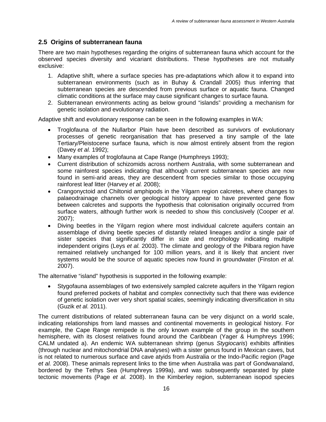#### **2.5 Origins of subterranean fauna**

There are two main hypotheses regarding the origins of subterranean fauna which account for the observed species diversity and vicariant distributions. These hypotheses are not mutually exclusive:

- 1. Adaptive shift, where a surface species has pre-adaptations which allow it to expand into subterranean environments (such as in Buhay & Crandall 2005) thus inferring that subterranean species are descended from previous surface or aquatic fauna. Changed climatic conditions at the surface may cause significant changes to surface fauna.
- 2. Subterranean environments acting as below ground "islands" providing a mechanism for genetic isolation and evolutionary radiation.

Adaptive shift and evolutionary response can be seen in the following examples in WA:

- Troglofauna of the Nullarbor Plain have been described as survivors of evolutionary processes of genetic reorganisation that has preserved a tiny sample of the late Tertiary/Pleistocene surface fauna, which is now almost entirely absent from the region (Davey *et al.* 1992);
- Many examples of troglofauna at Cape Range (Humphreys 1993);
- Current distribution of schizomids across northern Australia, with some subterranean and some rainforest species indicating that although current subterranean species are now found in semi-arid areas, they are descendent from species similar to those occupying rainforest leaf litter (Harvey *et al.* 2008);
- Crangonyctoid and Chiltonid amphipods in the Yilgarn region calcretes, where changes to palaeodrainage channels over geological history appear to have prevented gene flow between calcretes and supports the hypothesis that colonisation originally occurred from surface waters, although further work is needed to show this conclusively (Cooper *et al*. 2007);
- Diving beetles in the Yilgarn region where most individual calcrete aquifers contain an assemblage of diving beetle species of distantly related lineages and/or a single pair of sister species that significantly differ in size and morphology indicating multiple independent origins (Leys *et al.* 2003). The climate and geology of the Pilbara region have remained relatively unchanged for 100 million years, and it is likely that ancient river systems would be the source of aquatic species now found in groundwater (Finston *et al.* 2007).

The alternative "island" hypothesis is supported in the following example:

• Stygofauna assemblages of two extensively sampled calcrete aquifers in the Yilgarn region found preferred pockets of habitat and complex connectivity such that there was evidence of genetic isolation over very short spatial scales, seemingly indicating diversification in situ (Guzik *et al.* 2011).

The current distributions of related subterranean fauna can be very disjunct on a world scale, indicating relationships from land masses and continental movements in geological history. For example, the Cape Range remipede is the only known example of the group in the southern hemisphere, with its closest relatives found around the Caribbean (Yager & Humphreys 1996; CALM undated a). An endemic WA subterranean shrimp (genus *Stygiocaris*) exhibits affinities (through nuclear and mitochondrial DNA analyses) with a sister genus found in Mexican caves, but is not related to numerous surface and cave atyids from Australia or the Indo-Pacific region (Page *et al.* 2008). These animals represent links to the time when Australia was part of Gondwanaland, bordered by the Tethys Sea (Humphreys 1999a), and was subsequently separated by plate tectonic movements (Page *et al.* 2008). In the Kimberley region, subterranean isopod species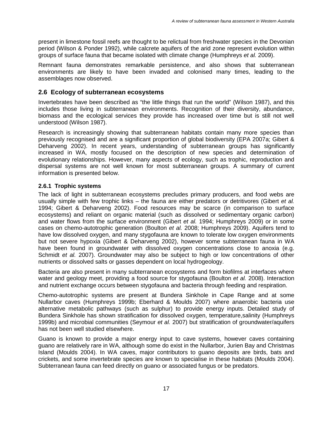present in limestone fossil reefs are thought to be relictual from freshwater species in the Devonian period (Wilson & Ponder 1992), while calcrete aquifers of the arid zone represent evolution within groups of surface fauna that became isolated with climate change (Humphreys *et al.* 2009).

Remnant fauna demonstrates remarkable persistence, and also shows that subterranean environments are likely to have been invaded and colonised many times, leading to the assemblages now observed.

#### **2.6 Ecology of subterranean ecosystems**

Invertebrates have been described as "the little things that run the world" (Wilson 1987), and this includes those living in subterranean environments. Recognition of their diversity, abundance, biomass and the ecological services they provide has increased over time but is still not well understood (Wilson 1987).

Research is increasingly showing that subterranean habitats contain many more species than previously recognised and are a significant proportion of global biodiversity (EPA 2007a; Gibert & Deharveng 2002). In recent years, understanding of subterranean groups has significantly increased in WA, mostly focused on the description of new species and determination of evolutionary relationships. However, many aspects of ecology, such as trophic, reproduction and dispersal systems are not well known for most subterranean groups. A summary of current information is presented below.

#### **2.6.1 Trophic systems**

The lack of light in subterranean ecosystems precludes primary producers, and food webs are usually simple with few trophic links – the fauna are either predators or detritivores (Gibert *et al.* 1994; Gibert & Deharveng 2002). Food resources may be scarce (in comparison to surface ecosystems) and reliant on organic material (such as dissolved or sedimentary organic carbon) and water flows from the surface environment (Gibert *et al.* 1994; Humphreys 2009) or in some cases on chemo-autotrophic generation (Boulton *et al.* 2008; Humphreys 2009). Aquifers tend to have low dissolved oxygen, and many stygofauna are known to tolerate low oxygen environments but not severe hypoxia (Gibert & Deharveng 2002), however some subterranean fauna in WA have been found in groundwater with dissolved oxygen concentrations close to anoxia (e.g. Schmidt *et al.* 2007). Groundwater may also be subject to high or low concentrations of other nutrients or dissolved salts or gasses dependent on local hydrogeology.

Bacteria are also present in many subterranean ecosystems and form biofilms at interfaces where water and geology meet, providing a food source for stygofauna (Boulton *et al.* 2008). Interaction and nutrient exchange occurs between stygofauna and bacteria through feeding and respiration.

Chemo-autotrophic systems are present at Bundera Sinkhole in Cape Range and at some Nullarbor caves (Humphreys 1999b; Eberhard & Moulds 2007) where anaerobic bacteria use alternative metabolic pathways (such as sulphur) to provide energy inputs. Detailed study of Bundera Sinkhole has shown stratification for dissolved oxygen, temperature,salinity (Humphreys 1999b) and microbial communities (Seymour *et al.* 2007) but stratification of groundwater/aquifers has not been well studied elsewhere.

Guano is known to provide a major energy input to cave systems, however caves containing guano are relatively rare in WA, although some do exist in the Nullarbor, Jurien Bay and Christmas Island (Moulds 2004). In WA caves, major contributors to guano deposits are birds, bats and crickets, and some invertebrate species are known to specialise in these habitats (Moulds 2004). Subterranean fauna can feed directly on guano or associated fungus or be predators.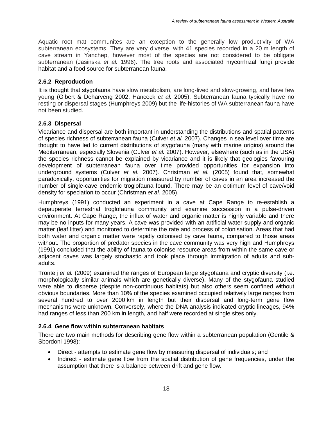Aquatic root mat communites are an exception to the generally low productivity of WA subterranean ecosystems. They are very diverse, with 41 species recorded in a 20 m length of cave stream in Yanchep, however most of the species are not considered to be obligate subterranean (Jasinska *et al.* 1996). The tree roots and associated mycorrhizal fungi provide habitat and a food source for subterranean fauna.

#### **2.6.2 Reproduction**

It is thought that stygofauna have slow metabolism, are long-lived and slow-growing, and have few young (Gibert & Deharveng 2002; Hancock *et al.* 2005). Subterranean fauna typically have no resting or dispersal stages (Humphreys 2009) but the life-histories of WA subterranean fauna have not been studied.

#### **2.6.3 Dispersal**

Vicariance and dispersal are both important in understanding the distributions and spatial patterns of species richness of subterranean fauna (Culver *et al.* 2007). Changes in sea level over time are thought to have led to current distributions of stygofauna (many with marine origins) around the Mediterranean, especially Slovenia (Culver *et al.* 2007). However, elsewhere (such as in the USA) the species richness cannot be explained by vicariance and it is likely that geologies favouring development of subterranean fauna over time provided opportunities for expansion into underground systems (Culver *et al.* 2007). Christman *et al.* (2005) found that, somewhat paradoxically, opportunities for migration measured by number of caves in an area increased the number of single-cave endemic troglofauna found. There may be an optimum level of cave/void density for speciation to occur (Christman *et al.* 2005).

Humphreys (1991) conducted an experiment in a cave at Cape Range to re-establish a depauperate terrestrial troglofauna community and examine succession in a pulse-driven environment. At Cape Range, the influx of water and organic matter is highly variable and there may be no inputs for many years. A cave was provided with an artificial water supply and organic matter (leaf litter) and monitored to determine the rate and process of colonisation. Areas that had both water and organic matter were rapidly colonised by cave fauna, compared to those areas without. The proportion of predator species in the cave community was very high and Humphreys (1991) concluded that the ability of fauna to colonise resource areas from within the same cave or adjacent caves was largely stochastic and took place through immigration of adults and subadults.

Trontelj *et al.* (2009) examined the ranges of European large stygofauna and cryptic diversity (i.e. morphologically similar animals which are genetically diverse). Many of the stygofauna studied were able to disperse (despite non-continuous habitats) but also others seem confined without obvious boundaries. More than 10% of the species examined occupied relatively large ranges from several hundred to over 2000 km in length but their dispersal and long-term gene flow mechanisms were unknown. Conversely, where the DNA analysis indicated cryptic lineages, 94% had ranges of less than 200 km in length, and half were recorded at single sites only.

#### **2.6.4 Gene flow within subterranean habitats**

There are two main methods for describing gene flow within a subterranean population (Gentile & Sbordoni 1998):

- Direct attempts to estimate gene flow by measuring dispersal of individuals; and
- Indirect estimate gene flow from the spatial distribution of gene frequencies, under the assumption that there is a balance between drift and gene flow.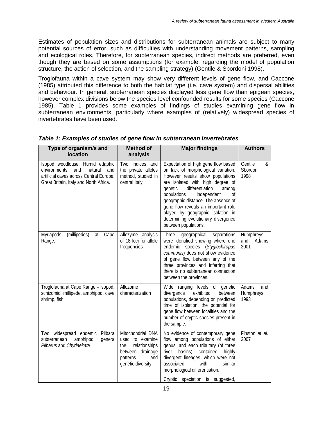Estimates of population sizes and distributions for subterranean animals are subject to many potential sources of error, such as difficulties with understanding movement patterns, sampling and ecological roles. Therefore, for subterranean species, indirect methods are preferred, even though they are based on some assumptions (for example, regarding the model of population structure, the action of selection, and the sampling strategy) (Gentile & Sbordoni 1998).

Troglofauna within a cave system may show very different levels of gene flow, and Caccone (1985) attributed this difference to both the habitat type (i.e. cave system) and dispersal abilities and behaviour. In general, subterranean species displayed less gene flow than epigean species, however complex divisions below the species level confounded results for some species (Caccone 1985). Table 1 provides some examples of findings of studies examining gene flow in subterranean environments, particularly where examples of (relatively) widespread species of invertebrates have been used.

| Type of organism/s and<br><b>location</b>                                                                                                                     | <b>Method of</b><br>analysis                                                                                              | <b>Major findings</b>                                                                                                                                                                                                                                                                                                                                                                                           | <b>Authors</b>                    |
|---------------------------------------------------------------------------------------------------------------------------------------------------------------|---------------------------------------------------------------------------------------------------------------------------|-----------------------------------------------------------------------------------------------------------------------------------------------------------------------------------------------------------------------------------------------------------------------------------------------------------------------------------------------------------------------------------------------------------------|-----------------------------------|
| Isopod woodlouse. Humid edaphic<br>environments<br>natural<br>and<br>and<br>artificial caves across Central Europe,<br>Great Britain, Italy and North Africa. | Two indices and<br>the private alleles<br>method, studied in<br>central Italy                                             | Expectation of high gene flow based<br>on lack of morphological variation.<br>However results show populations<br>are isolated with high degree of<br>differentiation<br>genetic<br>among<br>populations<br>independent<br>Οf<br>geographic distance. The absence of<br>gene flow reveals an important role<br>played by geographic isolation in<br>determining evolutionary divergence<br>between populations. | Gentile<br>&<br>Sbordoni<br>1998  |
| (millipedes)<br>Myriapods<br>Cape<br>at<br>Range;                                                                                                             | Allozyme analysis<br>of 18 loci for allele<br>frequencies                                                                 | <b>Three</b><br>geographical<br>separations<br>were identified showing where one<br>species (Stygiochiropus<br>endemic<br>communis) does not show evidence<br>of gene flow between any of the<br>three provinces and inferring that<br>there is no subterranean connection<br>between the provinces.                                                                                                            | Humphreys<br>and<br>Adams<br>2001 |
| Troglofauna at Cape Range - isopod,<br>schizomid, millipede, amphipod, cave<br>shrimp, fish                                                                   | Allozome<br>characterization                                                                                              | levels of genetic<br>Wide ranging<br>divergence<br>exhibited<br>between<br>populations, depending on predicted<br>time of isolation, the potential for<br>gene flow between localities and the<br>number of cryptic species present in<br>the sample.                                                                                                                                                           | Adams<br>and<br>Humphreys<br>1993 |
| Pilbara<br>Two widespread endemic<br>amphipod<br>subterranean<br>genera<br>Pilbarus and Chydaekata                                                            | Mitochondrial DNA<br>used to examine<br>the<br>relationships<br>between drainage<br>patterns<br>and<br>genetic diversity. | No evidence of contemporary gene<br>flow among populations of either<br>genus, and each tributary (of three<br>basins) contained<br>highly<br>river<br>divergent lineages, which were not<br>associated<br>with<br>similar<br>morphological differentiation.<br>Cryptic speciation is suggested,                                                                                                                | Finston et al.<br>2007            |

#### *Table 1: Examples of studies of gene flow in subterranean invertebrates*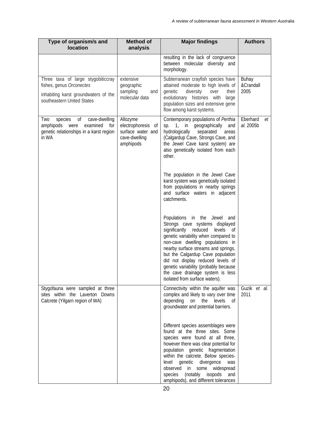| Type of organism/s and<br>location                                                                                                   | Method of<br>analysis                                                             | <b>Major findings</b>                                                                                                                                                                                                                                                                                                                                                                                                  | <b>Authors</b>              |
|--------------------------------------------------------------------------------------------------------------------------------------|-----------------------------------------------------------------------------------|------------------------------------------------------------------------------------------------------------------------------------------------------------------------------------------------------------------------------------------------------------------------------------------------------------------------------------------------------------------------------------------------------------------------|-----------------------------|
|                                                                                                                                      |                                                                                   | resulting in the lack of congruence<br>between molecular diversity and<br>morphology.                                                                                                                                                                                                                                                                                                                                  |                             |
| Three taxa of large stygobiticcray<br>fishes, genus Orconectes<br>inhabiting karst groundwaters of the<br>southeastern United States | extensive<br>geographic<br>sampling<br>and<br>molecular data                      | Subterranean crayfish species have<br>attained moderate to high levels of<br>genetic<br>diversity<br>over<br>their<br>evolutionary histories with<br>large<br>population sizes and extensive gene<br>flow among karst systems.                                                                                                                                                                                         | Buhay<br>&Crandall<br>2005  |
| species<br>0f<br>cave-dwelling<br>Two<br>amphipods were<br>examined<br>for<br>genetic relationships in a karst region<br>in WA       | Allozyme<br>electrophoresis of<br>surface water and<br>cave-dwelling<br>amphipods | Contemporary populations of Perthia<br>sp. 1, in geographically<br>and<br>hydrologically<br>separated<br>areas<br>(Calgardup Cave, Strongs Cave, and<br>the Jewel Cave karst system) are<br>also genetically isolated from each<br>other.                                                                                                                                                                              | Eberhard<br>et<br>al. 2005b |
|                                                                                                                                      |                                                                                   | The population in the Jewel Cave<br>karst system was genetically isolated<br>from populations in nearby springs<br>and surface waters in adjacent<br>catchments.                                                                                                                                                                                                                                                       |                             |
|                                                                                                                                      |                                                                                   | Populations in the Jewel<br>and<br>Strongs cave systems displayed<br>significantly reduced<br>levels<br>0f<br>genetic variability when compared to<br>non-cave dwelling populations in<br>nearby surface streams and springs,<br>but the Calgardup Cave population<br>did not display reduced levels of<br>genetic variability (probably because<br>the cave drainage system is less<br>isolated from surface waters). |                             |
| Stygofauna were sampled at three<br>sites within the Laverton Downs<br>Calcrete (Yilgarn region of WA)                               |                                                                                   | Connectivity within the aquifer was<br>complex and likely to vary over time<br>depending<br>on the levels of<br>groundwater and potential barriers.                                                                                                                                                                                                                                                                    | Guzik et al.<br>2011        |
|                                                                                                                                      |                                                                                   | Different species assemblages were<br>found at the three sites. Some<br>species were found at all three,<br>however there was clear potential for<br>population genetic fragmentation<br>within the calcrete. Below species-<br>level<br>genetic divergence<br>was<br>observed in<br>some widespread<br>(notably isopods<br>species<br>and<br>amphipods), and different tolerances                                     |                             |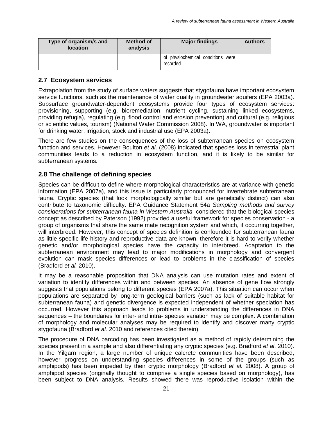| Type of organism/s and<br><b>location</b> | Method of<br>analysis |                                   | <b>Authors</b> |
|-------------------------------------------|-----------------------|-----------------------------------|----------------|
| recorded.                                 |                       | of physiochemical conditions were |                |

#### **2.7 Ecosystem services**

Extrapolation from the study of surface waters suggests that stygofauna have important ecosystem service functions, such as the maintenance of water quality in groundwater aquifers (EPA 2003a). Subsurface groundwater-dependent ecosystems provide four types of ecosystem services: provisioning, supporting (e.g. bioremediation, nutrient cycling, sustaining linked ecosystems, providing refugia), regulating (e.g. flood control and erosion prevention) and cultural (e.g. religious or scientific values, tourism) (National Water Commission 2008). In WA, groundwater is important for drinking water, irrigation, stock and industrial use (EPA 2003a).

There are few studies on the consequences of the loss of subterranean species on ecosystem function and services. However Boulton *et al*. (2008) indicated that species loss in terrestrial plant communities leads to a reduction in ecosystem function, and it is likely to be similar for subterranean systems.

#### **2.8 The challenge of defining species**

Species can be difficult to define where morphological characteristics are at variance with genetic information (EPA 2007a), and this issue is particularly pronounced for invertebrate subterranean fauna. Cryptic species (that look morphologically similar but are genetically distinct) can also contribute to taxonomic difficulty. EPA Guidance Statement 54a *Sampling methods and survey considerations for subterranean fauna in Western Australia* considered that the biological species concept as described by Paterson (1992) provided a useful framework for species conservation - a group of organisms that share the same mate recognition system and which, if occurring together, will interbreed. However, this concept of species definition is confounded for subterranean fauna as little specific life history and reproductive data are known, therefore it is hard to verify whether genetic and/or morphological species have the capacity to interbreed. Adaptation to the subterranean environment may lead to major modifications in morphology and convergent evolution can mask species differences or lead to problems in the classification of species (Bradford *et al.* 2010).

It may be a reasonable proposition that DNA analysis can use mutation rates and extent of variation to identify differences within and between species. An absence of gene flow strongly suggests that populations belong to different species (EPA 2007a). This situation can occur when populations are separated by long-term geological barriers (such as lack of suitable habitat for subterranean fauna) and genetic divergence is expected independent of whether speciation has occurred. However this approach leads to problems in understanding the differences in DNA sequences – the boundaries for inter- and intra- species variation may be complex. A combination of morphology and molecular analyses may be required to identify and discover many cryptic stygofauna (Bradford *et al.* 2010 and references cited therein).

The procedure of DNA barcoding has been investigated as a method of rapidly determining the species present in a sample and also differentiating any cryptic species (e.g. Bradford *et al*. 2010). In the Yilgarn region, a large number of unique calcrete communities have been described, however progress on understanding species differences in some of the groups (such as amphipods) has been impeded by their cryptic morphology (Bradford *et al.* 2008). A group of amphipod species (originally thought to comprise a single species based on morphology), has been subject to DNA analysis. Results showed there was reproductive isolation within the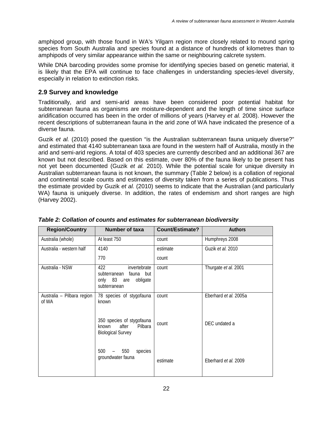amphipod group, with those found in WA's Yilgarn region more closely related to mound spring species from South Australia and species found at a distance of hundreds of kilometres than to amphipods of very similar appearance within the same or neighbouring calcrete system.

While DNA barcoding provides some promise for identifying species based on genetic material, it is likely that the EPA will continue to face challenges in understanding species-level diversity, especially in relation to extinction risks.

#### **2.9 Survey and knowledge**

Traditionally, arid and semi-arid areas have been considered poor potential habitat for subterranean fauna as organisms are moisture-dependent and the length of time since surface aridification occurred has been in the order of millions of years (Harvey *et al.* 2008). However the recent descriptions of subterranean fauna in the arid zone of WA have indicated the presence of a diverse fauna.

Guzik *et al.* (2010) posed the question "is the Australian subterranean fauna uniquely diverse?" and estimated that 4140 subterranean taxa are found in the western half of Australia, mostly in the arid and semi-arid regions. A total of 403 species are currently described and an additional 367 are known but not described. Based on this estimate, over 80% of the fauna likely to be present has not yet been documented (Guzik *et al.* 2010). While the potential scale for unique diversity in Australian subterranean fauna is not known, the summary (Table 2 below) is a collation of regional and continental scale counts and estimates of diversity taken from a series of publications. Thus the estimate provided by Guzik *et al.* (2010) seems to indicate that the Australian (and particularly WA) fauna is uniquely diverse. In addition, the rates of endemism and short ranges are high (Harvey 2002).

| <b>Region/Country</b>               | Number of taxa                                                                              | <b>Count/Estimate?</b> | <b>Authors</b>        |
|-------------------------------------|---------------------------------------------------------------------------------------------|------------------------|-----------------------|
| Australia (whole)                   | At least 750                                                                                | count                  | Humphreys 2008        |
| Australia - western half            | 4140                                                                                        | estimate               | Guzik et al. 2010     |
|                                     | 770                                                                                         | count                  |                       |
| Australia - NSW                     | 422<br>invertebrate<br>subterranean<br>fauna but<br>only 83 are<br>obligate<br>subterranean | count                  | Thurgate et al. 2001  |
| Australia - Pilbara region<br>of WA | 78 species of stygofauna<br>known                                                           | count                  | Eberhard et al. 2005a |
|                                     | 350 species of stygofauna<br>after<br>Pilbara<br>known<br><b>Biological Survey</b>          | count                  | DEC undated a         |
|                                     | 550<br>500<br>species<br>groundwater fauna                                                  | estimate               | Eberhard et al. 2009  |

*Table 2: Collation of counts and estimates for subterranean biodiversity*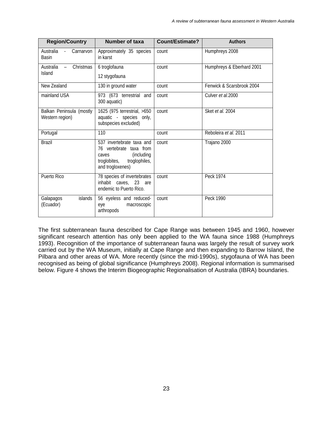| <b>Region/Country</b>                                    | <b>Number of taxa</b>                                                                                                             | <b>Count/Estimate?</b> | <b>Authors</b>            |
|----------------------------------------------------------|-----------------------------------------------------------------------------------------------------------------------------------|------------------------|---------------------------|
| Australia<br>Carnarvon<br>$\sim 10^{-1}$<br><b>Basin</b> | Approximately 35 species<br>in karst                                                                                              | count                  | Humphreys 2008            |
| Christmas<br>Australia<br>$\equiv$<br>Island             | 6 troglofauna                                                                                                                     | count                  | Humphreys & Eberhard 2001 |
|                                                          | 12 stygofauna                                                                                                                     |                        |                           |
| New Zealand                                              | 130 in ground water                                                                                                               | count                  | Fenwick & Scarsbrook 2004 |
| mainland USA                                             | 973 (673 terrestrial and<br>300 aquatic)                                                                                          | count                  | Culver et al.2000         |
| Balkan Peninsula (mostly<br>Western region)              | 1625 (975 terrestrial, >650<br>aquatic - species only,<br>subspecies excluded)                                                    | count                  | Sket et al. 2004          |
| Portugal                                                 | 110                                                                                                                               | count                  | Reboleira et al. 2011     |
| <b>Brazil</b>                                            | 537 invertebrate taxa and<br>76 vertebrate taxa from<br>(including)<br>caves<br>troglobites,<br>troglophiles,<br>and trogloxenes) | count                  | Trajano 2000              |
| Puerto Rico                                              | 78 species of invertebrates<br>inhabit caves, 23 are<br>endemic to Puerto Rico.                                                   | count                  | Peck 1974                 |
| islands<br>Galapagos<br>(Ecuador)                        | 56 eyeless and reduced-<br>macroscopic<br>eye<br>arthropods                                                                       | count                  | Peck 1990                 |

The first subterranean fauna described for Cape Range was between 1945 and 1960, however significant research attention has only been applied to the WA fauna since 1988 (Humphreys 1993). Recognition of the importance of subterranean fauna was largely the result of survey work carried out by the WA Museum, initially at Cape Range and then expanding to Barrow Island, the Pilbara and other areas of WA. More recently (since the mid-1990s), stygofauna of WA has been recognised as being of global significance (Humphreys 2008). Regional information is summarised below. Figure 4 shows the Interim Biogeographic Regionalisation of Australia (IBRA) boundaries.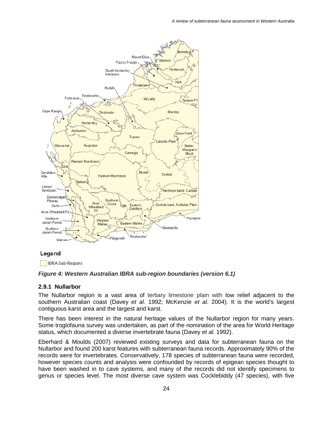

#### Legend

**IBRA** Sub-Regions

#### *Figure 4: Western Australian IBRA sub-region boundaries (version 6.1)*

#### **2.9.1 Nullarbor**

The Nullarbor region is a vast area of tertiary limestone plain with low relief adjacent to the southern Australian coast (Davey *et al*. 1992; McKenzie *et al*. 2004). It is the world's largest contiguous karst area and the largest arid karst.

There has been interest in the natural heritage values of the Nullarbor region for many years. Some troglofauna survey was undertaken, as part of the nomination of the area for World Heritage status, which documented a diverse invertebrate fauna (Davey *et al.* 1992).

Eberhard & Moulds (2007) reviewed existing surveys and data for subterranean fauna on the Nullarbor and found 200 karst features with subterranean fauna records. Approximately 90% of the records were for invertebrates. Conservatively, 178 species of subterranean fauna were recorded, however species counts and analysis were confounded by records of epigean species thought to have been washed in to cave systems, and many of the records did not identify specimens to genus or species level. The most diverse cave system was Cocklebiddy (47 species), with five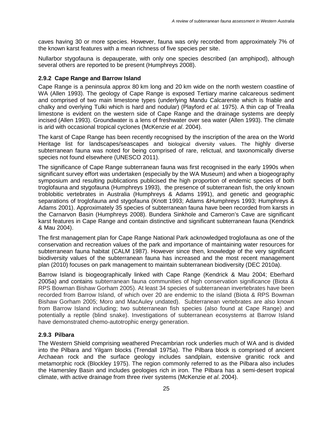caves having 30 or more species. However, fauna was only recorded from approximately 7% of the known karst features with a mean richness of five species per site.

Nullarbor stygofauna is depauperate, with only one species described (an amphipod), although several others are reported to be present (Humphreys 2008).

#### **2.9.2 Cape Range and Barrow Island**

Cape Range is a peninsula approx 80 km long and 20 km wide on the north western coastline of WA (Allen 1993). The geology of Cape Range is exposed Tertiary marine calcareous sediment and comprised of two main limestone types (underlying Mandu Calcarenite which is friable and chalky and overlying Tulki which is hard and nodular) (Playford *et al.* 1975). A thin cap of Trealla limestone is evident on the western side of Cape Range and the drainage systems are deeply incised (Allen 1993). Groundwater is a lens of freshwater over sea water (Allen 1993). The climate is arid with occasional tropical cyclones (McKenzie *et al*. 2004).

The karst of Cape Range has been recently recognised by the inscription of the area on the World Heritage list for landscapes/seascapes and biological diversity values. The highly diverse subterranean fauna was noted for being comprised of rare, relictual, and taxonomically diverse species not found elsewhere (UNESCO 2011).

The significance of Cape Range subterranean fauna was first recognised in the early 1990s when significant survey effort was undertaken (especially by the WA Museum) and when a biogeography symposium and resulting publications publicised the high proportion of endemic species of both troglofauna and stygofauna (Humphreys 1993), the presence of subterranean fish, the only known troblobitic vertebrates in Australia (Humphreys & Adams 1991), and genetic and geographic separations of troglofauna and stygofauna (Knott 1993; Adams &Humphreys 1993; Humphreys & Adams 2001). Approximately 35 species of subterranean fauna have been recorded from karsts in the Carnarvon Basin (Humphreys 2008). Bundera Sinkhole and Cameron's Cave are significant karst features in Cape Range and contain distinctive and significant subterranean fauna (Kendrick & Mau 2004).

The first management plan for Cape Range National Park acknowledged troglofauna as one of the conservation and recreation values of the park and importance of maintaining water resources for subterranean fauna habitat (CALM 1987). However since then, knowledge of the very significant biodiversity values of the subterranean fauna has increased and the most recent management plan (2010) focuses on park management to maintain subterranean biodiversity (DEC 2010a).

Barrow Island is biogeographically linked with Cape Range (Kendrick & Mau 2004; Eberhard 2005a) and contains subterranean fauna communities of high conservation significance (Biota & RPS Bowman Bishaw Gorham 2005). At least 34 species of subterranean invertebrates have been recorded from Barrow Island, of which over 20 are endemic to the island (Biota & RPS Bowman Bishaw Gorham 2005; Moro and MacAuley undated). Subterranean vertebrates are also known from Barrow Island including; two subterranean fish species (also found at Cape Range) and potentially a reptile (blind snake). Investigations of subterranean ecosystems at Barrow Island have demonstrated chemo-autotrophic energy generation.

#### **2.9.3 Pilbara**

The Western Shield comprising weathered Precambrian rock underlies much of WA and is divided into the Pilbara and Yilgarn blocks (Trendall 1975a). The Pilbara block is comprised of ancient Archaean rock and the surface geology includes sandplain, extensive granitic rock and metamorphic rock (Blockley 1975). The region commonly referred to as the Pilbara also includes the Hamersley Basin and includes geologies rich in iron. The Pilbara has a semi-desert tropical climate, with active drainage from three river systems (McKenzie *et al*. 2004).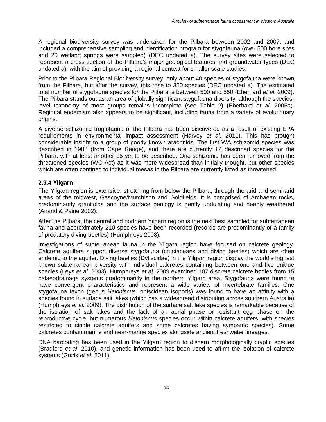A regional biodiversity survey was undertaken for the Pilbara between 2002 and 2007, and included a comprehensive sampling and identification program for stygofauna (over 500 bore sites and 20 wetland springs were sampled) (DEC undated a). The survey sites were selected to represent a cross section of the Pilbara's major geological features and groundwater types (DEC undated a), with the aim of providing a regional context for smaller scale studies.

Prior to the Pilbara Regional Biodiversity survey, only about 40 species of stygofauna were known from the Pilbara, but after the survey, this rose to 350 species (DEC undated a). The estimated total number of stygofauna species for the Pilbara is between 500 and 550 (Eberhard *et al.* 2009). The Pilbara stands out as an area of globally significant stygofauna diversity, although the specieslevel taxonomy of most groups remains incomplete (see Table 2) (Eberhard *et al*. 2005a). Regional endemism also appears to be significant, including fauna from a variety of evolutionary origins.

A diverse schizomid troglofauna of the Pilbara has been discovered as a result of existing EPA requirements in environmental impact assessment (Harvey *et al*. 2011). This has brought considerable insight to a group of poorly known arachnids. The first WA schizomid species was described in 1988 (from Cape Range), and there are currently 12 described species for the Pilbara, with at least another 15 yet to be described. One schizomid has been removed from the threatened species (WC Act) as it was more widespread than initially thought, but other species which are often confined to individual mesas in the Pilbara are currently listed as threatened.

#### **2.9.4 Yilgarn**

The Yilgarn region is extensive, stretching from below the Pilbara, through the arid and semi-arid areas of the midwest, Gascoyne/Murchison and Goldfields. It is comprised of Archaean rocks, predominantly granitoids and the surface geology is gently undulating and deeply weathered (Anand & Paine 2002).

After the Pilbara, the central and northern Yilgarn region is the next best sampled for subterranean fauna and approximately 210 species have been recorded (records are predominantly of a family of predatory diving beetles) (Humphreys 2008).

Investigations of subterranean fauna in the Yilgarn region have focused on calcrete geology. Calcrete aquifers support diverse stygofauna (crustaceans and diving beetles) which are often endemic to the aquifer. Diving beetles (Dytiscidae) in the Yilgarn region display the world's highest known subterranean diversity with individual calcretes containing between one and five unique species (Leys *et al.* 2003). Humphreys *et al.* 2009 examined 107 discrete calcrete bodies from 15 palaeodrainage systems predominantly in the northern Yilgarn area. Stygofauna were found to have convergent characteristics and represent a wide variety of invertebrate families. One stygofauna taxon (genus *Haloniscus*, oniscidean isopods) was found to have an affinity with a species found in surface salt lakes (which has a widespread distribution across southern Australia) (Humphreys *et al.* 2009). The distribution of the surface salt lake species is remarkable because of the isolation of salt lakes and the lack of an aerial phase or resistant egg phase on the reproductive cycle, but numerous *Haloniscus* species occur within calcrete aquifers, with species restricted to single calcrete aquifers and some calcretes having sympatric species). Some calcretes contain marine and near-marine species alongside ancient freshwater lineages.

DNA barcoding has been used in the Yilgarn region to discern morphologically cryptic species (Bradford *et al*. 2010), and genetic information has been used to affirm the isolation of calcrete systems (Guzik *et al.* 2011).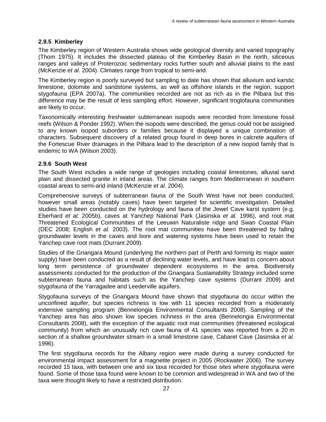#### **2.9.5 Kimberley**

The Kimberley region of Western Australia shows wide geological diversity and varied topography (Thom 1975). It includes the dissected plateau of the Kimberley Basin in the north, siliceous ranges and valleys of Proterozoic sedimentary rocks further south and alluvial plains to the east (McKenzie *et al.* 2004). Climates range from tropical to semi-arid.

The Kimberley region is poorly surveyed but sampling to date has shown that alluvium and karstic limestone, dolomite and sandstone systems, as well as offshore islands in the region, support stygofauna (EPA 2007a). The communities recorded are not as rich as in the Pilbara but this difference may be the result of less sampling effort. However, significant troglofauna communities are likely to occur.

Taxonomically interesting freshwater subterranean isopods were recorded from limestone fossil reefs (Wilson & Ponder 1992). When the isopods were described, the genus could not be assigned to any known isopod suborders or families because it displayed a unique combination of characters. Subsequent discovery of a related group found in deep bores in calcrete aquifers of the Fortescue River drainages in the Pilbara lead to the description of a new isopod family that is endemic to WA (Wilson 2003).

#### **2.9.6 South West**

The South West includes a wide range of geologies including coastal limestones, alluvial sand plain and dissected granite in inland areas. The climate ranges from Mediterranean in southern coastal areas to semi-arid inland (McKenzie *et al.* 2004).

Comprehensive surveys of subterranean fauna of the South West have not been conducted, however small areas (notably caves) have been targeted for scientific investigation. Detailed studies have been conducted on the hydrology and fauna of the Jewel Cave karst system (e.g. Eberhard *et al.* 2005b), caves at Yanchep National Park (Jasinska *et al.* 1996), and root mat Threatened Ecological Communities of the Leeuwin Naturaliste ridge and Swan Coastal Plain (DEC 2008; English *et al.* 2003). The root mat communities have been threatened by falling groundwater levels in the caves and bore and watering systems have been used to retain the Yanchep cave root mats (Durrant 2009).

Studies of the Gnangara Mound (underlying the northern part of Perth and forming its major water supply) have been conducted as a result of declining water levels, and have lead to concern about long term persistence of groundwater dependent ecosystems in the area. Biodiversity assessments conducted for the production of the Gnangara Sustainability Strategy included some subterranean fauna and habitats such as the Yanchep cave systems (Durrant 2009) and stygofauna of the Yarragadee and Leederville aquifers.

Stygofauna surveys of the Gnangara Mound have shown that stygofauna do occur within the unconfined aquifer, but species richness is low with 11 species recorded from a moderately extensive sampling program (Bennelongia Environmental Consultants 2008). Sampling of the Yanchep area has also shown low species richness in the area (Bennelongia Environmental Consultants 2008), with the exception of the aquatic root mat communities (threatened ecological community) from which an unusually rich cave fauna of 41 species was reported from a 20 m section of a shallow groundwater stream in a small limestone cave, Cabaret Cave (Jasinska *et al.* 1996).

The first stygofauna records for the Albany region were made during a survey conducted for environmental impact assessment for a magnetite project in 2005 (Rockwater 2006). The survey recorded 15 taxa, with between one and six taxa recorded for those sites where stygofauna were found. Some of those taxa found were known to be common and widespread in WA and two of the taxa were thought likely to have a restricted distribution.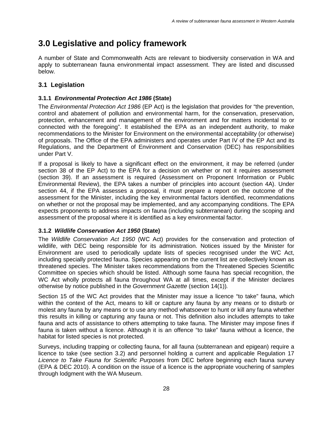## **3.0 Legislative and policy framework**

A number of State and Commonwealth Acts are relevant to biodiversity conservation in WA and apply to subterranean fauna environmental impact assessment. They are listed and discussed below.

#### **3.1 Legislation**

#### **3.1.1** *Environmental Protection Act 1986* **(State)**

The *Environmental Protection Act 1986* (EP Act) is the legislation that provides for "the prevention, control and abatement of pollution and environmental harm, for the conservation, preservation, protection, enhancement and management of the environment and for matters incidental to or connected with the foregoing". It established the EPA as an independent authority, to make recommendations to the Minister for Environment on the environmental acceptability (or otherwise) of proposals. The Office of the EPA administers and operates under Part IV of the EP Act and its Regulations, and the Department of Environment and Conservation (DEC) has responsibilities under Part V.

If a proposal is likely to have a significant effect on the environment, it may be referred (under section 38 of the EP Act) to the EPA for a decision on whether or not it requires assessment (section 39). If an assessment is required (Assessment on Proponent Information or Public Environmental Review), the EPA takes a number of principles into account (section 4A). Under section 44, if the EPA assesses a proposal, it must prepare a report on the outcome of the assessment for the Minister, including the key environmental factors identified, recommendations on whether or not the proposal may be implemented, and any accompanying conditions. The EPA expects proponents to address impacts on fauna (including subterranean) during the scoping and assessment of the proposal where it is identified as a key environmental factor.

#### **3.1.2** *Wildlife Conservation Act 1950* **(State)**

The *Wildlife Conservation Act 1950* (WC Act) provides for the conservation and protection of wildlife, with DEC being responsible for its administration. Notices issued by the Minister for Environment are used to periodically update lists of species recognised under the WC Act, including specially protected fauna. Species appearing on the current list are collectively known as threatened species. The Minister takes recommendations from the Threatened Species Scientific Committee on species which should be listed. Although some fauna has special recognition, the WC Act wholly protects all fauna throughout WA at all times, except if the Minister declares otherwise by notice published in the *Government Gazette* (section 14(1))*.* 

Section 15 of the WC Act provides that the Minister may issue a licence "to take" fauna, which within the context of the Act, means to kill or capture any fauna by any means or to disturb or molest any fauna by any means or to use any method whatsoever to hunt or kill any fauna whether this results in killing or capturing any fauna or not. This definition also includes attempts to take fauna and acts of assistance to others attempting to take fauna. The Minister may impose fines if fauna is taken without a licence. Although it is an offence "to take" fauna without a licence, the habitat for listed species is not protected.

Surveys, including trapping or collecting fauna, for all fauna (subterranean and epigean) require a licence to take (see section 3.2) and personnel holding a current and applicable Regulation 17 *Licence to Take Fauna for Scientific Purposes* from DEC before beginning each fauna survey (EPA & DEC 2010). A condition on the issue of a licence is the appropriate vouchering of samples through lodgment with the WA Museum.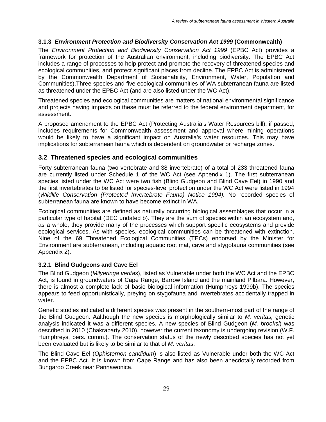#### **3.1.3** *Environment Protection and Biodiversity Conservation Act 1999* **(Commonwealth)**

The *Environment Protection and Biodiversity Conservation Act 1999* (EPBC Act) provides a framework for protection of the Australian environment, including biodiversity. The EPBC Act includes a range of processes to help protect and promote the recovery of threatened species and ecological communities, and protect significant places from decline. The EPBC Act is administered by the Commonwealth Department of Sustainability, Environment, Water, Population and Communities).Three species and five ecological communities of WA subterranean fauna are listed as threatened under the EPBC Act (and are also listed under the WC Act).

Threatened species and ecological communities are matters of national environmental significance and projects having impacts on these must be referred to the federal environment department, for assessment.

A proposed amendment to the EPBC Act (Protecting Australia's Water Resources bill), if passed, includes requirements for Commonwealth assessment and approval where mining operations would be likely to have a significant impact on Australia's water resources. This may have implications for subterranean fauna which is dependent on groundwater or recharge zones.

#### **3.2 Threatened species and ecological communities**

Forty subterranean fauna (two vertebrate and 38 invertebrate) of a total of 233 threatened fauna are currently listed under Schedule 1 of the WC Act (see Appendix 1). The first subterranean species listed under the WC Act were two fish (Blind Gudgeon and Blind Cave Eel) in 1990 and the first invertebrates to be listed for species-level protection under the WC Act were listed in 1994 (*Wildlife Conservation (Protected Invertebrate Fauna) Notice 1994).* No recorded species of subterranean fauna are known to have become extinct in WA.

Ecological communities are defined as naturally occurring biological assemblages that occur in a particular type of habitat (DEC undated b). They are the sum of species within an ecosystem and, as a whole, they provide many of the processes which support specific ecosystems and provide ecological services. As with species, ecological communities can be threatened with extinction. Nine of the 69 Threatened Ecological Communities (TECs) endorsed by the Minister for Environment are subterranean, including aquatic root mat, cave and stygofauna communities (see Appendix 2).

#### **3.2.1 Blind Gudgeons and Cave Eel**

The Blind Gudgeon (*Milyeringa veritas*), listed as Vulnerable under both the WC Act and the EPBC Act, is found in groundwaters of Cape Range, Barrow Island and the mainland Pilbara. However, there is almost a complete lack of basic biological information (Humphreys 1999b). The species appears to feed opportunistically, preying on stygofauna and invertebrates accidentally trapped in water.

Genetic studies indicated a different species was present in the southern-most part of the range of the Blind Gudgeon. Aalthough the new species is morphologically similar to *M. veritas,* genetic analysis indicated it was a different species. A new species of Blind Gudgeon (*M. brooksi*) was described in 2010 (Chakrabarty 2010), however the current taxonomy is undergoing revision (W.F. Humphreys, pers. comm.). The conservation status of the newly described species has not yet been evaluated but is likely to be similar to that of *M. veritas*.

The Blind Cave Eel (*Ophisternon candidum*) is also listed as Vulnerable under both the WC Act and the EPBC Act. It is known from Cape Range and has also been anecdotally recorded from Bungaroo Creek near Pannawonica.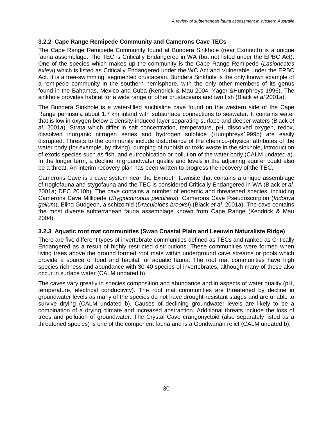#### **3.2.2 Cape Range Remipede Community and Camerons Cave TECs**

The Cape Range Remipede Community found at Bundera Sinkhole (near Exmouth) is a unique fauna assemblage. The TEC is Critically Endangered in WA (but not listed under the EPBC Act). One of the species which makes up the community is the Cape Range Remipede (*Lasionectes exleyi*) which is listed as Critically Endangered under the WC Act and Vulnerable under the EPBC Act. It is a free-swimming, segmented crustacean. Bundera Sinkhole is the only known example of a remipede community in the southern hemisphere, with the only other members of its genus found in the Bahamas, Mexico and Cuba (Kendrick & Mau 2004; Yager &Humphreys 1996). The sinkhole provides habitat for a wide range of other crustaceans and two fish (Black *et al.*2001a).

The Bundera Sinkhole is a water-filled anchialine cave found on the western side of the Cape Range peninsula about 1.7 km inland with subsurface connections to seawater. It contains water that is low in oxygen below a density-induced layer separating surface and deeper waters (Black *et al.* 2001a). Strata which differ in salt concentration, temperature, pH, dissolved oxygen, redox, dissolved inorganic nitrogen series and hydrogen sulphide (Humphreys1999b) are easily disrupted. Threats to the community include disturbance of the chemico-physical attributes of the water body (for example, by diving), dumping of rubbish or toxic waste in the sinkhole, introduction of exotic species such as fish, and eutrophication or pollution of the water body (CALM undated a). In the longer term, a decline in groundwater quality and levels in the adjoining aquifer could also be a threat. An interim recovery plan has been written to progress the recovery of the TEC.

Camerons Cave is a cave system near the Exmouth townsite that contains a unique assemblage of troglofauna and stygofauna and the TEC is considered Critically Endangered in WA (Black *et al.* 2001a; DEC 2010b). The cave contains a number of endemic and threatened species, including Camerons Cave Millipede (*Stygiochiropus peculiaris*), Camerons Cave Pseudoscorpion (*Indohya gollum*), Blind Gudgeon, a schizomid (*Draculoides brooksi*) (Black *et al.* 2001a). The cave contains the most diverse subterranean fauna assemblage known from Cape Range (Kendrick & Mau 2004).

#### **3.2.3 Aquatic root mat communities (Swan Coastal Plain and Leeuwin Naturaliste Ridge)**

There are five different types of invertebrate communities defined as TECs and ranked as Critically Endangered as a result of highly restricted distributions. These communities were formed when living trees above the ground formed root mats within underground cave streams or pools which provide a source of food and habitat for aquatic fauna. The root mat communities have high species richness and abundance with 30-40 species of invertebrates, although many of these also occur in surface water (CALM undated b).

The caves vary greatly in species composition and abundance and in aspects of water quality (pH, temperature, electrical conductivity). The root mat communities are threatened by decline in groundwater levels as many of the species do not have drought-resistant stages and are unable to survive drying (CALM undated b). Causes of declining groundwater levels are likely to be a combination of a drying climate and increased abstraction. Additional threats include the loss of trees and pollution of groundwater. The Crystal Cave crangonyctoid (also separately listed as a threatened species) is one of the component fauna and is a Gondwanan relict (CALM undated b).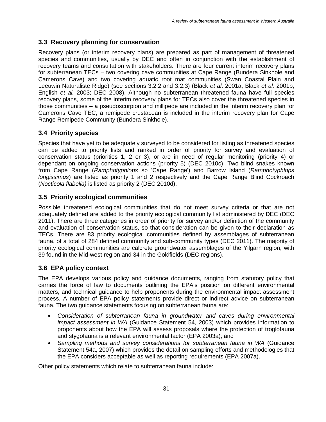#### **3.3 Recovery planning for conservation**

Recovery plans (or interim recovery plans) are prepared as part of management of threatened species and communities, usually by DEC and often in conjunction with the establishment of recovery teams and consultation with stakeholders. There are four current interim recovery plans for subterranean TECs – two covering cave communities at Cape Range (Bundera Sinkhole and Camerons Cave) and two covering aquatic root mat communities (Swan Coastal Plain and Leeuwin Naturaliste Ridge) (see sections 3.2.2 and 3.2.3) (Black *et al*. 2001a; Black *et al.* 2001b; English *et al.* 2003; DEC 2008). Although no subterranean threatened fauna have full species recovery plans, some of the interim recovery plans for TECs also cover the threatened species in those communities – a pseudoscorpion and millipede are included in the interim recovery plan for Camerons Cave TEC; a remipede crustacean is included in the interim recovery plan for Cape Range Remipede Community (Bundera Sinkhole).

#### **3.4 Priority species**

Species that have yet to be adequately surveyed to be considered for listing as threatened species can be added to priority lists and ranked in order of priority for survey and evaluation of conservation status (priorities 1, 2 or 3), or are in need of regular monitoring (priority 4) or dependant on ongoing conservation actions (priority 5) (DEC 2010c). Two blind snakes known from Cape Range (*Ramphotyphlops* sp 'Cape Range') and Barrow Island (*Ramphotyphlops longissimus*) are listed as priority 1 and 2 respectively and the Cape Range Blind Cockroach (*Nocticola flabella)* is listed as priority 2 (DEC 2010d).

#### **3.5 Priority ecological communities**

Possible threatened ecological communities that do not meet survey criteria or that are not adequately defined are added to the priority ecological community list administered by DEC (DEC 2011). There are three categories in order of priority for survey and/or definition of the community and evaluation of conservation status, so that consideration can be given to their declaration as TECs. There are 83 priority ecological communities defined by assemblages of subterranean fauna, of a total of 284 defined community and sub-community types (DEC 2011). The majority of priority ecological communities are calcrete groundwater assemblages of the Yilgarn region, with 39 found in the Mid-west region and 34 in the Goldfields (DEC regions).

#### **3.6 EPA policy context**

The EPA develops various policy and guidance documents, ranging from statutory policy that carries the force of law to documents outlining the EPA's position on different environmental matters, and technical guidance to help proponents during the environmental impact assessment process. A number of EPA policy statements provide direct or indirect advice on subterranean fauna. The two guidance statements focusing on subterranean fauna are:

- *Consideration of subterranean fauna in groundwater and caves during environmental impact assessment in WA* (Guidance Statement 54, 2003) which provides information to proponents about how the EPA will assess proposals where the protection of troglofauna and stygofauna is a relevant environmental factor (EPA 2003a); and
- *Sampling methods and survey considerations for subterranean fauna in WA* (Guidance Statement 54a, 2007) which provides the detail on sampling efforts and methodologies that the EPA considers acceptable as well as reporting requirements (EPA 2007a).

Other policy statements which relate to subterranean fauna include: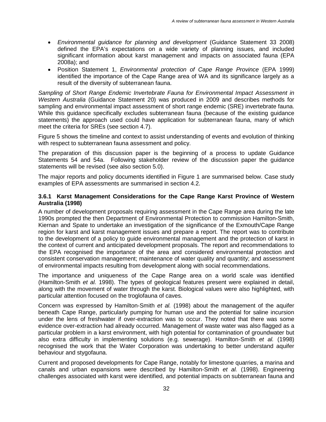- *Environmental guidance for planning and development* (Guidance Statement 33 2008) defined the EPA's expectations on a wide variety of planning issues, and included significant information about karst management and impacts on associated fauna (EPA 2008a); and
- Position Statement 1, *Environmental protection of Cape Range Province* (EPA 1999) identified the importance of the Cape Range area of WA and its significance largely as a result of the diversity of subterranean fauna.

*Sampling of Short Range Endemic Invertebrate Fauna for Environmental Impact Assessment in Western Australia* (Guidance Statement 20) was produced in 2009 and describes methods for sampling and environmental impact assessment of short range endemic (SRE) invertebrate fauna. While this guidance specifically excludes subterranean fauna (because of the existing guidance statements) the approach used could have application for subterranean fauna, many of which meet the criteria for SREs (see section 4.7).

Figure 5 shows the timeline and context to assist understanding of events and evolution of thinking with respect to subterranean fauna assessment and policy.

The preparation of this discussion paper is the beginning of a process to update Guidance Statements 54 and 54a. Following stakeholder review of the discussion paper the guidance statements will be revised (see also section 5.0).

The major reports and policy documents identified in Figure 1 are summarised below. Case study examples of EPA assessments are summarised in section 4.2.

#### **3.6.1 Karst Management Considerations for the Cape Range Karst Province of Western Australia (1998)**

A number of development proposals requiring assessment in the Cape Range area during the late 1990s prompted the then Department of Environmental Protection to commission Hamilton-Smith, Kiernan and Spate to undertake an investigation of the significance of the Exmouth/Cape Range region for karst and karst management issues and prepare a report. The report was to contribute to the development of a policy to guide environmental management and the protection of karst in the context of current and anticipated development proposals. The report and recommendations to the EPA recognised the importance of the area and considered environmental protection and consistent conservation management; maintenance of water quality and quantity; and assessment of environmental impacts resulting from development along with social recommendations.

The importance and uniqueness of the Cape Range area on a world scale was identified (Hamilton-Smith *et al.* 1998). The types of geological features present were explained in detail, along with the movement of water through the karst. Biological values were also highlighted, with particular attention focused on the troglofauna of caves.

Concern was expressed by Hamilton-Smith *et al.* (1998) about the management of the aquifer beneath Cape Range, particularly pumping for human use and the potential for saline incursion under the lens of freshwater if over-extraction was to occur. They noted that there was some evidence over-extraction had already occurred. Management of waste water was also flagged as a particular problem in a karst environment, with high potential for contamination of groundwater but also extra difficulty in implementing solutions (e.g. sewerage). Hamilton-Smith *et al.* (1998) recognised the work that the Water Corporation was undertaking to better understand aquifer behaviour and stygofauna.

Current and proposed developments for Cape Range, notably for limestone quarries, a marina and canals and urban expansions were described by Hamilton-Smith *et al.* (1998). Engineering challenges associated with karst were identified, and potential impacts on subterranean fauna and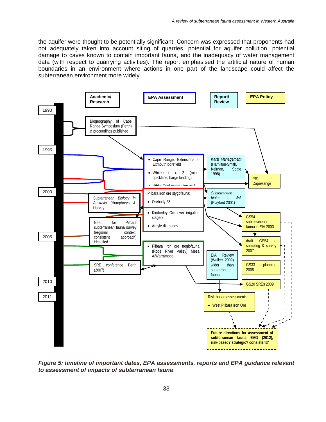the aquifer were thought to be potentially significant. Concern was expressed that proponents had not adequately taken into account siting of quarries, potential for aquifer pollution, potential damage to caves known to contain important fauna, and the inadequacy of water management data (with respect to quarrying activities). The report emphasised the artificial nature of human boundaries in an environment where actions in one part of the landscape could affect the subterranean environment more widely.



*Figure 5: timeline of important dates, EPA assessments, reports and EPA guidance relevant to assessment of impacts of subterranean fauna*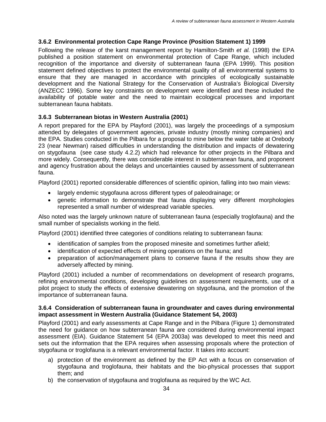#### **3.6.2 Environmental protection Cape Range Province (Position Statement 1) 1999**

Following the release of the karst management report by Hamilton-Smith *et al.* (1998) the EPA published a position statement on environmental protection of Cape Range, which included recognition of the importance and diversity of subterranean fauna (EPA 1999). This position statement defined objectives to protect the environmental quality of all environmental systems to ensure that they are managed in accordance with principles of ecologically sustainable development and the National Strategy for the Conservation of Australia's Biological Diversity (ANZECC 1996). Some key constraints on development were identified and these included the availability of potable water and the need to maintain ecological processes and important subterranean fauna habitats.

#### **3.6.3 Subterranean biotas in Western Australia (2001)**

A report prepared for the EPA by Playford (2001), was largely the proceedings of a symposium attended by delegates of government agencies, private industry (mostly mining companies) and the EPA. Studies conducted in the Pilbara for a proposal to mine below the water table at Orebody 23 (near Newman) raised difficulties in understanding the distribution and impacts of dewatering on stygofauna (see case study 4.2.2) which had relevance for other projects in the Pilbara and more widely. Consequently, there was considerable interest in subterranean fauna, and proponent and agency frustration about the delays and uncertainties caused by assessment of subterranean fauna.

Playford (2001) reported considerable differences of scientific opinion, falling into two main views:

- largely endemic stygofauna across different types of paleodrainage; or
- genetic information to demonstrate that fauna displaying very different morphologies represented a small number of widespread variable species.

Also noted was the largely unknown nature of subterranean fauna (especially troglofauna) and the small number of specialists working in the field.

Playford (2001) identified three categories of conditions relating to subterranean fauna:

- identification of samples from the proposed minesite and sometimes further afield;
- identification of expected effects of mining operations on the fauna; and
- preparation of action/management plans to conserve fauna if the results show they are adversely affected by mining.

Playford (2001) included a number of recommendations on development of research programs, refining environmental conditions, developing guidelines on assessment requirements, use of a pilot project to study the effects of extensive dewatering on stygofauna, and the promotion of the importance of subterranean fauna.

#### **3.6.4 Consideration of subterranean fauna in groundwater and caves during environmental impact assessment in Western Australia (Guidance Statement 54, 2003)**

Playford (2001) and early assessments at Cape Range and in the Pilbara (Figure 1) demonstrated the need for guidance on how subterranean fauna are considered during environmental impact assessment (EIA). Guidance Statement 54 (EPA 2003a) was developed to meet this need and sets out the information that the EPA requires when assessing proposals where the protection of stygofauna or troglofauna is a relevant environmental factor. It takes into account:

- a) protection of the environment as defined by the EP Act with a focus on conservation of stygofauna and troglofauna, their habitats and the bio-physical processes that support them; and
- b) the conservation of stygofauna and troglofauna as required by the WC Act.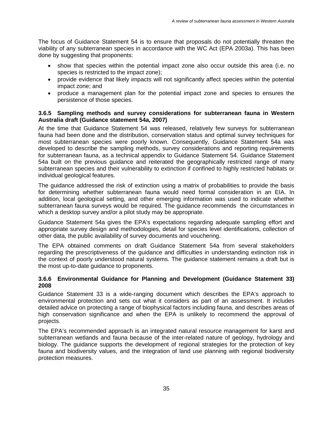The focus of Guidance Statement 54 is to ensure that proposals do not potentially threaten the viability of any subterranean species in accordance with the WC Act (EPA 2003a). This has been done by suggesting that proponents:

- show that species within the potential impact zone also occur outside this area (i.e. no species is restricted to the impact zone);
- provide evidence that likely impacts will not significantly affect species within the potential impact zone; and
- produce a management plan for the potential impact zone and species to ensures the persistence of those species.

#### **3.6.5 Sampling methods and survey considerations for subterranean fauna in Western Australia draft (Guidance statement 54a, 2007)**

At the time that Guidance Statement 54 was released, relatively few surveys for subterranean fauna had been done and the distribution, conservation status and optimal survey techniques for most subterranean species were poorly known. Consequently, Guidance Statement 54a was developed to describe the sampling methods, survey considerations and reporting requirements for subterranean fauna, as a technical appendix to Guidance Statement 54. Guidance Statement 54a built on the previous guidance and reiterated the geographically restricted range of many subterranean species and their vulnerability to extinction if confined to highly restricted habitats or individual geological features.

The guidance addressed the risk of extinction using a matrix of probabilities to provide the basis for determining whether subterranean fauna would need formal consideration in an EIA. In addition, local geological setting, and other emerging information was used to indicate whether subterranean fauna surveys would be required. The guidance recommends the circumstances in which a desktop survey and/or a pilot study may be appropriate.

Guidance Statement 54a gives the EPA's expectations regarding adequate sampling effort and appropriate survey design and methodologies, detail for species level identifications, collection of other data, the public availability of survey documents and vouchering.

The EPA obtained comments on draft Guidance Statement 54a from several stakeholders regarding the prescriptiveness of the guidance and difficulties in understanding extinction risk in the context of poorly understood natural systems. The guidance statement remains a draft but is the most up-to-date guidance to proponents.

#### **3.6.6 Environmental Guidance for Planning and Development (Guidance Statement 33) 2008**

Guidance Statement 33 is a wide-ranging document which describes the EPA's approach to environmental protection and sets out what it considers as part of an assessment. It includes detailed advice on protecting a range of biophysical factors including fauna, and describes areas of high conservation significance and when the EPA is unlikely to recommend the approval of projects.

The EPA's recommended approach is an integrated natural resource management for karst and subterranean wetlands and fauna because of the inter-related nature of geology, hydrology and biology. The guidance supports the development of regional strategies for the protection of key fauna and biodiversity values, and the integration of land use planning with regional biodiversity protection measures.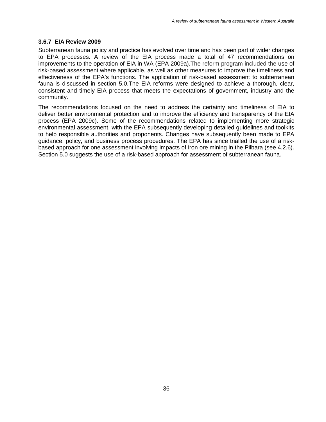#### **3.6.7 EIA Review 2009**

Subterranean fauna policy and practice has evolved over time and has been part of wider changes to EPA processes. A review of the EIA process made a total of 47 recommendations on improvements to the operation of EIA in WA (EPA 2009a).The reform program included the use of risk-based assessment where applicable, as well as other measures to improve the timeliness and effectiveness of the EPA's functions. The application of risk-based assessment to subterranean fauna is discussed in section 5.0.The EIA reforms were designed to achieve a thorough, clear, consistent and timely EIA process that meets the expectations of government, industry and the community.

The recommendations focused on the need to address the certainty and timeliness of EIA to deliver better environmental protection and to improve the efficiency and transparency of the EIA process (EPA 2009c). Some of the recommendations related to implementing more strategic environmental assessment, with the EPA subsequently developing detailed guidelines and toolkits to help responsible authorities and proponents. Changes have subsequently been made to EPA guidance, policy, and business process procedures. The EPA has since trialled the use of a riskbased approach for one assessment involving impacts of iron ore mining in the Pilbara (see 4.2.6). Section 5.0 suggests the use of a risk-based approach for assessment of subterranean fauna.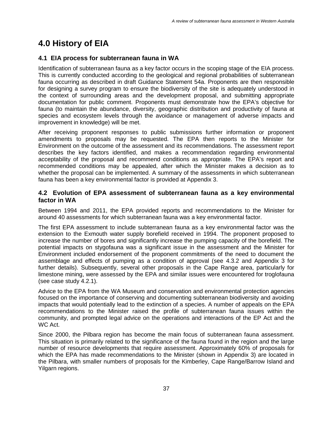# **4.0 History of EIA**

## **4.1 EIA process for subterranean fauna in WA**

Identification of subterranean fauna as a key factor occurs in the scoping stage of the EIA process. This is currently conducted according to the geological and regional probabilities of subterranean fauna occurring as described in draft Guidance Statement 54a. Proponents are then responsible for designing a survey program to ensure the biodiversity of the site is adequately understood in the context of surrounding areas and the development proposal, and submitting appropriate documentation for public comment. Proponents must demonstrate how the EPA's objective for fauna (to maintain the abundance, diversity, geographic distribution and productivity of fauna at species and ecosystem levels through the avoidance or management of adverse impacts and improvement in knowledge) will be met.

After receiving proponent responses to public submissions further information or proponent amendments to proposals may be requested. The EPA then reports to the Minister for Environment on the outcome of the assessment and its recommendations. The assessment report describes the key factors identified, and makes a recommendation regarding environmental acceptability of the proposal and recommend conditions as appropriate. The EPA's report and recommended conditions may be appealed, after which the Minister makes a decision as to whether the proposal can be implemented. A summary of the assessments in which subterranean fauna has been a key environmental factor is provided at Appendix 3.

#### **4.2 Evolution of EPA assessment of subterranean fauna as a key environmental factor in WA**

Between 1994 and 2011, the EPA provided reports and recommendations to the Minister for around 40 assessments for which subterranean fauna was a key environmental factor.

The first EPA assessment to include subterranean fauna as a key environmental factor was the extension to the Exmouth water supply borefield received in 1994. The proponent proposed to increase the number of bores and significantly increase the pumping capacity of the borefield. The potential impacts on stygofauna was a significant issue in the assessment and the Minister for Environment included endorsement of the proponent commitments of the need to document the assemblage and effects of pumping as a condition of approval (see 4.3.2 and Appendix 3 for further details). Subsequently, several other proposals in the Cape Range area, particularly for limestone mining, were assessed by the EPA and similar issues were encountered for troglofauna (see case study 4.2.1).

Advice to the EPA from the WA Museum and conservation and environmental protection agencies focused on the importance of conserving and documenting subterranean biodiversity and avoiding impacts that would potentially lead to the extinction of a species. A number of appeals on the EPA recommendations to the Minister raised the profile of subterranean fauna issues within the community, and prompted legal advice on the operations and interactions of the EP Act and the WC Act.

Since 2000, the Pilbara region has become the main focus of subterranean fauna assessment. This situation is primarily related to the significance of the fauna found in the region and the large number of resource developments that require assessment. Approximately 60% of proposals for which the EPA has made recommendations to the Minister (shown in Appendix 3) are located in the Pilbara, with smaller numbers of proposals for the Kimberley, Cape Range/Barrow Island and Yilgarn regions.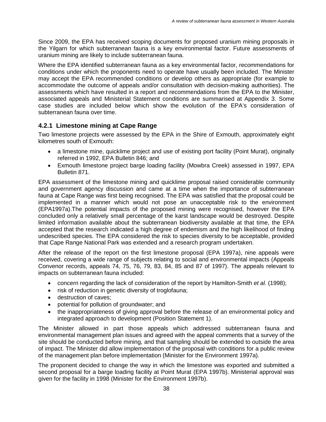Since 2009, the EPA has received scoping documents for proposed uranium mining proposals in the Yilgarn for which subterranean fauna is a key environmental factor. Future assessments of uranium mining are likely to include subterranean fauna.

Where the EPA identified subterranean fauna as a key environmental factor, recommendations for conditions under which the proponents need to operate have usually been included. The Minister may accept the EPA recommended conditions or develop others as appropriate (for example to accommodate the outcome of appeals and/or consultation with decision-making authorities). The assessments which have resulted in a report and recommendations from the EPA to the Minister, associated appeals and Ministerial Statement conditions are summarised at Appendix 3. Some case studies are included below which show the evolution of the EPA's consideration of subterranean fauna over time.

## **4.2.1 Limestone mining at Cape Range**

Two limestone projects were assessed by the EPA in the Shire of Exmouth, approximately eight kilometres south of Exmouth:

- a limestone mine, quicklime project and use of existing port facility (Point Murat), originally referred in 1992, EPA Bulletin 846; and
- Exmouth limestone project barge loading facility (Mowbra Creek) assessed in 1997, EPA Bulletin 871.

EPA assessment of the limestone mining and quicklime proposal raised considerable community and government agency discussion and came at a time when the importance of subterranean fauna at Cape Range was first being recognised. The EPA was satisfied that the proposal could be implemented in a manner which would not pose an unacceptable risk to the environment (EPA1997a).The potential impacts of the proposed mining were recognised, however the EPA concluded only a relatively small percentage of the karst landscape would be destroyed. Despite limited information available about the subterranean biodiversity available at that time, the EPA accepted that the research indicated a high degree of endemism and the high likelihood of finding undescribed species. The EPA considered the risk to species diversity to be acceptable, provided that Cape Range National Park was extended and a research program undertaken.

After the release of the report on the first limestone proposal (EPA 1997a), nine appeals were received, covering a wide range of subjects relating to social and environmental impacts (Appeals Convenor records, appeals 74, 75, 76, 79, 83, 84, 85 and 87 of 1997). The appeals relevant to impacts on subterranean fauna included:

- concern regarding the lack of consideration of the report by Hamilton-Smith *et al.* (1998);
- risk of reduction in genetic diversity of troglofauna;
- destruction of caves;
- potential for pollution of groundwater; and
- the inappropriateness of giving approval before the release of an environmental policy and integrated approach to development (Position Statement 1).

The Minister allowed in part those appeals which addressed subterranean fauna and environmental management plan issues and agreed with the appeal comments that a survey of the site should be conducted before mining, and that sampling should be extended to outside the area of impact. The Minister did allow implementation of the proposal with conditions for a public review of the management plan before implementation (Minister for the Environment 1997a).

The proponent decided to change the way in which the limestone was exported and submitted a second proposal for a barge loading facility at Point Murat (EPA 1997b). Ministerial approval was given for the facility in 1998 (Minister for the Environment 1997b).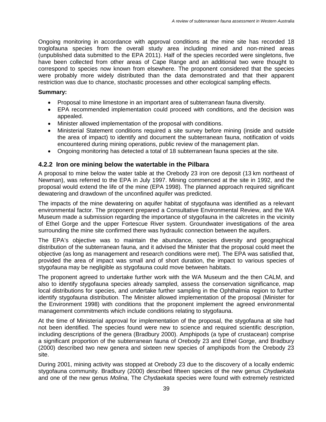Ongoing monitoring in accordance with approval conditions at the mine site has recorded 18 troglofauna species from the overall study area including mined and non-mined areas (unpublished data submitted to the EPA 2011). Half of the species recorded were singletons, five have been collected from other areas of Cape Range and an additional two were thought to correspond to species now known from elsewhere. The proponent considered that the species were probably more widely distributed than the data demonstrated and that their apparent restriction was due to chance, stochastic processes and other ecological sampling effects.

#### **Summary:**

- Proposal to mine limestone in an important area of subterranean fauna diversity.
- EPA recommended implementation could proceed with conditions, and the decision was appealed.
- Minister allowed implementation of the proposal with conditions.
- Ministerial Statement conditions required a site survey before mining (inside and outside the area of impact) to identify and document the subterranean fauna, notification of voids encountered during mining operations, public review of the management plan.
- Ongoing monitoring has detected a total of 18 subterranean fauna species at the site.

#### **4.2.2 Iron ore mining below the watertable in the Pilbara**

A proposal to mine below the water table at the Orebody 23 iron ore deposit (13 km northeast of Newman), was referred to the EPA in July 1997. Mining commenced at the site in 1992, and the proposal would extend the life of the mine (EPA 1998). The planned approach required significant dewatering and drawdown of the unconfined aquifer was predicted.

The impacts of the mine dewatering on aquifer habitat of stygofauna was identified as a relevant environmental factor. The proponent prepared a Consultative Environmental Review, and the WA Museum made a submission regarding the importance of stygofauna in the calcretes in the vicinity of Ethel Gorge and the upper Fortescue River system. Groundwater investigations of the area surrounding the mine site confirmed there was hydraulic connection between the aquifers.

The EPA's objective was to maintain the abundance, species diversity and geographical distribution of the subterranean fauna, and it advised the Minister that the proposal could meet the objective (as long as management and research conditions were met). The EPA was satisfied that, provided the area of impact was small and of short duration, the impact to various species of stygofauna may be negligible as stygofauna could move between habitats.

The proponent agreed to undertake further work with the WA Museum and the then CALM, and also to identify stygofauna species already sampled, assess the conservation significance, map local distributions for species, and undertake further sampling in the Ophthalmia region to further identify stygofauna distribution. The Minister allowed implementation of the proposal (Minister for the Environment 1998) with conditions that the proponent implement the agreed environmental management commitments which include conditions relating to stygofauna.

At the time of Ministerial approval for implementation of the proposal, the stygofauna at site had not been identified. The species found were new to science and required scientific description, including descriptions of the genera (Bradbury 2000). Amphipods (a type of crustacean) comprise a significant proportion of the subterranean fauna of Orebody 23 and Ethel Gorge, and Bradbury (2000) described two new genera and sixteen new species of amphipods from the Orebody 23 site.

During 2001, mining activity was stopped at Orebody 23 due to the discovery of a locally endemic stygofauna community. Bradbury (2000) described fifteen species of the new genus *Chydaekata* and one of the new genus *Molina*, The *Chydaekata* species were found with extremely restricted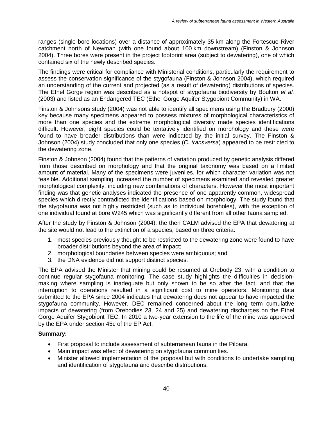ranges (single bore locations) over a distance of approximately 35 km along the Fortescue River catchment north of Newman (with one found about 100 km downstream) (Finston & Johnson 2004). Three bores were present in the project footprint area (subject to dewatering), one of which contained six of the newly described species.

The findings were critical for compliance with Ministerial conditions, particularly the requirement to assess the conservation significance of the stygofauna (Finston & Johnson 2004), which required an understanding of the current and projected (as a result of dewatering) distributions of species. The Ethel Gorge region was described as a hotspot of stygofauna biodiversity by Boulton *et al.* (2003) and listed as an Endangered TEC (Ethel Gorge Aquifer Stygobiont Community) in WA.

Finston & Johnsons study (2004) was not able to identify all specimens using the Bradbury (2000) key because many specimens appeared to possess mixtures of morphological characteristics of more than one species and the extreme morphological diversity made species identifications difficult. However, eight species could be tentatively identified on morphology and these were found to have broader distributions than were indicated by the initial survey. The Finston & Johnson (2004) study concluded that only one species (*C. transversa*) appeared to be restricted to the dewatering zone.

Finston & Johnson (2004) found that the patterns of variation produced by genetic analysis differed from those described on morphology and that the original taxonomy was based on a limited amount of material. Many of the specimens were juveniles, for which character variation was not feasible. Additional sampling increased the number of specimens examined and revealed greater morphological complexity, including new combinations of characters. However the most important finding was that genetic analyses indicated the presence of one apparently common, widespread species which directly contradicted the identifications based on morphology. The study found that the stygofauna was not highly restricted (such as to individual boreholes), with the exception of one individual found at bore W245 which was significantly different from all other fauna sampled.

After the study by Finston & Johnson (2004), the then CALM advised the EPA that dewatering at the site would not lead to the extinction of a species, based on three criteria:

- 1. most species previously thought to be restricted to the dewatering zone were found to have broader distributions beyond the area of impact;
- 2. morphological boundaries between species were ambiguous; and
- 3. the DNA evidence did not support distinct species.

The EPA advised the Minister that mining could be resumed at Orebody 23, with a condition to continue regular stygofauna monitoring. The case study highlights the difficulties in decisionmaking where sampling is inadequate but only shown to be so after the fact, and that the interruption to operations resulted in a significant cost to mine operators. Monitoring data submitted to the EPA since 2004 indicates that dewatering does not appear to have impacted the stygofauna community. However, DEC remained concerned about the long term cumulative impacts of dewatering (from Orebodies 23, 24 and 25) and dewatering discharges on the Ethel Gorge Aquifer Stygobiont TEC. In 2010 a two-year extension to the life of the mine was approved by the EPA under section 45c of the EP Act.

#### **Summary:**

- First proposal to include assessment of subterranean fauna in the Pilbara.
- Main impact was effect of dewatering on stygofauna communities.
- Minister allowed implementation of the proposal but with conditions to undertake sampling and identification of stygofauna and describe distributions.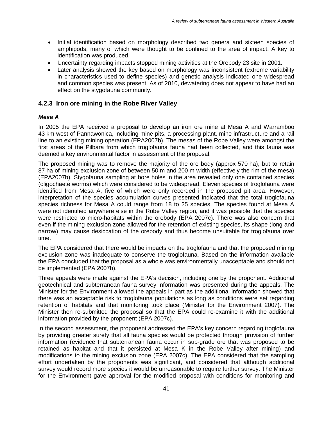- Initial identification based on morphology described two genera and sixteen species of amphipods, many of which were thought to be confined to the area of impact. A key to identification was produced.
- Uncertainty regarding impacts stopped mining activities at the Orebody 23 site in 2001.
- Later analysis showed the key based on morphology was inconsistent (extreme variability in characteristics used to define species) and genetic analysis indicated one widespread and common species was present. As of 2010, dewatering does not appear to have had an effect on the stygofauna community.

#### **4.2.3 Iron ore mining in the Robe River Valley**

#### *Mesa A*

In 2005 the EPA received a proposal to develop an iron ore mine at Mesa A and Warramboo 43 km west of Pannawonica, including mine pits, a processing plant, mine infrastructure and a rail line to an existing mining operation (EPA2007b). The mesas of the Robe Valley were amongst the first areas of the Pilbara from which troglofauna fauna had been collected, and this fauna was deemed a key environmental factor in assessment of the proposal.

The proposed mining was to remove the majority of the ore body (approx 570 ha), but to retain 87 ha of mining exclusion zone of between 50 m and 200 m width (effectively the rim of the mesa) (EPA2007b). Stygofauna sampling at bore holes in the area revealed only one contained species (oligochaete worms) which were considered to be widespread. Eleven species of troglofauna were identified from Mesa A, five of which were only recorded in the proposed pit area. However, interpretation of the species accumulation curves presented indicated that the total troglofauna species richness for Mesa A could range from 18 to 25 species. The species found at Mesa A were not identified anywhere else in the Robe Valley region, and it was possible that the species were restricted to micro-habitats within the orebody (EPA 2007c). There was also concern that even if the mining exclusion zone allowed for the retention of existing species, its shape (long and narrow) may cause desiccation of the orebody and thus become unsuitable for troglofauna over time.

The EPA considered that there would be impacts on the troglofauna and that the proposed mining exclusion zone was inadequate to conserve the troglofauna. Based on the information available the EPA concluded that the proposal as a whole was environmentally unacceptable and should not be implemented (EPA 2007b).

Three appeals were made against the EPA's decision, including one by the proponent. Additional geotechnical and subterranean fauna survey information was presented during the appeals. The Minister for the Environment allowed the appeals in part as the additional information showed that there was an acceptable risk to troglofauna populations as long as conditions were set regarding retention of habitats and that monitoring took place (Minister for the Environment 2007). The Minister then re-submitted the proposal so that the EPA could re-examine it with the additional information provided by the proponent (EPA 2007c).

In the second assessment, the proponent addressed the EPA's key concern regarding troglofauna by providing greater surety that all fauna species would be protected through provision of further information (evidence that subterranean fauna occur in sub-grade ore that was proposed to be retained as habitat and that it persisted at Mesa K in the Robe Valley after mining) and modifications to the mining exclusion zone (EPA 2007c). The EPA considered that the sampling effort undertaken by the proponents was significant, and considered that although additional survey would record more species it would be unreasonable to require further survey. The Minister for the Environment gave approval for the modified proposal with conditions for monitoring and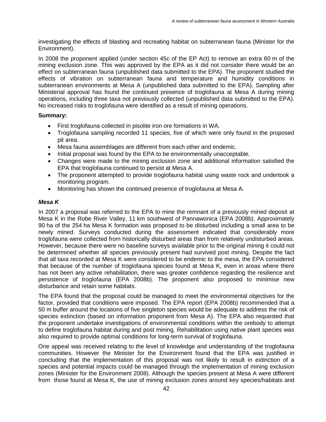investigating the effects of blasting and recreating habitat on subterranean fauna (Minister for the Environment).

In 2008 the proponent applied (under section 45c of the EP Act) to remove an extra 60 m of the mining exclusion zone. This was approved by the EPA as it did not consider there would be an effect on subterranean fauna (unpublished data submitted to the EPA). The proponent studied the effects of vibration on subterranean fauna and temperature and humidity conditions in subterranean environments at Mesa A (unpublished data submitted to the EPA). Sampling after Ministerial approval has found the continued presence of troglofauna at Mesa A during mining operations, including three taxa not previously collected (unpublished data submitted to the EPA). No increased risks to troglofauna were identified as a result of mining operations.

#### **Summary:**

- First troglofauna collected in pisolite iron ore formations in WA.
- Troglofauna sampling recorded 11 species, five of which were only found in the proposed pit area.
- Mesa fauna assemblages are different from each other and endemic.
- Initial proposal was found by the EPA to be environmentally unacceptable.
- Changes were made to the mining exclusion zone and additional information satisfied the EPA that troglofauna continued to persist at Mesa A.
- The proponent attempted to provide troglofauna habitat using waste rock and undertook a monitoring program.
- Monitoring has shown the continued presence of troglofauna at Mesa A.

#### *Mesa K*

In 2007 a proposal was referred to the EPA to mine the remnant of a previously mined deposit at Mesa K in the Robe River Valley, 11 km southwest of Pannawonica (EPA 2008b). Approximately 90 ha of the 254 ha Mesa K formation was proposed to be disturbed including a small area to be newly mined. Surveys conducted during the assessment indicated that considerably more troglofauna were collected from historically disturbed areas than from relatively undisturbed areas. However, because there were no baseline surveys available prior to the original mining it could not be determined whether all species previously present had survived post mining. Despite the fact that all taxa recorded at Mesa K were considered to be endemic to the mesa, the EPA considered that because of the number of troglofauna species found at Mesa K, even in areas where there has not been any active rehabilitation, there was greater confidence regarding the resilience and persistence of troglofauna (EPA 2008b). The proponent also proposed to minimise new disturbance and retain some habitats.

The EPA found that the proposal could be managed to meet the environmental objectives for the factor, provided that conditions were imposed. The EPA report (EPA 2008b) recommended that a 50 m buffer around the locations of five singleton species would be adequate to address the risk of species extinction (based on information proponent from Mesa A). The EPA also requested that the proponent undertake investigations of environmental conditions within the orebody to attempt to define troglofauna habitat during and post mining. Rehabilitation using native plant species was also required to provide optimal conditions for long-term survival of troglofauna.

One appeal was received relating to the level of knowledge and understanding of the troglofauna communities. However the Minister for the Environment found that the EPA was justified in concluding that the implementation of this proposal was not likely to result in extinction of a species and potential impacts could be managed through the implementation of mining exclusion zones (Minister for the Environment 2008). Although the species present at Mesa A were different from those found at Mesa K, the use of mining exclusion zones around key species/habitats and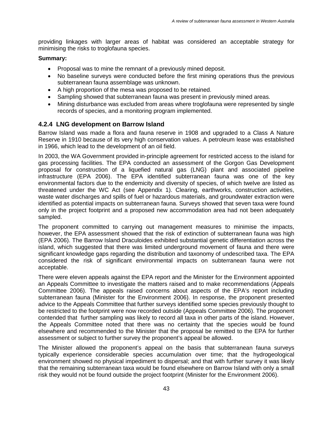providing linkages with larger areas of habitat was considered an acceptable strategy for minimising the risks to troglofauna species.

#### **Summary:**

- Proposal was to mine the remnant of a previously mined deposit.
- No baseline surveys were conducted before the first mining operations thus the previous subterranean fauna assemblage was unknown.
- A high proportion of the mesa was proposed to be retained.
- Sampling showed that subterranean fauna was present in previously mined areas.
- Mining disturbance was excluded from areas where troglofauna were represented by single records of species, and a monitoring program implemented.

### **4.2.4 LNG development on Barrow Island**

Barrow Island was made a flora and fauna reserve in 1908 and upgraded to a Class A Nature Reserve in 1910 because of its very high conservation values. A petroleum lease was established in 1966, which lead to the development of an oil field.

In 2003, the WA Government provided in-principle agreement for restricted access to the island for gas processing facilities. The EPA conducted an assessment of the Gorgon Gas Development proposal for construction of a liquefied natural gas (LNG) plant and associated pipeline infrastructure (EPA 2006). The EPA identified subterranean fauna was one of the key environmental factors due to the endemicity and diversity of species, of which twelve are listed as threatened under the WC Act (see Appendix 1). Clearing, earthworks, construction activities, waste water discharges and spills of fuel or hazardous materials, and groundwater extraction were identified as potential impacts on subterranean fauna. Surveys showed that seven taxa were found only in the project footprint and a proposed new accommodation area had not been adequately sampled.

The proponent committed to carrying out management measures to minimise the impacts, however, the EPA assessment showed that the risk of extinction of subterranean fauna was high (EPA 2006). The Barrow Island Draculoides exhibited substantial genetic differentiation across the island, which suggested that there was limited underground movement of fauna and there were significant knowledge gaps regarding the distribution and taxonomy of undescribed taxa. The EPA considered the risk of significant environmental impacts on subterranean fauna were not acceptable.

There were eleven appeals against the EPA report and the Minister for the Environment appointed an Appeals Committee to investigate the matters raised and to make recommendations (Appeals Committee 2006). The appeals raised concerns about aspects of the EPA's report including subterranean fauna (Minister for the Environment 2006). In response, the proponent presented advice to the Appeals Committee that further surveys identified some species previously thought to be restricted to the footprint were now recorded outside (Appeals Committee 2006). The proponent contended that further sampling was likely to record all taxa in other parts of the island. However, the Appeals Committee noted that there was no certainty that the species would be found elsewhere and recommended to the Minister that the proposal be remitted to the EPA for further assessment or subject to further survey the proponent's appeal be allowed.

The Minister allowed the proponent's appeal on the basis that subterranean fauna surveys typically experience considerable species accumulation over time; that the hydrogeological environment showed no physical impediment to dispersal; and that with further survey it was likely that the remaining subterranean taxa would be found elsewhere on Barrow Island with only a small risk they would not be found outside the project footprint (Minister for the Environment 2006).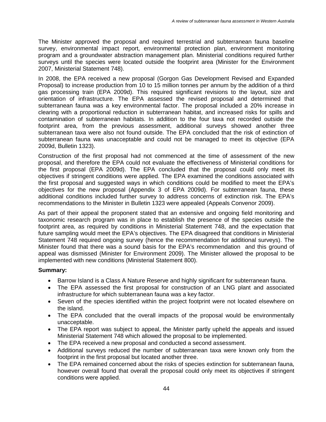The Minister approved the proposal and required terrestrial and subterranean fauna baseline survey, environmental impact report, environmental protection plan, environment monitoring program and a groundwater abstraction management plan. Ministerial conditions required further surveys until the species were located outside the footprint area (Minister for the Environment 2007, Ministerial Statement 748).

In 2008, the EPA received a new proposal (Gorgon Gas Development Revised and Expanded Proposal) to increase production from 10 to 15 million tonnes per annum by the addition of a third gas processing train (EPA 2009d). This required significant revisions to the layout, size and orientation of infrastructure. The EPA assessed the revised proposal and determined that subterranean fauna was a key environmental factor. The proposal included a 20% increase in clearing with a proportional reduction in subterranean habitat, and increased risks for spills and contamination of subterranean habitats. In addition to the four taxa not recorded outside the footprint area, from the previous assessment, additional surveys showed another three subterranean taxa were also not found outside. The EPA concluded that the risk of extinction of subterranean fauna was unacceptable and could not be managed to meet its objective (EPA 2009d, Bulletin 1323).

Construction of the first proposal had not commenced at the time of assessment of the new proposal, and therefore the EPA could not evaluate the effectiveness of Ministerial conditions for the first proposal (EPA 2009d). The EPA concluded that the proposal could only meet its objectives if stringent conditions were applied. The EPA examined the conditions associated with the first proposal and suggested ways in which conditions could be modified to meet the EPA's objectives for the new proposal (Appendix 3 of EPA 2009d). For subterranean fauna, these additional conditions included further survey to address concerns of extinction risk. The EPA's recommendations to the Minister in Bulletin 1323 were appealed (Appeals Convenor 2009).

As part of their appeal the proponent stated that an extensive and ongoing field monitoring and taxonomic research program was in place to establish the presence of the species outside the footprint area, as required by conditions in Ministerial Statement 748, and the expectation that future sampling would meet the EPA's objectives. The EPA disagreed that conditions in Ministerial Statement 748 required ongoing survey (hence the recommendation for additional surveys). The Minister found that there was a sound basis for the EPA's recommendation and this ground of appeal was dismissed (Minister for Environment 2009). The Minister allowed the proposal to be implemented with new conditions (Ministerial Statement 800).

#### **Summary:**

- Barrow Island is a Class A Nature Reserve and highly significant for subterranean fauna.
- The EPA assessed the first proposal for construction of an LNG plant and associated infrastructure for which subterranean fauna was a key factor.
- Seven of the species identified within the project footprint were not located elsewhere on the island.
- The EPA concluded that the overall impacts of the proposal would be environmentally unacceptable.
- The EPA report was subject to appeal, the Minister partly upheld the appeals and issued Ministerial Statement 748 which allowed the proposal to be implemented.
- The EPA received a new proposal and conducted a second assessment.
- Additional surveys reduced the number of subterranean taxa were known only from the footprint in the first proposal but located another three.
- The EPA remained concerned about the risks of species extinction for subterranean fauna, however overall found that overall the proposal could only meet its objectives if stringent conditions were applied.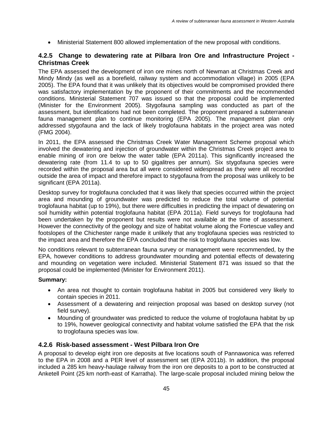• Ministerial Statement 800 allowed implementation of the new proposal with conditions.

#### **4.2.5 Change to dewatering rate at Pilbara Iron Ore and Infrastructure Project - Christmas Creek**

The EPA assessed the development of iron ore mines north of Newman at Christmas Creek and Mindy Mindy (as well as a borefield, railway system and accommodation village) in 2005 (EPA 2005). The EPA found that it was unlikely that its objectives would be compromised provided there was satisfactory implementation by the proponent of their commitments and the recommended conditions. Ministerial Statement 707 was issued so that the proposal could be implemented (Minister for the Environment 2005). Stygofauna sampling was conducted as part of the assessment, but identifications had not been completed. The proponent prepared a subterranean fauna management plan to continue monitoring (EPA 2005). The management plan only addressed stygofauna and the lack of likely troglofauna habitats in the project area was noted (FMG 2004).

In 2011, the EPA assessed the Christmas Creek Water Management Scheme proposal which involved the dewatering and injection of groundwater within the Christmas Creek project area to enable mining of iron ore below the water table (EPA 2011a). This significantly increased the dewatering rate (from 11.4 to up to 50 gigalitres per annum). Six stygofauna species were recorded within the proposal area but all were considered widespread as they were all recorded outside the area of impact and therefore impact to stygofauna from the proposal was unlikely to be significant (EPA 2011a).

Desktop survey for troglofauna concluded that it was likely that species occurred within the project area and mounding of groundwater was predicted to reduce the total volume of potential troglofauna habitat (up to 19%), but there were difficulties in predicting the impact of dewatering on soil humidity within potential troglofauna habitat (EPA 2011a). Field surveys for troglofauna had been undertaken by the proponent but results were not available at the time of assessment. However the connectivity of the geology and size of habitat volume along the Fortescue valley and footslopes of the Chichester range made it unlikely that any troglofauna species was restricted to the impact area and therefore the EPA concluded that the risk to troglofauna species was low.

No conditions relevant to subterranean fauna survey or management were recommended, by the EPA, however conditions to address groundwater mounding and potential effects of dewatering and mounding on vegetation were included. Ministerial Statement 871 was issued so that the proposal could be implemented (Minister for Environment 2011).

#### **Summary:**

- An area not thought to contain troglofauna habitat in 2005 but considered very likely to contain species in 2011.
- Assessment of a dewatering and reinjection proposal was based on desktop survey (not field survey).
- Mounding of groundwater was predicted to reduce the volume of troglofauna habitat by up to 19%, however geological connectivity and habitat volume satisfied the EPA that the risk to troglofauna species was low.

#### **4.2.6 Risk-based assessment - West Pilbara Iron Ore**

A proposal to develop eight iron ore deposits at five locations south of Pannawonica was referred to the EPA in 2008 and a PER level of assessment set (EPA 2011b). In addition, the proposal included a 285 km heavy-haulage railway from the iron ore deposits to a port to be constructed at Anketell Point (25 km north-east of Karratha). The large-scale proposal included mining below the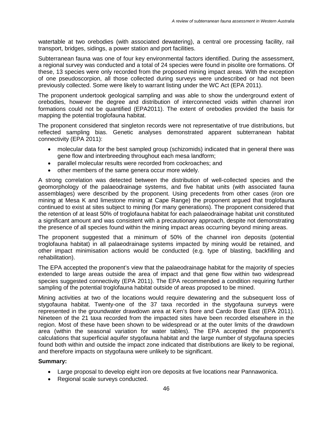watertable at two orebodies (with associated dewatering), a central ore processing facility, rail transport, bridges, sidings, a power station and port facilities.

Subterranean fauna was one of four key environmental factors identified. During the assessment, a regional survey was conducted and a total of 24 species were found in pisolite ore formations. Of these, 13 species were only recorded from the proposed mining impact areas. With the exception of one pseudoscorpion, all those collected during surveys were undescribed or had not been previously collected. Some were likely to warrant listing under the WC Act (EPA 2011).

The proponent undertook geological sampling and was able to show the underground extent of orebodies, however the degree and distribution of interconnected voids within channel iron formations could not be quantified (EPA2011). The extent of orebodies provided the basis for mapping the potential troglofauna habitat.

The proponent considered that singleton records were not representative of true distributions, but reflected sampling bias. Genetic analyses demonstrated apparent subterranean habitat connectivity (EPA 2011):

- molecular data for the best sampled group (schizomids) indicated that in general there was gene flow and interbreeding throughout each mesa landform;
- parallel molecular results were recorded from cockroaches; and
- other members of the same genera occur more widely.

A strong correlation was detected between the distribution of well-collected species and the geomorphology of the palaeodrainage systems, and five habitat units (with associated fauna assemblages) were described by the proponent. Using precedents from other cases (iron ore mining at Mesa K and limestone mining at Cape Range) the proponent argued that troglofauna continued to exist at sites subject to mining (for many generations). The proponent considered that the retention of at least 50% of troglofauna habitat for each palaeodrainage habitat unit constituted a significant amount and was consistent with a precautionary approach, despite not demonstrating the presence of all species found within the mining impact areas occurring beyond mining areas.

The proponent suggested that a minimum of 50% of the channel iron deposits (potential troglofauna habitat) in all palaeodrainage systems impacted by mining would be retained, and other impact minimisation actions would be conducted (e.g. type of blasting, backfilling and rehabilitation).

The EPA accepted the proponent's view that the palaeodrainage habitat for the majority of species extended to large areas outside the area of impact and that gene flow within two widespread species suggested connectivity (EPA 2011). The EPA recommended a condition requiring further sampling of the potential troglofauna habitat outside of areas proposed to be mined.

Mining activities at two of the locations would require dewatering and the subsequent loss of stygofauna habitat. Twenty-one of the 37 taxa recorded in the stygofauna surveys were represented in the groundwater drawdown area at Ken's Bore and Cardo Bore East (EPA 2011). Nineteen of the 21 taxa recorded from the impacted sites have been recorded elsewhere in the region. Most of these have been shown to be widespread or at the outer limits of the drawdown area (within the seasonal variation for water tables). The EPA accepted the proponent's calculations that superficial aquifer stygofauna habitat and the large number of stygofauna species found both within and outside the impact zone indicated that distributions are likely to be regional, and therefore impacts on stygofauna were unlikely to be significant.

#### **Summary:**

- Large proposal to develop eight iron ore deposits at five locations near Pannawonica.
- Regional scale surveys conducted.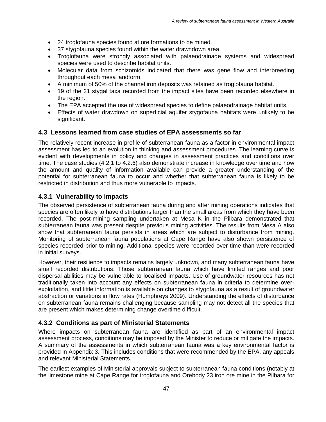- 24 troglofauna species found at ore formations to be mined.
- 37 stygofauna species found within the water drawndown area.
- Troglofauna were strongly associated with palaeodrainage systems and widespread species were used to describe habitat units.
- Molecular data from schizomids indicated that there was gene flow and interbreeding throughout each mesa landform.
- A minimum of 50% of the channel iron deposits was retained as troglofauna habitat.
- 19 of the 21 stygal taxa recorded from the impact sites have been recorded elsewhere in the region.
- The EPA accepted the use of widespread species to define palaeodrainage habitat units.
- Effects of water drawdown on superficial aquifer stygofauna habitats were unlikely to be significant.

#### **4.3 Lessons learned from case studies of EPA assessments so far**

The relatively recent increase in profile of subterranean fauna as a factor in environmental impact assessment has led to an evolution in thinking and assessment procedures. The learning curve is evident with developments in policy and changes in assessment practices and conditions over time. The case studies (4.2.1 to 4.2.6) also demonstrate increase in knowledge over time and how the amount and quality of information available can provide a greater understanding of the potential for subterranean fauna to occur and whether that subterranean fauna is likely to be restricted in distribution and thus more vulnerable to impacts.

### **4.3.1 Vulnerability to impacts**

The observed persistence of subterranean fauna during and after mining operations indicates that species are often likely to have distributions larger than the small areas from which they have been recorded. The post-mining sampling undertaken at Mesa K in the Pilbara demonstrated that subterranean fauna was present despite previous mining activities. The results from Mesa A also show that subterranean fauna persists in areas which are subject to disturbance from mining. Monitoring of subterranean fauna populations at Cape Range have also shown persistence of species recorded prior to mining. Additional species were recorded over time than were recorded in initial surveys.

However, their resilience to impacts remains largely unknown, and many subterranean fauna have small recorded distributions. Those subterranean fauna which have limited ranges and poor dispersal abilities may be vulnerable to localised impacts. Use of groundwater resources has not traditionally taken into account any effects on subterranean fauna in criteria to determine overexploitation, and little information is available on changes to stygofauna as a result of groundwater abstraction or variations in flow rates (Humphreys 2009). Understanding the effects of disturbance on subterranean fauna remains challenging because sampling may not detect all the species that are present which makes determining change overtime difficult.

## **4.3.2 Conditions as part of Ministerial Statements**

Where impacts on subterranean fauna are identified as part of an environmental impact assessment process, conditions may be imposed by the Minister to reduce or mitigate the impacts. A summary of the assessments in which subterranean fauna was a key environmental factor is provided in Appendix 3. This includes conditions that were recommended by the EPA, any appeals and relevant Ministerial Statements.

The earliest examples of Ministerial approvals subject to subterranean fauna conditions (notably at the limestone mine at Cape Range for troglofauna and Orebody 23 iron ore mine in the Pilbara for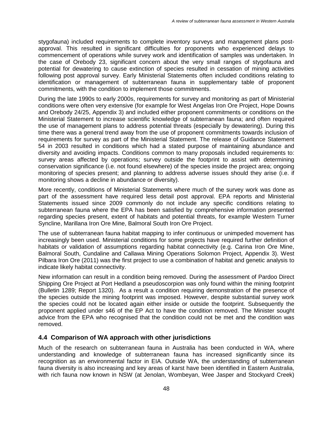stygofauna) included requirements to complete inventory surveys and management plans postapproval. This resulted in significant difficulties for proponents who experienced delays to commencement of operations while survey work and identification of samples was undertaken. In the case of Orebody 23, significant concern about the very small ranges of stygofauna and potential for dewatering to cause extinction of species resulted in cessation of mining activities following post approval survey. Early Ministerial Statements often included conditions relating to identification or management of subterranean fauna in supplementary table of proponent commitments, with the condition to implement those commitments.

During the late 1990s to early 2000s, requirements for survey and monitoring as part of Ministerial conditions were often very extensive (for example for West Angelas Iron Ore Project, Hope Downs and Orebody 24/25, Appendix 3) and included either proponent commitments or conditions on the Ministerial Statement to increase scientific knowledge of subterranean fauna; and often required the use of management plans to address potential threats (especially by dewatering). During this time there was a general trend away from the use of proponent commitments towards inclusion of requirements for survey as part of the Ministerial Statement. The release of Guidance Statement 54 in 2003 resulted in conditions which had a stated purpose of maintaining abundance and diversity and avoiding impacts. Conditions common to many proposals included requirements to: survey areas affected by operations; survey outside the footprint to assist with determining conservation significance (i.e. not found elsewhere) of the species inside the project area; ongoing monitoring of species present; and planning to address adverse issues should they arise (i.e. if monitoring shows a decline in abundance or diversity).

More recently, conditions of Ministerial Statements where much of the survey work was done as part of the assessment have required less detail post approval. EPA reports and Ministerial Statements issued since 2009 commonly do not include any specific conditions relating to subterranean fauna where the EPA has been satisfied by comprehensive information presented regarding species present, extent of habitats and potential threats, for example Western Turner Syncline, Marillana Iron Ore Mine, Balmoral South Iron Ore Project.

The use of subterranean fauna habitat mapping to infer continuous or unimpeded movement has increasingly been used. Ministerial conditions for some projects have required further definition of habitats or validation of assumptions regarding habitat connectivity (e.g. Carina Iron Ore Mine, Balmoral South, Cundaline and Callawa Mining Operations Solomon Project, Appendix 3). West Pilbara Iron Ore (2011) was the first project to use a combination of habitat and genetic analysis to indicate likely habitat connectivity.

New information can result in a condition being removed. During the assessment of Pardoo Direct Shipping Ore Project at Port Hedland a pseudoscorpion was only found within the mining footprint (Bulletin 1289; Report 1320). As a result a condition requiring demonstration of the presence of the species outside the mining footprint was imposed. However, despite substantial survey work the species could not be located again either inside or outside the footprint. Subsequently the proponent applied under s46 of the EP Act to have the condition removed. The Minister sought advice from the EPA who recognised that the condition could not be met and the condition was removed.

#### **4.4 Comparison of WA approach with other jurisdictions**

Much of the research on subterranean fauna in Australia has been conducted in WA, where understanding and knowledge of subterranean fauna has increased significantly since its recognition as an environmental factor in EIA. Outside WA, the understanding of subterranean fauna diversity is also increasing and key areas of karst have been identified in Eastern Australia, with rich fauna now known in NSW (at Jenolan, Wombeyan, Wee Jasper and Stockyard Creek)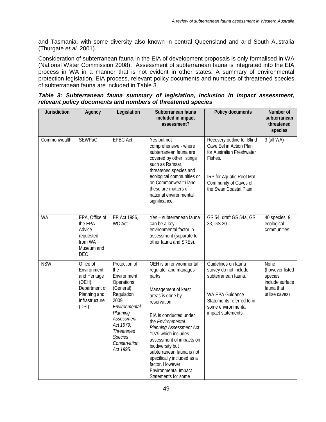and Tasmania, with some diversity also known in central Queensland and arid South Australia (Thurgate *et al.* 2001).

Consideration of subterranean fauna in the EIA of development proposals is only formalised in WA (National Water Commission 2008). Assessment of subterranean fauna is integrated into the EIA process in WA in a manner that is not evident in other states. A summary of environmental protection legislation, EIA process, relevant policy documents and numbers of threatened species of subterranean fauna are included in Table 3.

|                                                             |  | Table 3: Subterranean fauna summary of legislation, inclusion in impact assessment, |  |  |  |  |  |  |  |  |
|-------------------------------------------------------------|--|-------------------------------------------------------------------------------------|--|--|--|--|--|--|--|--|
| relevant policy documents and numbers of threatened species |  |                                                                                     |  |  |  |  |  |  |  |  |

| Jurisdiction | Agency                                                                                                            | Legislation                                                                                                                                                                                                       | Subterranean fauna<br>included in impact<br>assessment?                                                                                                                                                                                                                                                                                                                                                    | Policy documents                                                                                                                                                              | Number of<br>subterranean<br>threatened<br>species                                           |
|--------------|-------------------------------------------------------------------------------------------------------------------|-------------------------------------------------------------------------------------------------------------------------------------------------------------------------------------------------------------------|------------------------------------------------------------------------------------------------------------------------------------------------------------------------------------------------------------------------------------------------------------------------------------------------------------------------------------------------------------------------------------------------------------|-------------------------------------------------------------------------------------------------------------------------------------------------------------------------------|----------------------------------------------------------------------------------------------|
| Commonwealth | <b>SEWPaC</b>                                                                                                     | <b>EPBC Act</b>                                                                                                                                                                                                   | Yes but not<br>comprehensive - where<br>subterranean fauna are<br>covered by other listings<br>such as Ramsar,<br>threatened species and<br>ecological communities or<br>on Commonwealth land<br>these are matters of<br>national environmental<br>significance.                                                                                                                                           | Recovery outline for Blind<br>Cave Eel in Action Plan<br>for Australian Freshwater<br>Fishes.<br>IRP for Aquatic Root Mat<br>Community of Caves of<br>the Swan Coastal Plain. | 3 (all WA)                                                                                   |
| <b>WA</b>    | EPA, Office of<br>the EPA.<br>Advice<br>requested<br>from WA<br>Museum and<br><b>DEC</b>                          | EP Act 1986,<br><b>WC Act</b>                                                                                                                                                                                     | Yes - subterranean fauna<br>can be a key<br>environmental factor in<br>assessment (separate to<br>other fauna and SREs).                                                                                                                                                                                                                                                                                   | GS 54, draft GS 54a, GS<br>33, GS 20.                                                                                                                                         | 40 species, 9<br>ecological<br>communities.                                                  |
| <b>NSW</b>   | Office of<br>Environment<br>and Heritage<br>$(OEH)$ ,<br>Department of<br>Planning and<br>Infrastructure<br>(DPI) | Protection of<br>the<br>Environment<br>Operations<br>(General)<br>Regulation<br>2009;<br>Environmental<br>Planning<br>Assessment<br>Act 1979;<br><b>Threatened</b><br><b>Species</b><br>Conservation<br>Act 1995. | OEH is an environmental<br>regulator and manages<br>parks.<br>Management of karst<br>areas is done by<br>reservation.<br>EIA is conducted under<br>the Environmental<br><b>Planning Assessment Act</b><br>1979 which includes<br>assessment of impacts on<br>biodiversity but<br>subterranean fauna is not<br>specifically included as a<br>factor. However<br>Environmental Impact<br>Statements for some | Guidelines on fauna<br>survey do not include<br>subterranean fauna.<br>WA EPA Guidance<br>Statements referred to in<br>some environmental<br>impact statements.               | <b>None</b><br>(however listed<br>species<br>include surface<br>fauna that<br>utilise caves) |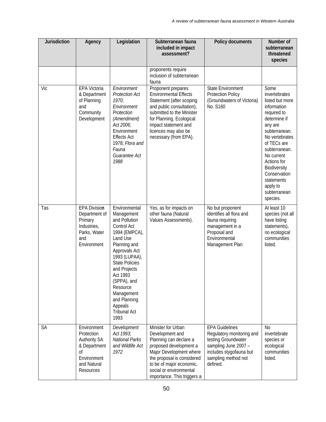| Jurisdiction | Agency                                                                                                            | Legislation                                                                                                                                                                                                                                                                                        | Subterranean fauna<br>included in impact<br>assessment?                                                                                                                                                                                       | Policy documents                                                                                                                                                | Number of<br>subterranean<br>threatened<br>species                                                                                                                                                                                                                                      |
|--------------|-------------------------------------------------------------------------------------------------------------------|----------------------------------------------------------------------------------------------------------------------------------------------------------------------------------------------------------------------------------------------------------------------------------------------------|-----------------------------------------------------------------------------------------------------------------------------------------------------------------------------------------------------------------------------------------------|-----------------------------------------------------------------------------------------------------------------------------------------------------------------|-----------------------------------------------------------------------------------------------------------------------------------------------------------------------------------------------------------------------------------------------------------------------------------------|
|              |                                                                                                                   |                                                                                                                                                                                                                                                                                                    | proponents require<br>inclusion of subterranean<br>fauna                                                                                                                                                                                      |                                                                                                                                                                 |                                                                                                                                                                                                                                                                                         |
| Vic          | EPA Victoria<br>& Department<br>of Planning<br>and<br>Community<br>Development                                    | Environment<br><b>Protection Act</b><br>1970;<br>Environment<br>Protection<br>(Amendment)<br>Act 2006;<br>Environment<br><b>Effects Act</b><br>1978; Flora and<br>Fauna<br>Guarantee Act<br>1988                                                                                                   | Proponent prepares<br><b>Environmental Effects</b><br>Statement (after scoping<br>and public consultation),<br>submitted to the Minister<br>for Planning. Ecological<br>impact statement and<br>licences may also be<br>necessary (from EPA). | <b>State Environment</b><br><b>Protection Policy</b><br>(Groundwaters of Victoria)<br>No. S160                                                                  | Some<br>invertebrates<br>listed but more<br>information<br>required to<br>determine if<br>any are<br>subterranean.<br>No vertebrates<br>of TECs are<br>subterranean.<br>No current<br>Actions for<br>Biodiversity<br>Conservation<br>statements<br>apply to<br>subterranean<br>species. |
| Tas          | <b>EPA Division</b><br>Department of<br>Primary<br>Industries,<br>Parks, Water<br>and<br>Environment              | Environmental<br>Management<br>and Pollution<br>Control Act<br>1994 (EMPCA),<br>Land Use<br>Planning and<br>Approvals Act<br>1993 (LUPAA),<br><b>State Policies</b><br>and Projects<br>Act 1993<br>(SPPA), and<br>Resource<br>Management<br>and Planning<br>Appeals<br><b>Tribunal Act</b><br>1993 | Yes, as for impacts on<br>other fauna (Natural<br>Values Assessments).                                                                                                                                                                        | No but proponent<br>identifies all flora and<br>fauna requiring<br>management in a<br>Proposal and<br>Environmental<br>Management Plan                          | At least 10<br>species (not all<br>have listing<br>statements),<br>no ecological<br>communities<br>listed.                                                                                                                                                                              |
| SA           | Environment<br>Protection<br><b>Authority SA</b><br>& Department<br>0f<br>Environment<br>and Natural<br>Resources | Development<br>Act 1993;<br><b>National Parks</b><br>and Wildlife Act<br>1972                                                                                                                                                                                                                      | Minister for Urban<br>Development and<br>Planning can declare a<br>proposed development a<br>Major Development where<br>the proposal is considered<br>to be of major economic,<br>social or environmental<br>importance. This triggers a      | <b>EPA Guidelines</b><br>Regulatory monitoring and<br>testing Groundwater<br>sampling June 2007 -<br>includes stygofauna but<br>sampling method not<br>defined. | N <sub>0</sub><br>invertebrate<br>species or<br>ecological<br>communities<br>listed.                                                                                                                                                                                                    |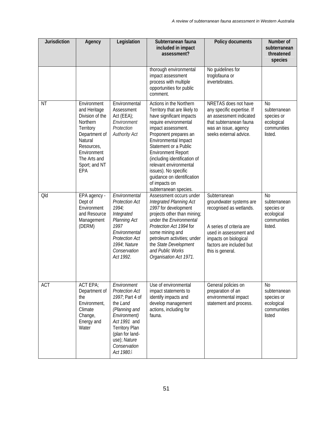| <b>Jurisdiction</b> | Agency                                                                                                                                                                   | Legislation                                                                                                                                                                                                   | Subterranean fauna<br>included in impact<br>assessment?                                                                                                                                                                                                                                                                                                                                             | Policy documents                                                                                                                                                                                  | Number of<br>subterranean<br>threatened<br>species                                   |
|---------------------|--------------------------------------------------------------------------------------------------------------------------------------------------------------------------|---------------------------------------------------------------------------------------------------------------------------------------------------------------------------------------------------------------|-----------------------------------------------------------------------------------------------------------------------------------------------------------------------------------------------------------------------------------------------------------------------------------------------------------------------------------------------------------------------------------------------------|---------------------------------------------------------------------------------------------------------------------------------------------------------------------------------------------------|--------------------------------------------------------------------------------------|
|                     |                                                                                                                                                                          |                                                                                                                                                                                                               | thorough environmental<br>impact assessment<br>process with multiple<br>opportunities for public<br>comment.                                                                                                                                                                                                                                                                                        | No guidelines for<br>troglofauna or<br>invertebrates.                                                                                                                                             |                                                                                      |
| <b>NT</b>           | Environment<br>and Heritage<br>Division of the<br>Northern<br>Territory<br>Department of<br>Natural<br>Resources,<br>Environment<br>The Arts and<br>Sport; and NT<br>EPA | Environmental<br>Assessment<br>Act (EEA);<br>Environment<br>Protection<br><b>Authority Act</b>                                                                                                                | Actions in the Northern<br>Territory that are likely to<br>have significant impacts<br>require environmental<br>impact assessment.<br>Proponent prepares an<br>Environmental Impact<br>Statement or a Public<br><b>Environment Report</b><br>(including identification of<br>relevant environmental<br>issues). No specific<br>guidance on identification<br>of impacts on<br>subterranean species. | NRETAS does not have<br>any specific expertise. If<br>an assessment indicated<br>that subterranean fauna<br>was an issue, agency<br>seeks external advice.                                        | N <sub>0</sub><br>subterranean<br>species or<br>ecological<br>communities<br>listed. |
| Qld                 | EPA agency -<br>Dept of<br>Environment<br>and Resource<br>Management<br>(DERM)                                                                                           | Environmental<br><b>Protection Act</b><br>1994;<br>Integrated<br>Planning Act<br>1997<br>Environmental<br><b>Protection Act</b><br>1994; Nature<br>Conservation<br>Act 1992.                                  | Assessment occurs under<br>Integrated Planning Act<br>1997 for development<br>projects other than mining;<br>under the Environmental<br>Protection Act 1994 for<br>some mining and<br>petroleum activities; under<br>the State Development<br>and Public Works<br>Organisation Act 1971.                                                                                                            | Subterranean<br>groundwater systems are<br>recognised as wetlands.<br>A series of criteria are<br>used in assessment and<br>impacts on biological<br>factors are included but<br>this is general. | N <sub>0</sub><br>subterranean<br>species or<br>ecological<br>communities<br>listed. |
| <b>ACT</b>          | <b>ACT EPA;</b><br>Department of<br>the<br>Environment,<br>Climate<br>Change,<br>Energy and<br>Water                                                                     | Environment<br><b>Protection Act</b><br>1997; Part 4 of<br>the Land<br>(Planning and<br>Environment)<br>Act 1991 and<br><b>Territory Plan</b><br>(plan for land-<br>use); Nature<br>Conservation<br>Act 1980. | Use of environmental<br>impact statements to<br>identify impacts and<br>develop management<br>actions, including for<br>fauna.                                                                                                                                                                                                                                                                      | General policies on<br>preparation of an<br>environmental impact<br>statement and process.                                                                                                        | N <sub>0</sub><br>subterranean<br>species or<br>ecological<br>communities<br>listed  |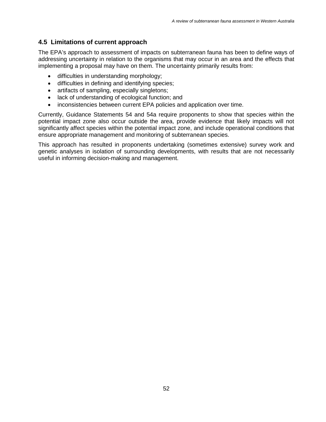#### **4.5 Limitations of current approach**

The EPA's approach to assessment of impacts on subterranean fauna has been to define ways of addressing uncertainty in relation to the organisms that may occur in an area and the effects that implementing a proposal may have on them. The uncertainty primarily results from:

- difficulties in understanding morphology;
- difficulties in defining and identifying species;
- artifacts of sampling, especially singletons;
- lack of understanding of ecological function; and
- inconsistencies between current EPA policies and application over time.

Currently, Guidance Statements 54 and 54a require proponents to show that species within the potential impact zone also occur outside the area, provide evidence that likely impacts will not significantly affect species within the potential impact zone, and include operational conditions that ensure appropriate management and monitoring of subterranean species.

This approach has resulted in proponents undertaking (sometimes extensive) survey work and genetic analyses in isolation of surrounding developments, with results that are not necessarily useful in informing decision-making and management.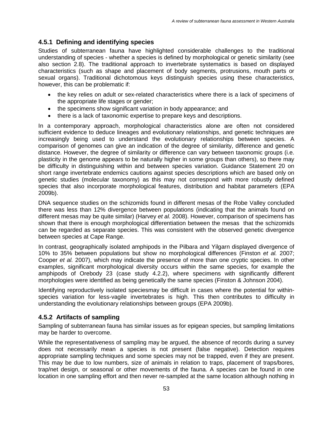## **4.5.1 Defining and identifying species**

Studies of subterranean fauna have highlighted considerable challenges to the traditional understanding of species - whether a species is defined by morphological or genetic similarity (see also section 2.8). The traditional approach to invertebrate systematics is based on displayed characteristics (such as shape and placement of body segments, protrusions, mouth parts or sexual organs). Traditional dichotomous keys distinguish species using these characteristics, however, this can be problematic if:

- the key relies on adult or sex-related characteristics where there is a lack of specimens of the appropriate life stages or gender;
- the specimens show significant variation in body appearance; and
- there is a lack of taxonomic expertise to prepare keys and descriptions.

In a contemporary approach, morphological characteristics alone are often not considered sufficient evidence to deduce lineages and evolutionary relationships, and genetic techniques are increasingly being used to understand the evolutionary relationships between species. A comparison of genomes can give an indication of the degree of similarity, difference and genetic distance. However, the degree of similarity or difference can vary between taxonomic groups (i.e. plasticity in the genome appears to be naturally higher in some groups than others), so there may be difficulty in distinguishing within and between species variation. Guidance Statement 20 on short range invertebrate endemics cautions against species descriptions which are based only on genetic studies (molecular taxonomy) as this may not correspond with more robustly defined species that also incorporate morphological features, distribution and habitat parameters (EPA 2009b).

DNA sequence studies on the schizomids found in different mesas of the Robe Valley concluded there was less than 12% divergence between populations (indicating that the animals found on different mesas may be quite similar) (Harvey *et al.* 2008). However, comparison of specimens has shown that there is enough morphological differentiation between the mesas that the schizomids can be regarded as separate species. This was consistent with the observed genetic divergence between species at Cape Range.

In contrast, geographically isolated amphipods in the Pilbara and Yilgarn displayed divergence of 10% to 35% between populations but show no morphological differences (Finston *et al.* 2007; Cooper *et al.* 2007), which may indicate the presence of more than one cryptic species. In other examples, significant morphological diversity occurs within the same species, for example the amphipods of Orebody 23 (case study 4.2.2), where specimens with significantly different morphologies were identified as being genetically the same species (Finston & Johnson 2004).

Identifying reproductively isolated speciesmay be difficult in cases where the potential for withinspecies variation for less-vagile invertebrates is high. This then contributes to difficulty in understanding the evolutionary relationships between groups (EPA 2009b).

## **4.5.2 Artifacts of sampling**

Sampling of subterranean fauna has similar issues as for epigean species, but sampling limitations may be harder to overcome.

While the representativeness of sampling may be argued, the absence of records during a survey does not necessarily mean a species is not present (false negative). Detection requires appropriate sampling techniques and some species may not be trapped, even if they are present. This may be due to low numbers, size of animals in relation to traps, placement of traps/bores, trap/net design, or seasonal or other movements of the fauna. A species can be found in one location in one sampling effort and then never re-sampled at the same location although nothing in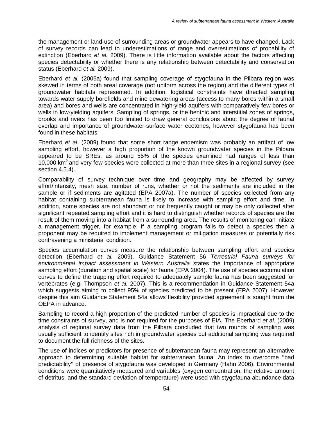the management or land-use of surrounding areas or groundwater appears to have changed. Lack of survey records can lead to underestimations of range and overestimations of probability of extinction (Eberhard *et al.* 2009). There is little information available about the factors affecting species detectability or whether there is any relationship between detectability and conservation status (Eberhard *et al.* 2009).

Eberhard *et al.* (2005a) found that sampling coverage of stygofauna in the Pilbara region was skewed in terms of both areal coverage (not uniform across the region) and the different types of groundwater habitats represented. In addition, logistical constraints have directed sampling towards water supply borefields and mine dewatering areas (access to many bores within a small area) and bores and wells are concentrated in high-yield aquifers with comparatively few bores or wells in low-yielding aquifers. Sampling of springs, or the benthic and interstitial zones of springs, brooks and rivers has been too limited to draw general conclusions about the degree of faunal overlap and importance of groundwater-surface water ecotones, however stygofauna has been found in these habitats.

Eberhard *et al*. (2009) found that some short range endemism was probably an artifact of low sampling effort, however a high proportion of the known groundwater species in the Pilbara appeared to be SREs, as around 55% of the species examined had ranges of less than 10,000 km<sup>2</sup> and very few species were collected at more than three sites in a regional survey (see section 4.5.4).

Comparability of survey technique over time and geography may be affected by survey effort/intensity, mesh size, number of runs, whether or not the sediments are included in the sample or if sediments are agitated (EPA 2007a). The number of species collected from any habitat containing subterranean fauna is likely to increase with sampling effort and time. In addition, some species are not abundant or not frequently caught or may be only collected after significant repeated sampling effort and it is hard to distinguish whether records of species are the result of them moving into a habitat from a surrounding area. The results of monitoring can initiate a management trigger, for example, if a sampling program fails to detect a species then a proponent may be required to implement management or mitigation measures or potentially risk contravening a ministerial condition.

Species accumulation curves measure the relationship between sampling effort and species detection (Eberhard *et al.* 2009). Guidance Statement 56 *Terrestrial Fauna surveys for environmental impact assessment in Western Australia* states the importance of appropriate sampling effort (duration and spatial scale) for fauna (EPA 2004). The use of species accumulation curves to define the trapping effort required to adequately sample fauna has been suggested for vertebrates (e.g. Thompson *et al.* 2007). This is a recommendation in Guidance Statement 54a which suggests aiming to collect 95% of species predicted to be present (EPA 2007). However despite this aim Guidance Statement 54a allows flexibility provided agreement is sought from the OEPA in advance.

Sampling to record a high proportion of the predicted number of species is impractical due to the time constraints of survey, and is not required for the purposes of EIA. The Eberhard *et al.* (2009) analysis of regional survey data from the Pilbara concluded that two rounds of sampling was usually sufficient to identify sites rich in groundwater species but additional sampling was required to document the full richness of the sites.

The use of indices or predictors for presence of subterranean fauna may represent an alternative approach to determining suitable habitat for subterranean fauna. An index to overcome ''bad predictability'' of presence of stygofauna was developed in Germany (Hahn 2006). Environmental conditions were quantitatively measured and variables (oxygen concentration, the relative amount of detritus, and the standard deviation of temperature) were used with stygofauna abundance data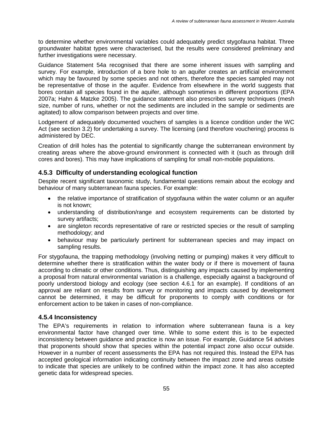to determine whether environmental variables could adequately predict stygofauna habitat. Three groundwater habitat types were characterised, but the results were considered preliminary and further investigations were necessary.

Guidance Statement 54a recognised that there are some inherent issues with sampling and survey. For example, introduction of a bore hole to an aquifer creates an artificial environment which may be favoured by some species and not others, therefore the species sampled may not be representative of those in the aquifer. Evidence from elsewhere in the world suggests that bores contain all species found in the aquifer, although sometimes in different proportions (EPA 2007a; Hahn & Matzke 2005). The guidance statement also prescribes survey techniques (mesh size, number of runs, whether or not the sediments are included in the sample or sediments are agitated) to allow comparison between projects and over time.

Lodgement of adequately documented vouchers of samples is a licence condition under the WC Act (see section 3.2) for undertaking a survey. The licensing (and therefore vouchering) process is administered by DEC.

Creation of drill holes has the potential to significantly change the subterranean environment by creating areas where the above-ground environment is connected with it (such as through drill cores and bores). This may have implications of sampling for small non-mobile populations.

## **4.5.3 Difficulty of understanding ecological function**

Despite recent significant taxonomic study, fundamental questions remain about the ecology and behaviour of many subterranean fauna species. For example:

- the relative importance of stratification of stygofauna within the water column or an aquifer is not known;
- understanding of distribution/range and ecosystem requirements can be distorted by survey artifacts;
- are singleton records representative of rare or restricted species or the result of sampling methodology; and
- behaviour may be particularly pertinent for subterranean species and may impact on sampling results.

For stygofauna, the trapping methodology (involving netting or pumping) makes it very difficult to determine whether there is stratification within the water body or if there is movement of fauna according to climatic or other conditions. Thus, distinguishing any impacts caused by implementing a proposal from natural environmental variation is a challenge, especially against a background of poorly understood biology and ecology (see section 4.6.1 for an example). If conditions of an approval are reliant on results from survey or monitoring and impacts caused by development cannot be determined, it may be difficult for proponents to comply with conditions or for enforcement action to be taken in cases of non-compliance.

#### **4.5.4 Inconsistency**

The EPA's requirements in relation to information where subterranean fauna is a key environmental factor have changed over time. While to some extent this is to be expected inconsistency between guidance and practice is now an issue. For example, Guidance 54 advises that proponents should show that species within the potential impact zone also occur outside. However in a number of recent assessments the EPA has not required this. Instead the EPA has accepted geological information indicating continuity between the impact zone and areas outside to indicate that species are unlikely to be confined within the impact zone. It has also accepted genetic data for widespread species.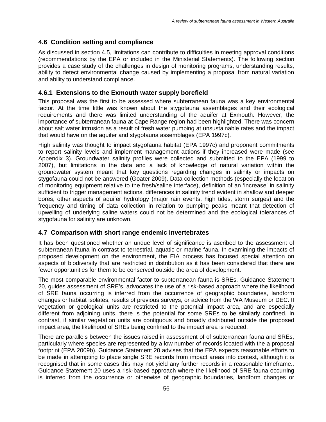### **4.6 Condition setting and compliance**

As discussed in section 4.5, limitations can contribute to difficulties in meeting approval conditions (recommendations by the EPA or included in the Ministerial Statements). The following section provides a case study of the challenges in design of monitoring programs, understanding results, ability to detect environmental change caused by implementing a proposal from natural variation and ability to understand compliance.

### **4.6.1 Extensions to the Exmouth water supply borefield**

This proposal was the first to be assessed where subterranean fauna was a key environmental factor. At the time little was known about the stygofauna assemblages and their ecological requirements and there was limited understanding of the aquifer at Exmouth. However, the importance of subterranean fauna at Cape Range region had been highlighted. There was concern about salt water intrusion as a result of fresh water pumping at unsustainable rates and the impact that would have on the aquifer and stygofauna assemblages (EPA 1997c).

High salinity was thought to impact stygofauna habitat (EPA 1997c) and proponent commitments to report salinity levels and implement management actions if they increased were made (see Appendix 3). Groundwater salinity profiles were collected and submitted to the EPA (1999 to 2007), but limitations in the data and a lack of knowledge of natural variation within the groundwater system meant that key questions regarding changes in salinity or impacts on stygofauna could not be answered (Goater 2009). Data collection methods (especially the location of monitoring equipment relative to the fresh/saline interface), definition of an 'increase' in salinity sufficient to trigger management actions, differences in salinity trend evident in shallow and deeper bores, other aspects of aquifer hydrology (major rain events, high tides, storm surges) and the frequency and timing of data collection in relation to pumping peaks meant that detection of upwelling of underlying saline waters could not be determined and the ecological tolerances of stygofauna for salinity are unknown.

#### **4.7 Comparison with short range endemic invertebrates**

It has been questioned whether an undue level of significance is ascribed to the assessment of subterranean fauna in contrast to terrestrial, aquatic or marine fauna. In examining the impacts of proposed development on the environment, the EIA process has focused special attention on aspects of biodiversity that are restricted in distribution as it has been considered that there are fewer opportunities for them to be conserved outside the area of development.

The most comparable environmental factor to subterranean fauna is SREs. Guidance Statement 20, guides assessment of SRE's, advocates the use of a risk-based approach where the likelihood of SRE fauna occurring is inferred from the occurrence of geographic boundaries, landform changes or habitat isolates, results of previous surveys, or advice from the WA Museum or DEC. If vegetation or geological units are restricted to the potential impact area, and are especially different from adjoining units, there is the potential for some SREs to be similarly confined. In contrast, if similar vegetation units are contiguous and broadly distributed outside the proposed impact area, the likelihood of SREs being confined to the impact area is reduced.

There are parallels between the issues raised in assessment of of subterranean fauna and SREs, particularly where species are represented by a low number of records located with the a proposal footprint (EPA 2009b). Guidance Statement 20 advises that the EPA expects reasonable efforts to be made in attempting to place single SRE records from impact areas into context, although it is recognised that in some cases this may not yield any further records in a reasonable timeframe.. Guidance Statement 20 uses a risk-based approach where the likelihood of SRE fauna occurring is inferred from the occurrence or otherwise of geographic boundaries, landform changes or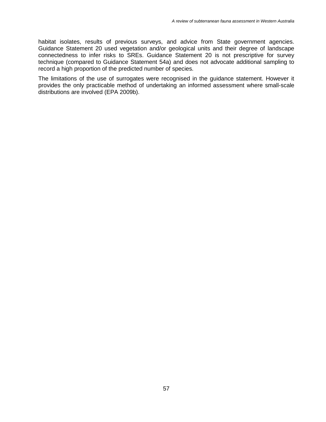habitat isolates, results of previous surveys, and advice from State government agencies. Guidance Statement 20 used vegetation and/or geological units and their degree of landscape connectedness to infer risks to SREs. Guidance Statement 20 is not prescriptive for survey technique (compared to Guidance Statement 54a) and does not advocate additional sampling to record a high proportion of the predicted number of species.

The limitations of the use of surrogates were recognised in the guidance statement. However it provides the only practicable method of undertaking an informed assessment where small-scale distributions are involved (EPA 2009b).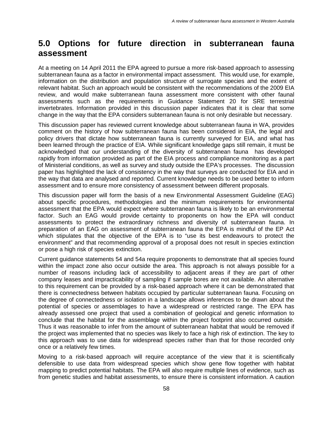## **5.0 Options for future direction in subterranean fauna assessment**

At a meeting on 14 April 2011 the EPA agreed to pursue a more risk-based approach to assessing subterranean fauna as a factor in environmental impact assessment. This would use, for example, information on the distribution and population structure of surrogate species and the extent of relevant habitat. Such an approach would be consistent with the recommendations of the 2009 EIA review, and would make subterranean fauna assessment more consistent with other faunal assessments such as the requirements in Guidance Statement 20 for SRE terrestrial invertebrates. Information provided in this discussion paper indicates that it is clear that some change in the way that the EPA considers subterranean fauna is not only desirable but necessary.

This discussion paper has reviewed current knowledge about subterranean fauna in WA, provides comment on the history of how subterranean fauna has been considered in EIA, the legal and policy drivers that dictate how subterranean fauna is currently surveyed for EIA, and what has been learned through the practice of EIA. While significant knowledge gaps still remain, it must be acknowledged that our understanding of the diversity of subterranean fauna has developed rapidly from information provided as part of the EIA process and compliance monitoring as a part of Ministerial conditions, as well as survey and study outside the EPA's processes. The discussion paper has highlighted the lack of consistency in the way that surveys are conducted for EIA and in the way that data are analysed and reported. Current knowledge needs to be used better to inform assessment and to ensure more consistency of assessment between different proposals.

This discussion paper will form the basis of a new Environmental Assessment Guideline (EAG) about specific procedures, methodologies and the minimum requirements for environmental assessment that the EPA would expect where subterranean fauna is likely to be an environmental factor. Such an EAG would provide certainty to proponents on how the EPA will conduct assessments to protect the extraordinary richness and diversity of subterranean fauna. In preparation of an EAG on assessment of subterranean fauna the EPA is mindful of the EP Act which stipulates that the objective of the EPA is to "use its best endeavours to protect the environment" and that recommending approval of a proposal does not result in species extinction or pose a high risk of species extinction.

Current guidance statements 54 and 54a require proponents to demonstrate that all species found within the impact zone also occur outside the area. This approach is not always possible for a number of reasons including lack of accessibility to adjacent areas if they are part of other company leases and impracticability of sampling if sample bores are not available. An alternative to this requirement can be provided by a risk-based approach where it can be demonstrated that there is connectedness between habitats occupied by particular subterranean fauna. Focusing on the degree of connectedness or isolation in a landscape allows inferences to be drawn about the potential of species or assemblages to have a widespread or restricted range. The EPA has already assessed one project that used a combination of geological and genetic information to conclude that the habitat for the assemblage within the project footprint also occurred outside. Thus it was reasonable to infer from the amount of subterranean habitat that would be removed if the project was implemented that no species was likely to face a high risk of extinction. The key to this approach was to use data for widespread species rather than that for those recorded only once or a relatively few times.

Moving to a risk-based approach will require acceptance of the view that it is scientifically defensible to use data from widespread species which show gene flow together with habitat mapping to predict potential habitats. The EPA will also require multiple lines of evidence, such as from genetic studies and habitat assessments, to ensure there is consistent information. A caution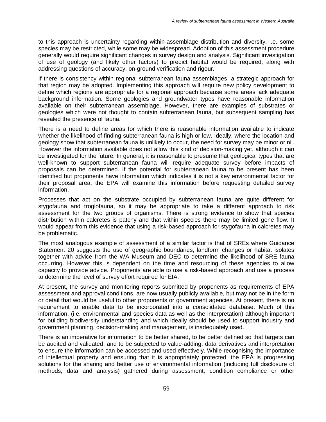to this approach is uncertainty regarding within-assemblage distribution and diversity, i.e. some species may be restricted, while some may be widespread. Adoption of this assessment procedure generally would require significant changes in survey design and analysis. Significant investigation of use of geology (and likely other factors) to predict habitat would be required, along with addressing questions of accuracy, on-ground verification and rigour.

If there is consistency within regional subterranean fauna assemblages, a strategic approach for that region may be adopted. Implementing this approach will require new policy development to define which regions are appropriate for a regional approach because some areas lack adequate background information. Some geologies and groundwater types have reasonable information available on their subterranean assemblage. However, there are examples of substrates or geologies which were not thought to contain subterranean fauna, but subsequent sampling has revealed the presence of fauna.

There is a need to define areas for which there is reasonable information available to indicate whether the likelihood of finding subterranean fauna is high or low. Ideally, where the location and geology show that subterranean fauna is unlikely to occur, the need for survey may be minor or nil. However the information available does not allow this kind of decision-making yet, although it can be investigated for the future. In general, it is reasonable to presume that geological types that are well-known to support subterranean fauna will require adequate survey before impacts of proposals can be determined. If the potential for subterranean fauna to be present has been identified but proponents have information which indicates it is not a key environmental factor for their proposal area, the EPA will examine this information before requesting detailed survey information.

Processes that act on the substrate occupied by subterranean fauna are quite different for stygofauna and troglofauna, so it may be appropriate to take a different approach to risk assessment for the two groups of organisms. There is strong evidence to show that species distribution within calcretes is patchy and that within species there may be limited gene flow. It would appear from this evidence that using a risk-based approach for stygofauna in calcretes may be problematic.

The most analogous example of assessment of a similar factor is that of SREs where Guidance Statement 20 suggests the use of geographic boundaries, landform changes or habitat isolates together with advice from the WA Museum and DEC to determine the likelihood of SRE fauna occurring. However this is dependent on the time and resourcing of these agencies to allow capacity to provide advice. Proponents are able to use a risk-based approach and use a process to determine the level of survey effort required for EIA.

At present, the survey and monitoring reports submitted by proponents as requirements of EPA assessment and approval conditions, are now usually publicly available, but may not be in the form or detail that would be useful to other proponents or government agencies. At present, there is no requirement to enable data to be incorporated into a consolidated database. Much of this information, (i.e. environmental and species data as well as the interpretation) although important for building biodiversity understanding and which ideally should be used to support industry and government planning, decision-making and management, is inadequately used.

There is an imperative for information to be better shared, to be better defined so that targets can be audited and validated, and to be subjected to value-adding, data derivatives and interpretation to ensure the information can be accessed and used effectively. While recognising the importance of intellectual property and ensuring that it is appropriately protected, the EPA is progressing solutions for the sharing and better use of environmental information (including full disclosure of methods, data and analysis) gathered during assessment, condition compliance or other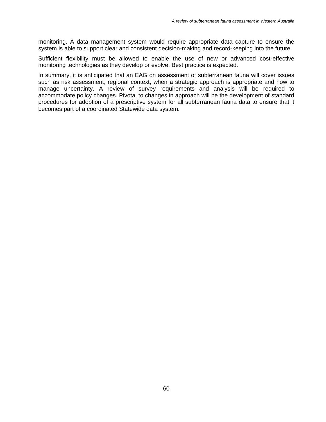monitoring. A data management system would require appropriate data capture to ensure the system is able to support clear and consistent decision-making and record-keeping into the future.

Sufficient flexibility must be allowed to enable the use of new or advanced cost-effective monitoring technologies as they develop or evolve. Best practice is expected.

In summary, it is anticipated that an EAG on assessment of subterranean fauna will cover issues such as risk assessment, regional context, when a strategic approach is appropriate and how to manage uncertainty. A review of survey requirements and analysis will be required to accommodate policy changes. Pivotal to changes in approach will be the development of standard procedures for adoption of a prescriptive system for all subterranean fauna data to ensure that it becomes part of a coordinated Statewide data system.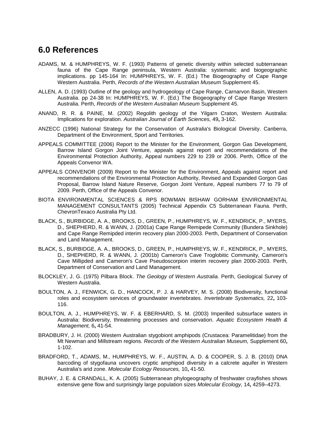## **6.0 References**

- ADAMS, M. & HUMPHREYS, W. F. (1993) Patterns of genetic diversity within selected subterranean fauna of the Cape Range peninsula, Western Australia: systematic and biogeographic implications. pp 145-164 In: HUMPHREYS, W. F. (Ed.) The Biogeography of Cape Range Western Australia. Perth, *Records of the Western Australian Museum* Supplement 45.
- ALLEN, A. D. (1993) Outline of the geology and hydrogeology of Cape Range, Carnarvon Basin, Western Australia. pp 24-38 In: HUMPHREYS, W. F. (Ed.) The Biogeography of Cape Range Western Australia. Perth, *Records of the Western Australian Museum* Supplement 45.
- ANAND, R. R. & PAINE, M. (2002) Regolith geology of the Yilgarn Craton, Western Australia: Implications for exploration. *Australian Journal of Earth Sciences,* 49**,** 3-162.
- ANZECC (1996) National Strategy for the Conservation of Australia's Biological Diversity. Canberra, Department of the Environment, Sport and Territories.
- APPEALS COMMITTEE (2006) Report to the Minister for the Environment, Gorgon Gas Development, Barrow Island Gorgon Joint Venture, appeals against report and recommendations of the Environmental Protection Authority, Appeal numbers 229 to 239 or 2006. Perth, Office of the Appeals Convenor WA.
- APPEALS CONVENOR (2009) Report to the Minister for the Environment, Appeals against report and recommendations of the Environmental Protection Authority, Revised and Expanded Gorgon Gas Proposal, Barrow Island Nature Reserve, Gorgon Joint Venture, Appeal numbers 77 to 79 of 2009. Perth, Office of the Appeals Convenor.
- BIOTA ENVIRONMENTAL SCIENCES & RPS BOWMAN BISHAW GORHAM ENVIRONMENTAL MANAGEMENT CONSULTANTS (2005) Technical Appendix C5 Subterranean Fauna. Perth, ChevronTexaco Australia Pty Ltd.
- BLACK, S., BURBIDGE, A. A., BROOKS, D., GREEN, P., HUMPHREYS, W. F., KENDRICK, P., MYERS, D., SHEPHERD, R. & WANN, J. (2001a) Cape Range Remipede Community (Bundera Sinkhole) and Cape Range Remipded interim recovery plan 2000-2003. Perth, Department of Conservation and Land Management.
- BLACK, S., BURBIDGE, A. A., BROOKS, D., GREEN, P., HUMPHREYS, W. F., KENDRICK, P., MYERS, D., SHEPHERD, R. & WANN, J. (2001b) Cameron's Cave Troglobitic Community, Cameron's Cave Millipded and Cameron's Cave Pseudoscorpion interim recovery plan 2000-2003. Perth, Department of Conservation and Land Management.
- BLOCKLEY, J. G. (1975) Pilbara Block. *The Geology of Western Australia.* Perth, Geological Survey of Western Australia.
- BOULTON, A. J., FENWICK, G. D., HANCOCK, P. J. & HARVEY, M. S. (2008) Biodiversity, functional roles and ecosystem services of groundwater invertebrates. *Invertebrate Systematics,* 22**,** 103- 116.
- BOULTON, A. J., HUMPHREYS, W. F. & EBERHARD, S. M. (2003) Imperilled subsurface waters in Australia: Biodiversity, threatening processes and conservation. *Aquatic Ecosystem Health & Management,* 6**,** 41-54.
- BRADBURY, J. H. (2000) Western Australian stygobiont amphipods (Crustacea: Paramelitidae) from the Mt Newman and Millstream regions. *Records of the Western Australian Museum,* Supplement 60**,** 1-102.
- BRADFORD, T., ADAMS, M., HUMPHREYS, W. F., AUSTIN, A. D. & COOPER, S. J. B. (2010) DNA barcoding of stygofauna uncovers cryptic amphipod diversity in a calcrete aquifer in Western Australia's arid zone. *Molecular Ecology Resources,* 10**,** 41-50.
- BUHAY, J. E. & CRANDALL, K. A. (2005) Subterranean phylogeography of freshwater crayfishes shows extensive gene flow and surprisingly large population sizes *Molecular Ecology,* 14**,** 4259–4273.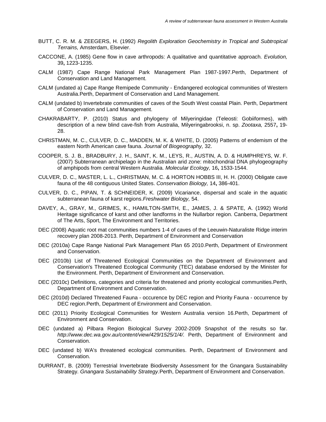- BUTT, C. R. M. & ZEEGERS, H. (1992) *Regolith Exploration Geochemistry in Tropical and Subtropical Terrains,* Amsterdam, Elsevier.
- CACCONE, A. (1985) Gene flow in cave arthropods: A qualitative and quantitative approach. *Evolution,* 39**,** 1223-1235.
- CALM (1987) Cape Range National Park Management Plan 1987-1997.Perth, Department of Conservation and Land Management.
- CALM (undated a) Cape Range Remipede Community Endangered ecological communities of Western Australia.Perth, Department of Conservation and Land Management.
- CALM (undated b) Invertebrate communities of caves of the South West coastal Plain. Perth, Department of Conservation and Land Management.
- CHAKRABARTY, P. (2010) Status and phylogeny of Milyeringidae (Teleosti: Gobiiformes), with description of a new blind cave-fish from Australia, Milyeringabrooksi, n. sp. *Zootaxa,* 2557**,** 19- 28.
- CHRISTMAN, M. C., CULVER, D. C., MADDEN, M. K. & WHITE, D. (2005) Patterns of endemism of the eastern North American cave fauna. *Journal of Biogeography,* 32.
- COOPER, S. J. B., BRADBURY, J. H., SAINT, K. M., LEYS, R., AUSTIN, A. D. & HUMPHREYS, W. F. (2007) Subterranean archipelago in the Australian arid zone: mitochondrial DNA phylogeography of amphipods from central Western Australia. *Molecular Ecology,* 16**,** 1533-1544.
- CULVER, D. C., MASTER, L. L., CHRISTMAN, M. C. & HORTON HOBBS III, H. H. (2000) Obligate cave fauna of the 48 contiguous United States. *Conservation Biology,* 14**,** 386-401.
- CULVER, D. C., PIPAN, T. & SCHNEIDER, K. (2009) Vicariance, dispersal and scale in the aquatic subterranean fauna of karst regions.*Freshwater Biology,* 54.
- DAVEY, A., GRAY, M., GRIMES, K., HAMILTON-SMITH, E., JAMES, J. & SPATE, A. (1992) World Heritage significance of karst and other landforms in the Nullarbor region. Canberra, Department of The Arts, Sport, The Environment and Territories.
- DEC (2008) Aquatic root mat communities numbers 1-4 of caves of the Leeuwin-Naturaliste Ridge interim recovery plan 2008-2013. Perth, Department of Environment and Conservation
- DEC (2010a) Cape Range National Park Management Plan 65 2010.Perth, Department of Environment and Conservation.
- DEC (2010b) List of Threatened Ecological Communities on the Department of Environment and Conservation's Threatened Ecological Community (TEC) database endorsed by the Minister for the Environment. Perth, Department of Environment and Conservation.
- DEC (2010c) Definitions, categories and criteria for threatened and priority ecological communities.Perth, Department of Environment and Conservation.
- DEC (2010d) Declared Threatened Fauna occurence by DEC region and Priority Fauna occurrence by DEC region.Perth, Department of Environment and Conservation.
- DEC (2011) Priority Ecological Communities for Western Australia version 16.Perth, Department of Environment and Conservation.
- DEC (undated a) Pilbara Region Biological Survey 2002-2009 Snapshot of the results so far. *http://www.dec.wa.gov.au/content/view/429/1525/1/4/.* Perth, Department of Environment and Conservation.
- DEC (undated b) WA's threatened ecological communities. Perth, Department of Environment and Conservation.
- DURRANT, B. (2009) Terrestrial Invertebrate Biodiversity Assessment for the Gnangara Sustainability Strategy. *Gnangara Sustainability Strategy.*Perth, Department of Environment and Conservation.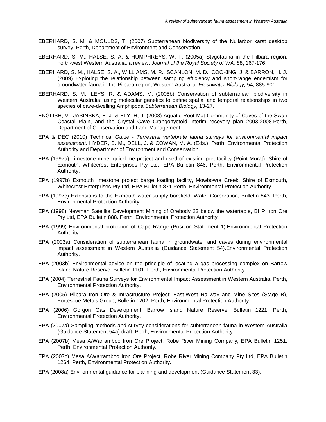- EBERHARD, S. M. & MOULDS, T. (2007) Subterranean biodiversity of the Nullarbor karst desktop survey. Perth, Department of Environment and Conservation.
- EBERHARD, S. M., HALSE, S. A. & HUMPHREYS, W. F. (2005a) Stygofauna in the Pilbara region, north-west Western Australia: a review. *Journal of the Royal Society of WA,* 88**,** 167-176.
- EBERHARD, S. M., HALSE, S. A., WILLIAMS, M. R., SCANLON, M. D., COCKING, J. & BARRON, H. J. (2009) Exploring the relationship between sampling efficiency and short-range endemism for groundwater fauna in the Pilbara region, Western Australia. *Freshwater Biology,* 54**,** 885-901.
- EBERHARD, S. M., LEYS, R. & ADAMS, M. (2005b) Conservation of subterranean biodiversity in Western Australia: using molecular genetics to define spatial and temporal relationships in two species of cave-dwelling Amphipoda.*Subterranean Biology***,** 13-27.
- ENGLISH, V., JASINSKA, E. J. & BLYTH, J. (2003) Aquatic Root Mat Community of Caves of the Swan Coastal Plain, and the Crystal Cave Crangonyctoid interim recovery plan 2003-2008.Perth, Department of Conservation and Land Management.
- EPA & DEC (2010) Technical *Guide - Terrestrial vertebrate fauna surveys for environmental impact assessment*. HYDER, B. M., DELL, J. & COWAN, M. A. (Eds.). Perth, Environmental Protection Authority and Department of Environment and Conservation.
- EPA (1997a) Limestone mine, quicklime project and used of existing port facility (Point Murat), Shire of Exmouth, Whitecrest Enterprises Pty Ltd., EPA Bulletin 846. Perth, Environmental Protection Authority.
- EPA (1997b) Exmouth limestone project barge loading facility, Mowbowra Creek, Shire of Exmouth, Whitecrest Enterprises Pty Ltd, EPA Bulletin 871 Perth, Environmental Protection Authority.
- EPA (1997c) Extensions to the Exmouth water supply borefield, Water Corporation, Bulletin 843. Perth, Environmental Protection Authority.
- EPA (1998) Newman Satellite Development Mining of Orebody 23 below the watertable, BHP Iron Ore Pty Ltd, EPA Bulletin 888. Perth, Environmental Protection Authority.
- EPA (1999) Environmental protection of Cape Range (Position Statement 1).Environmental Protection Authority.
- EPA (2003a) Consideration of subterranean fauna in groundwater and caves during environmental impact assessment in Western Australia (Guidance Statement 54).Environmental Protection Authority.
- EPA (2003b) Environmental advice on the principle of locating a gas processing complex on Barrow Island Nature Reserve, Bulletin 1101. Perth, Environmental Protection Authority.
- EPA (2004) Terrestrial Fauna Surveys for Environmental Impact Assessment in Western Australia. Perth, Environmental Protection Authority.
- EPA (2005) Pilbara Iron Ore & Infrastructure Project: East-West Railway and Mine Sites (Stage B), Fortescue Metals Group, Bulletin 1202. Perth, Environmental Protection Authority.
- EPA (2006) Gorgon Gas Development, Barrow Island Nature Reserve, Bulletin 1221. Perth, Environmental Protection Authority.
- EPA (2007a) Sampling methods and survey considerations for subterranean fauna in Western Australia (Guidance Statement 54a) draft. Perth, Environmental Protection Authority.
- EPA (2007b) Mesa A/Warramboo Iron Ore Project, Robe River Mining Company, EPA Bulletin 1251. Perth, Environmental Protection Authority.
- EPA (2007c) Mesa A/Warramboo Iron Ore Project, Robe River Mining Company Pty Ltd, EPA Bulletin 1264. Perth, Environmental Protection Authority.
- EPA (2008a) Environmental guidance for planning and development (Guidance Statement 33).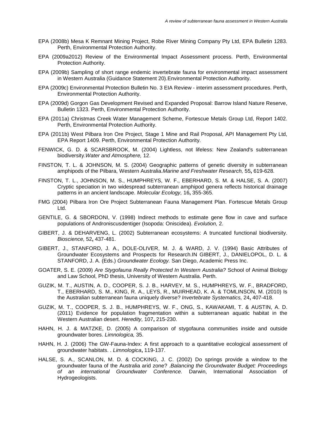- EPA (2008b) Mesa K Remnant Mining Project, Robe River Mining Company Pty Ltd, EPA Bulletin 1283. Perth, Environmental Protection Authority.
- EPA (2009a2012) Review of the Environmental Impact Assessment process. Perth, Environmental Protection Authority.
- EPA (2009b) Sampling of short range endemic invertebrate fauna for environmental impact assessment in Western Australia (Guidance Statement 20).Environmental Protection Authority.
- EPA (2009c) Environmental Protection Bulletin No. 3 EIA Review interim assessment procedures. Perth, Environmental Protection Authority.
- EPA (2009d) Gorgon Gas Development Revised and Expanded Proposal: Barrow Island Nature Reserve, Bulletin 1323. Perth, Environmental Protection Authority.
- EPA (2011a) Christmas Creek Water Management Scheme, Fortescue Metals Group Ltd, Report 1402. Perth, Environmental Protection Authority.
- EPA (2011b) West Pilbara Iron Ore Project, Stage 1 Mine and Rail Proposal, API Management Pty Ltd, EPA Report 1409. Perth, Environmental Protection Authority.
- FENWICK, G. D. & SCARSBROOK, M. (2004) Lightless, not lifeless: New Zealand's subterranean biodiversity.*Water and Atmosphere,* 12.
- FINSTON, T. L. & JOHNSON, M. S. (2004) Geographic patterns of genetic diversity in subterranean amphipods of the Pilbara, Western Australia.*Marine and Freshwater Research,* 55**,** 619-628.
- FINSTON, T. L., JOHNSON, M. S., HUMPHREYS, W. F., EBERHARD, S. M. & HALSE, S. A. (2007) Cryptic speciation in two widespread subterranean amphipod genera reflects historical drainage patterns in an ancient landscape. *Molecular Ecology,* 16**,** 355-365.
- FMG (2004) Pilbara Iron Ore Project Subterranean Fauna Management Plan. Fortescue Metals Group Ltd.
- GENTILE, G. & SBORDONI, V. (1998) Indirect methods to estimate gene flow in cave and surface populations of Androniscusdentiger (Isopoda: Oniscidea). *Evolution,* 2.
- GIBERT, J. & DEHARVENG, L. (2002) Subterranean ecosystems: A truncated functional biodiversity. *Bioscience,* 52**,** 437-481.
- GIBERT, J., STANFORD, J. A., DOLE-OLIVER, M. J. & WARD, J. V. (1994) Basic Attributes of Groundwater Ecosystems and Prospects for Research.IN GIBERT, J., DANIELOPOL, D. L. & STANFORD, J. A. (Eds.) *Groundwater Ecology.* San Diego, Academic Press Inc.
- GOATER, S. E. (2009) *Are Stygofauna Really Protected In Western Australia?* School of Animal Biology and Law School, PhD thesis, University of Western Australia. Perth.
- GUZIK, M. T., AUSTIN, A. D., COOPER, S. J. B., HARVEY, M. S., HUMPHREYS, W. F., BRADFORD, T., EBERHARD, S. M., KING, R. A., LEYS, R., MUIRHEAD, K. A. & TOMLINSON, M. (2010) Is the Australian subterranean fauna uniquely diverse? *Invertebrate Systematics,* 24**,** 407-418.
- GUZIK, M. T., COOPER, S. J. B., HUMPHREYS, W. F., ONG, S., KAWAKAMI, T. & AUSTIN, A. D. (2011) Evidence for population fragmentation within a subterranean aquatic habitat in the Western Australian desert. *Heredity,* 107**,** 215-230.
- HAHN, H. J. & MATZKE, D. (2005) A comparison of stygofauna communities inside and outside groundwater bores. *Limnologica,* 35.
- HAHN, H. J. (2006) The GW-Fauna-Index: A first approach to a quantitative ecological assessment of groundwater habitats. . *Limnologica***,** 119-137.
- HALSE, S. A., SCANLON, M. D. & COCKING, J. C. (2002) Do springs provide a window to the groundwater fauna of the Australia arid zone? .*Balancing the Groundwater Budget: Proceedings of an international Groundwater Conference.* Darwin, International Association of Hydrogeologists.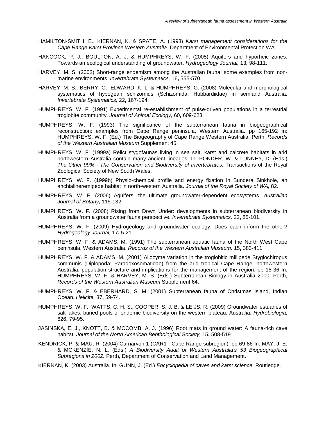- HAMILTON-SMITH, E., KIERNAN, K. & SPATE, A. (1998) *Karst management considerations for the Cape Range Karst Province Western Australia*. Department of Environmental Protection WA.
- HANCOCK, P. J., BOULTON, A. J. & HUMPHREYS, W. F. (2005) Aquifers and hyporheic zones: Towards an ecological understanding of groundwater. *Hydrogeology Journal,* 13**,** 98-111.
- HARVEY, M. S. (2002) Short-range endemism among the Australian fauna: some examples from nonmarine environments. *Invertebrate Systematics,* 16**,** 555-570.
- HARVEY, M. S., BERRY, O., EDWARD, K. L. & HUMPHREYS, G. (2008) Molecular and morphological systematics of hypogean schizomids (Schizomida: Hubbardiidae) in semiarid Australia. *Invertebrate Systematics,* 22**,** 167-194.
- HUMPHREYS, W. F. (1991) Experimental re-establishment of pulse-driven populations in a terrestrial troglobite community. *Journal of Animal Ecology,* 60**,** 609-623.
- HUMPHREYS, W. F. (1993) The significance of the subterranean fauna in biogeographical reconstruction: examples from Cape Range peninsula, Western Australia. pp 165-192 In: HUMPHREYS, W. F. (Ed.) The Biogeography of Cape Range Western Australia. Perth, *Records of the Western Australian Museum* Supplement 45.
- HUMPHREYS, W. F. (1999a) Relict stygofaunas living in sea salt, karst and calcrete habitats in arid northwestern Australia contain many ancient lineages. In: PONDER, W. & LUNNEY, D. (Eds.) *The Other 99% - The Conservation and Biodiversity of Invertebrates.* Transactions of the Royal Zoological Society of New South Wales.
- HUMPHREYS, W. F. (1999b) Physio-chemical profile and energy fixation in Bundera Sinkhole, an anchialineremipede habitat in north-western Australia. *Journal of the Royal Society of WA,* 82.
- HUMPHREYS, W. F. (2006) Aquifers: the ultimate groundwater-dependent ecosystems. *Australian Journal of Botany***,** 115-132.
- HUMPHREYS, W. F. (2008) Rising from Down Under: developments in subterranean biodiversity in Australia from a groundwater fauna perspective. *Invertebrate Systematics,* 22**,** 85-101.
- HUMPHREYS, W. F. (2009) Hydrogeology and groundwater ecology: Does each inform the other? *Hydrogeology Journal,* 17**,** 5-21.
- HUMPHREYS, W. F. & ADAMS, M. (1991) The subterranean aquatic fauna of the North West Cape peninsula, Western Australia. *Records of the Western Australian Museum,* 15**,** 383-411.
- HUMPHREYS, W. F. & ADAMS, M. (2001) Allozyme variation in the troglobitic millipede Stygiochiropus communis (Diplopoda: Paradoxosomatidae) from the arid tropical Cape Range, northwestern Australia: population structure and implications for the management of the region. pp 15-36 In: HUMPHREYS, W. F. & HARVEY, M. S. (Eds.) Subterranean Biology in Australia 2000*.* Perth, *Records of the Western Australian Museum* Supplement 64.
- HUMPHREYS, W. F. & EBERHARD, S. M. (2001) Subterranean fauna of Christmas Island, Indian Ocean. *Helicite,* 37**,** 59-74.
- HUMPHREYS, W. F., WATTS, C. H. S., COOPER, S. J. B. & LEIJS, R. (2009) Groundwater estuaries of salt lakes: buried pools of endemic biodiversity on the western plateau, Australia. *Hydrobiologia,* 626**,** 79-95.
- JASINSKA, E. J., KNOTT, B. & MCCOMB, A. J. (1996) Root mats in ground water: A fauna-rich cave habitat. *Journal of the North American Benthological Society,* 15**,** 508-519.
- KENDRICK, P. & MAU, R. (2004) Carnarvon 1 (CAR1 Cape Range subregion). pp 69-86 In: MAY, J. E. & MCKENZIE, N. L. (Eds.) *A Biodiversity Audit of Western Australia's 53 Biogeographical Subregions in 2002.* Perth, Department of Conservation and Land Management.

KIERNAN, K. (2003) Australia. In: GUNN, J. (Ed.) *Encyclopedia of caves and karst science.* Routledge.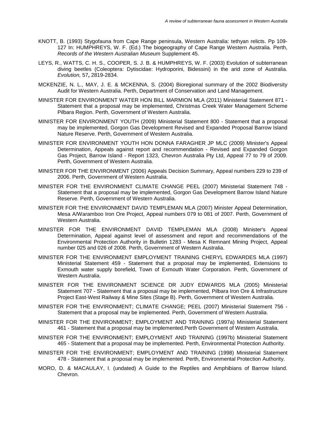- KNOTT, B. (1993) Stygofauna from Cape Range peninsula, Western Australia: tethyan relicts. Pp 109- 127 In: HUMPHREYS, W. F. (Ed.) The biogeography of Cape Range Western Australia*.* Perth, *Records of the Western Australian Museum* Supplement 45.
- LEYS, R., WATTS, C. H. S., COOPER, S. J. B. & HUMPHREYS, W. F. (2003) Evolution of subterranean diving beetles (Coleoptera: Dytiscidae: Hydroporini, Bidessini) in the arid zone of Australia. *Evolution,* 57**,** 2819-2834.
- MCKENZIE, N. L., MAY, J. E. & MCKENNA, S. (2004) Bioregional summary of the 2002 Biodiversity Audit for Western Australia. Perth, Department of Conservation and Land Management.
- MINISTER FOR ENVIRONMENT WATER HON BILL MARMION MLA (2011) Ministerial Statement 871 Statement that a proposal may be implemented, Christmas Creek Water Management Scheme Pilbara Region. Perth, Government of Western Australia.
- MINISTER FOR ENVIRONMENT YOUTH (2009) Ministerial Statement 800 Statement that a proposal may be implemented, Gorgon Gas Development Revised and Expanded Proposal Barrow Island Nature Reserve. Perth, Government of Western Australia.
- MINISTER FOR ENVIRONMENT YOUTH HON DONNA FARAGHER JP MLC (2009) Minister's Appeal Determination, Appeals against report and recommendation - Revised and Expanded Gorgon Gas Project, Barrow Island - Report 1323, Chevron Australia Pty Ltd, Appeal 77 to 79 of 2009. Perth, Government of Western Australia.
- MINISTER FOR THE ENVIRONMENT (2006) Appeals Decision Summary, Appeal numbers 229 to 239 of 2006. Perth, Government of Western Australia.
- MINISTER FOR THE ENVIRONMENT CLIMATE CHANGE PEEL (2007) Ministerial Statement 748 Statement that a proposal may be implemented, Gorgon Gas Development Barrow Island Nature Reserve. Perth, Government of Western Australia.
- MINISTER FOR THE ENVIRONMENT DAVID TEMPLEMAN MLA (2007) Minister Appeal Determination, Mesa A/Waramboo Iron Ore Project, Appeal numbers 079 to 081 of 2007. Perth, Government of Western Australia.
- MINISTER FOR THE ENVIRONMENT DAVID TEMPLEMAN MLA (2008) Minister's Appeal Determination, Appeal against level of assessment and report and recommendations of the Environmental Protection Authority in Bulletin 1283 - Mesa K Remnant Mining Project, Appeal number 025 and 026 of 2008. Perth, Government of Western Australia.
- MINISTER FOR THE ENVIRONMENT EMPLOYMENT TRAINING CHERYL EDWARDES MLA (1997) Ministerial Statement 459 - Statement that a proposal may be implemented, Extensions to Exmouth water supply borefield, Town of Exmouth Water Corporation. Perth, Government of Western Australia.
- MINISTER FOR THE ENVIRONMENT SCIENCE DR JUDY EDWARDS MLA (2005) Ministerial Statement 707 - Statement that a proposal may be implemented, Pilbara Iron Ore & Infrastructure Project East-West Railway & Mine Sites (Stage B). Perth, Government of Western Australia.
- MINISTER FOR THE ENVIRONMENT; CLIMATE CHANGE; PEEL (2007) Ministerial Statement 756 Statement that a proposal may be implemented. Perth, Government of Western Australia.
- MINISTER FOR THE ENVIRONMENT; EMPLOYMENT AND TRAINING (1997a) Ministerial Statement 461 - Statement that a proposal may be implemented.Perth Government of Western Australia.
- MINISTER FOR THE ENVIRONMENT; EMPLOYMENT AND TRAINING (1997b) Ministerial Statement 465 - Statement that a proposal may be implemented. Perth, Environmental Protection Authority.
- MINISTER FOR THE ENVIRONMENT; EMPLOYMENT AND TRAINING (1998) Ministerial Statement 478 - Statement that a proposal may be implemented. Perth, Environmental Protection Authority.
- MORO, D. & MACAULAY, I. (undated) A Guide to the Reptiles and Amphibians of Barrow Island. Chevron.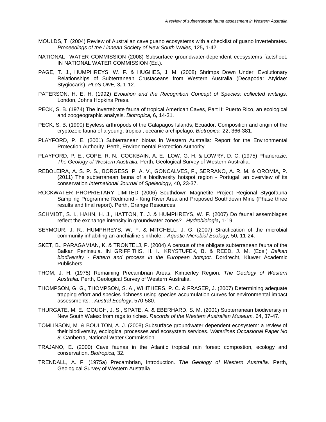- MOULDS, T. (2004) Review of Australian cave guano ecosystems with a checklist of guano invertebrates. *Proceedings of the Linnean Society of New South Wales,* 125**,** 1-42.
- NATIONAL WATER COMMISSION (2008) Subsurface groundwater-dependent ecosystems factsheet. IN NATIONAL WATER COMMISSION (Ed.).
- PAGE, T. J., HUMPHREYS, W. F. & HUGHES, J. M. (2008) Shrimps Down Under: Evolutionary Relationships of Subterranean Crustaceans from Western Australia (Decapoda: Atyidae: Stygiocaris). *PLoS ONE,* 3**,** 1-12.
- PATERSON, H. E. H. (1992) *Evolution and the Recognition Concept of Species: collected writings,*  London, Johns Hopkins Press.
- PECK, S. B. (1974) The invertebrate fauna of tropical American Caves, Part II: Puerto Rico, an ecological and zoogeographic analysis. *Biotropica,* 6**,** 14-31.
- PECK, S. B. (1990) Eyeless arthropods of the Galapagos Islands, Ecuador: Composition and origin of the cryptozoic fauna of a young, tropical, oceanic archipelago. *Biotropica,* 22**,** 366-381.
- PLAYFORD, P. E. (2001) Subterranean biotas in Western Australia: Report for the Environmental Protection Authority. Perth, Environmental Protection Authority.
- PLAYFORD, P. E., COPE, R. N., COCKBAIN, A. E., LOW, G. H. & LOWRY, D. C. (1975) Phanerozic. *The Geology of Western Australia.* Perth, Geological Survey of Western Australia.
- REBOLEIRA, A. S. P. S., BORGESS, P. A. V., GONCALVES, F., SERRANO, A. R. M. & OROMIA, P. (2011) The subterranean fauna of a biodiversity hotspot region - Portugal: an overview of its conservation *International Journal of Speleology,* 40**,** 23-37.
- ROCKWATER PROPRIETARY LIMITED (2006) Southdown Magnetite Project Regional Stygofauna Sampling Programme Redmond - King River Area and Proposed Southdown Mine (Phase three results and final report). Perth, Grange Resources.
- SCHMIDT, S. I., HAHN, H. J., HATTON, T. J. & HUMPHREYS, W. F. (2007) Do faunal assemblages reflect the exchange intensity in groundwater zones? . *Hydrobiologia***,** 1-19.
- SEYMOUR, J. R., HUMPHREYS, W. F. & MITCHELL, J. G. (2007) Stratification of the microbial community inhabiting an anchialine sinkhole. . *Aquatic Microbial Ecology,* 50**,** 11-24.
- SKET, B., PARAGAMIAN, K. & TRONTELJ, P. (2004) A census of the obligate subterranean fauna of the Balkan Peninsula. IN GRIFFITHS, H. I., KRYSTUFEK, B. & REED, J. M. (Eds.) *Balkan biodiversity - Pattern and process in the European hotspot.* Dordrecht, Kluwer Academic Publishers.
- THOM, J. H. (1975) Remaining Precambrian Areas, Kimberley Region. *The Geology of Western Australia.* Perth, Geological Survey of Western Australia.
- THOMPSON, G. G., THOMPSON, S. A., WHITHERS, P. C. & FRASER, J. (2007) Determining adequate trapping effort and species richness using species accumulation curves for environmental impact assessments. . *Austral Ecology***,** 570-580.
- THURGATE, M. E., GOUGH, J. S., SPATE, A. & EBERHARD, S. M. (2001) Subterranean biodiversity in New South Wales: from rags to riches. *Records of the Western Australian Museum,* 64**,** 37-47.
- TOMLINSON, M. & BOULTON, A. J. (2008) Subsurface groundwater dependent ecosystem: a review of their biodiversity, ecological processes and ecosystem services. *Waterlines Occasional Paper No 8.* Canberra, National Water Commission
- TRAJANO, E. (2000) Cave faunas in the Atlantic tropical rain forest: compostion, ecology and conservation. *Biotropica,* 32.
- TRENDALL, A. F. (1975a) Precambrian, Introduction. *The Geology of Western Australia.* Perth, Geological Survey of Western Australia.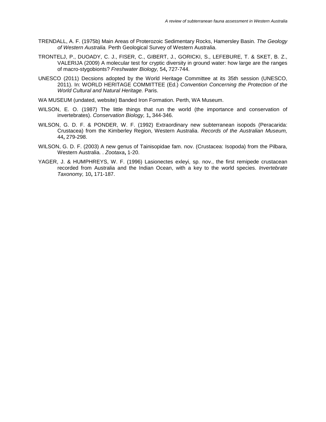- TRENDALL, A. F. (1975b) Main Areas of Proterozoic Sedimentary Rocks, Hamersley Basin. *The Geology of Western Australia.* Perth Geological Survey of Western Australia.
- TRONTELJ, P., DUOADY, C. J., FISER, C., GIBERT, J., GORICKI, S., LEFEBURE, T. & SKET, B. Z., VALERIJA (2009) A molecular test for cryptic diversity in ground water: how large are the ranges of macro-stygobionts? *Freshwater Biology,* 54**,** 727-744.
- UNESCO (2011) Decsions adopted by the World Heritage Committee at its 35th session (UNESCO, 2011). In: WORLD HERITAGE COMMITTEE (Ed.) *Convention Concerning the Protection of the World Cultural and Natural Heritage.* Paris.
- WA MUSEUM (undated, website) Banded Iron Formation. Perth, WA Museum.
- WILSON, E. O. (1987) The little things that run the world (the importance and conservation of invertebrates). *Conservation Biology,* 1**,** 344-346.
- WILSON, G. D. F. & PONDER, W. F. (1992) Extraordinary new subterranean isopods (Peracarida: Crustacea) from the Kimberley Region, Western Australia. *Records of the Australian Museum,* 44**,** 279-298.
- WILSON, G. D. F. (2003) A new genus of Tainisopidae fam. nov. (Crustacea: Isopoda) from the Pilbara, Western Australia. . *Zootaxa***,** 1-20.
- YAGER, J. & HUMPHREYS, W. F. (1996) Lasionectes exleyi, sp. nov., the first remipede crustacean recorded from Australia and the Indian Ocean, with a key to the world species. *Invertebrate Taxonomy,* 10**,** 171-187.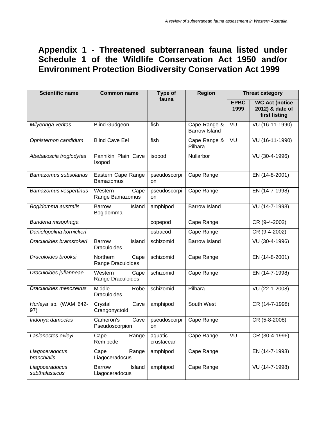# **Appendix 1 - Threatened subterranean fauna listed under Schedule 1 of the Wildlife Conservation Act 1950 and/or Environment Protection Biodiversity Conservation Act 1999**

| <b>Scientific name</b>           | <b>Common name</b>                            | Type of<br>fauna      | <b>Region</b>                        | <b>Threat category</b> |                                                           |  |
|----------------------------------|-----------------------------------------------|-----------------------|--------------------------------------|------------------------|-----------------------------------------------------------|--|
|                                  |                                               |                       |                                      | <b>EPBC</b><br>1999    | <b>WC Act (notice</b><br>2012) & date of<br>first listing |  |
| Milyeringa veritas               | <b>Blind Gudgeon</b>                          | fish                  | Cape Range &<br><b>Barrow Island</b> | VU                     | VU (16-11-1990)                                           |  |
| Ophisternon candidum             | <b>Blind Cave Eel</b>                         | fish                  | Cape Range &<br>Pilbara              | VU                     | VU (16-11-1990)                                           |  |
| Abebaioscia troglodytes          | Pannikin Plain Cave<br>Isopod                 | isopod                | Nullarbor                            |                        | VU (30-4-1996)                                            |  |
| Bamazomus subsolanus             | Eastern Cape Range<br><b>Bamazomus</b>        | pseudoscorpi<br>on    | Cape Range                           |                        | EN (14-8-2001)                                            |  |
| Bamazomus vespertinus            | Cape<br>Western<br>Range Bamazomus            | pseudoscorpi<br>on    | Cape Range                           |                        | EN (14-7-1998)                                            |  |
| Bogidomma australis              | <b>Barrow</b><br>Island<br>Bogidomma          | amphipod              | <b>Barrow Island</b>                 |                        | $\overline{VU(14-7-1998)}$                                |  |
| Bunderia misophaga               |                                               | copepod               | Cape Range                           |                        | CR (9-4-2002)                                             |  |
| Danielopolina kornickeri         |                                               | ostracod              | Cape Range                           |                        | CR (9-4-2002)                                             |  |
| Draculoides bramstokeri          | Island<br><b>Barrow</b><br><b>Draculoides</b> | schizomid             | <b>Barrow Island</b>                 |                        | VU (30-4-1996)                                            |  |
| Draculoides brooksi              | Northern<br>Cape<br>Range Draculoides         | schizomid             | Cape Range                           |                        | EN (14-8-2001)                                            |  |
| Draculoides julianneae           | Western<br>Cape<br>Range Draculoides          | schizomid             | Cape Range                           |                        | EN (14-7-1998)                                            |  |
| Draculoides mesozeirus           | Middle<br>Robe<br><b>Draculoides</b>          | schizomid             | Pilbara                              |                        | VU (22-1-2008)                                            |  |
| Hurleya sp. (WAM 642-<br>97)     | Crystal<br>Cave<br>Crangonyctoid              | amphipod              | South West                           |                        | CR (14-7-1998)                                            |  |
| Indohya damocles                 | Cameron's<br>Cave<br>Pseudoscorpion           | pseudoscorpi<br>on    | Cape Range                           |                        | CR (5-8-2008)                                             |  |
| Lasionectes exleyi               | Cape<br>Range<br>Remipede                     | aquatic<br>crustacean | Cape Range                           | VU                     | CR (30-4-1996)                                            |  |
| Liagoceradocus<br>branchialis    | Cape<br>Range<br>Liagoceradocus               | amphipod              | Cape Range                           |                        | EN (14-7-1998)                                            |  |
| Liagoceradocus<br>subthalassicus | <b>Barrow</b><br>Island<br>Liagoceradocus     | amphipod              | Cape Range                           |                        | VU (14-7-1998)                                            |  |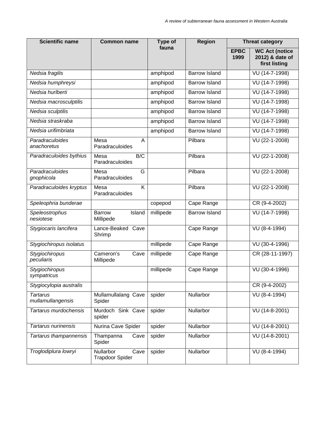| Scientific name                      | <b>Common name</b>                                 | Type of   | <b>Region</b>        | <b>Threat category</b> |                                                           |  |
|--------------------------------------|----------------------------------------------------|-----------|----------------------|------------------------|-----------------------------------------------------------|--|
|                                      |                                                    | fauna     |                      | <b>EPBC</b><br>1999    | <b>WC Act (notice</b><br>2012) & date of<br>first listing |  |
| Nedsia fragilis                      |                                                    | amphipod  | <b>Barrow Island</b> |                        | VU (14-7-1998)                                            |  |
| Nedsia humphreysi                    |                                                    | amphipod  | <b>Barrow Island</b> |                        | VU (14-7-1998)                                            |  |
| Nedsia hurlberti                     |                                                    | amphipod  | <b>Barrow Island</b> |                        | VU (14-7-1998)                                            |  |
| Nedsia macrosculptilis               |                                                    | amphipod  | <b>Barrow Island</b> |                        | VU (14-7-1998)                                            |  |
| Nedsia sculptilis                    |                                                    | amphipod  | <b>Barrow Island</b> |                        | VU (14-7-1998)                                            |  |
| Nedsia straskraba                    |                                                    | amphipod  | <b>Barrow Island</b> |                        | VU (14-7-1998)                                            |  |
| Nedsia urifimbriata                  |                                                    | amphipod  | <b>Barrow Island</b> |                        | VU (14-7-1998)                                            |  |
| Paradraculoides<br>anachoretus       | Mesa<br>Α<br>Paradraculoides                       |           | Pilbara              |                        | VU (22-1-2008)                                            |  |
| Paradraculoides bythius              | B/C<br>Mesa<br>Paradraculoides                     |           | Pilbara              |                        | VU (22-1-2008)                                            |  |
| Paradraculoides<br>gnophicola        | G<br>Mesa<br>Paradraculoides                       |           | Pilbara              |                        | VU (22-1-2008)                                            |  |
| Paradraculoides kryptus              | $\overline{\mathsf{K}}$<br>Mesa<br>Paradraculoides |           | Pilbara              |                        | VU (22-1-2008)                                            |  |
| Speleophria bunderae                 |                                                    | copepod   | Cape Range           |                        | CR (9-4-2002)                                             |  |
| Speleostrophus<br>nesiotese          | <b>Barrow</b><br>Island<br>Millipede               | millipede | <b>Barrow Island</b> |                        | VU (14-7-1998)                                            |  |
| Stygiocaris lancifera                | Lance-Beaked Cave<br>Shrimp                        |           | Cape Range           |                        | VU (8-4-1994)                                             |  |
| Stygiochiropus isolatus              |                                                    | millipede | Cape Range           |                        | VU (30-4-1996)                                            |  |
| Stygiochiropus<br>peculiaris         | Cameron's<br>Cave<br>Millipede                     | millipede | Cape Range           |                        | CR (28-11-1997)                                           |  |
| Stygiochiropus<br>sympatricus        |                                                    | millipede | Cape Range           |                        | VU (30-4-1996)                                            |  |
| Stygiocylopia australis              |                                                    |           |                      |                        | CR (9-4-2002)                                             |  |
| <b>Tartarus</b><br>mullamullangensis | Mullamullalang Cave<br>Spider                      | spider    | Nullarbor            |                        | $VU(8-4-1994)$                                            |  |
| Tartarus murdochensis                | Murdoch Sink Cave<br>spider                        | spider    | Nullarbor            |                        | VU (14-8-2001)                                            |  |
| Tartarus nurinensis                  | Nurina Cave Spider                                 | spider    | Nullarbor            |                        | VU (14-8-2001)                                            |  |
| Tartarus thampannensis               | Thampanna<br>Cave<br>Spider                        | spider    | Nullarbor            |                        | VU (14-8-2001)                                            |  |
| Troglodiplura lowryi                 | Nullarbor<br>Cave<br><b>Trapdoor Spider</b>        | spider    | Nullarbor            |                        | VU (8-4-1994)                                             |  |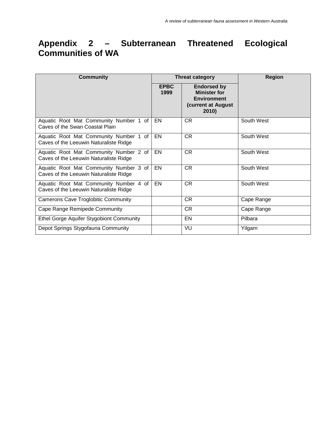## **Appendix 2 – Subterranean Threatened Ecological Communities of WA**

| <b>Community</b>                                                                 |                     | <b>Threat category</b>                                                                         | <b>Region</b> |  |
|----------------------------------------------------------------------------------|---------------------|------------------------------------------------------------------------------------------------|---------------|--|
|                                                                                  | <b>EPBC</b><br>1999 | <b>Endorsed by</b><br><b>Minister for</b><br><b>Environment</b><br>(current at August<br>2010) |               |  |
| Aquatic Root Mat Community Number 1 of<br>Caves of the Swan Coastal Plain        | EN                  | CR.                                                                                            | South West    |  |
| Aquatic Root Mat Community Number 1 of<br>Caves of the Leeuwin Naturaliste Ridge | EN                  | <b>CR</b>                                                                                      | South West    |  |
| Aquatic Root Mat Community Number 2 of<br>Caves of the Leeuwin Naturaliste Ridge | EN                  | <b>CR</b>                                                                                      | South West    |  |
| Aquatic Root Mat Community Number 3 of<br>Caves of the Leeuwin Naturaliste Ridge | EN                  | <b>CR</b>                                                                                      | South West    |  |
| Aquatic Root Mat Community Number 4 of<br>Caves of the Leeuwin Naturaliste Ridge | EN                  | <b>CR</b>                                                                                      | South West    |  |
| <b>Camerons Cave Troglobitic Community</b>                                       |                     | <b>CR</b>                                                                                      | Cape Range    |  |
| Cape Range Remipede Community                                                    |                     | CR                                                                                             | Cape Range    |  |
| Ethel Gorge Aquifer Stygobiont Community                                         |                     | EN                                                                                             | Pilbara       |  |
| Depot Springs Stygofauna Community                                               |                     | VU                                                                                             | Yilgarn       |  |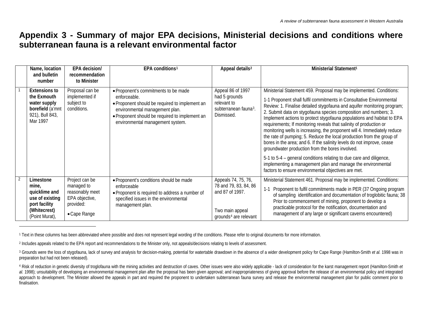## <span id="page-71-2"></span><span id="page-71-1"></span><span id="page-71-0"></span>**Appendix 3 - Summary of major EPA decisions, Ministerial decisions and conditions where subterranean fauna is a relevant environmental factor**

|                | Name, location<br>and bulletin<br>number                                                                  | EPA decision/<br>recommendation<br>to Minister                                                 | EPA conditions <sup>1</sup>                                                                                                                                                                                                    | Appeal details <sup>2</sup>                                                                                             | Ministerial Statement <sup>1</sup>                                                                                                                                                                                                                                                                                                                                                                                                                                                                                                                                                                                                                                                                                                                                                                                                                                 |
|----------------|-----------------------------------------------------------------------------------------------------------|------------------------------------------------------------------------------------------------|--------------------------------------------------------------------------------------------------------------------------------------------------------------------------------------------------------------------------------|-------------------------------------------------------------------------------------------------------------------------|--------------------------------------------------------------------------------------------------------------------------------------------------------------------------------------------------------------------------------------------------------------------------------------------------------------------------------------------------------------------------------------------------------------------------------------------------------------------------------------------------------------------------------------------------------------------------------------------------------------------------------------------------------------------------------------------------------------------------------------------------------------------------------------------------------------------------------------------------------------------|
|                | <b>Extensions to</b><br>the Exmouth<br>water supply<br>borefield (a'mnt<br>921), Bull 843,<br>Mar 1997    | Proposal can be<br>implemented if<br>subject to<br>conditions.                                 | • Proponent's commitments to be made<br>enforceable.<br>• Proponent should be required to implement an<br>environmental management plan.<br>• Proponent should be required to implement an<br>environmental management system. | Appeal 86 of 1997<br>had 5 grounds<br>relevant to<br>subterranean fauna <sup>3</sup> .<br>Dismissed.                    | Ministerial Statement 459. Proposal may be implemented. Conditions:<br>1-1 Proponent shall fulfil commitments in Consultative Environmental<br>Review: 1. Finalise detailed stygofauna and aquifer monitoring program;<br>2. Submit data on stygofauna species composition and numbers; 3.<br>Implement actions to protect stygofauna populations and habitat to EPA<br>requirements; If monitoring reveals that salinity of production or<br>monitoring wells is increasing, the proponent will 4. Immediately reduce<br>the rate of pumping; 5. Reduce the local production from the group of<br>bores in the area; and 6. If the salinity levels do not improve, cease<br>groundwater production from the bores involved.<br>5-1 to 5-4 – general conditions relating to due care and diligence,<br>implementing a management plan and manage the environmental |
|                |                                                                                                           |                                                                                                |                                                                                                                                                                                                                                |                                                                                                                         | factors to ensure environmental objectives are met.                                                                                                                                                                                                                                                                                                                                                                                                                                                                                                                                                                                                                                                                                                                                                                                                                |
| $\overline{2}$ | Limestone<br>mine.<br>quicklime and<br>use of existing<br>port facility<br>(Whitecrest)<br>(Point Murat), | Project can be<br>managed to<br>reasonably meet<br>EPA objective,<br>provided:<br>• Cape Range | · Proponent's conditions should be made<br>enforceable<br>• Proponent is required to address a number of<br>specified issues in the environmental<br>management plan.                                                          | Appeals 74, 75, 76,<br>78 and 79, 83, 84, 86<br>and 87 of 1997.<br>Two main appeal<br>grounds <sup>4</sup> are relevant | Ministerial Statement 461. Proposal may be implemented. Conditions:<br>Proponent to fulfil commitments made in PER (37 Ongoing program<br>of sampling identification and documentation of troglobitic fauna; 38<br>Prior to commencement of mining, proponent to develop a<br>practicable protocol for the notification, documentation and<br>management of any large or significant caverns encountered)                                                                                                                                                                                                                                                                                                                                                                                                                                                          |

<sup>1</sup> Text in these columns has been abbreviated where possible and does not represent legal wording of the conditions. Please refer to original documents for more information.

<sup>2</sup> Includes appeals related to the EPA report and recommendations to the Minister only, not appeals/decisions relating to levels of assessment.

 $\overline{a}$ 

<sup>&</sup>lt;sup>3</sup> Grounds were the loss of stygofauna, lack of survey and analysis for decision-making, potential for watertable drawdown in the absence of a wider development policy for Cape Range (Hamilton-Smith *et al.* 1998 was in preparation but had not been released).

<sup>4</sup> Risk of reduction in genetic diversity of troglofauna with the mining activities and destruction of caves. Other issues were also widely applicable - lack of consideration for the karst management report (Hamilton-Smith al. 1998); unsuitability of developing an environmental management plan after the proposal has been given approval; and inappropriateness of giving approval before the release of an environmental policy and integrated approach to development. The Minister allowed the appeals in part and required the proponent to undertaken subterranean fauna survey and release the environmental management plan for public comment prior to finalisation.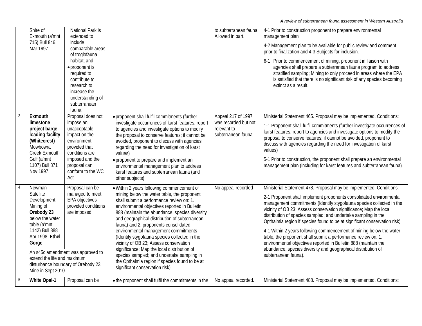| to subterranean fauna<br>4-1 Prior to construction proponent to prepare environmental<br>Exmouth (a'mnt<br>extended to<br>Allowed in part.<br>management plan<br>715) Bull 846,<br>include<br>4-2 Management plan to be available for public review and comment<br>Mar 1997.<br>comparable areas<br>prior to finalization and 4-3 Subjects for inclusion.<br>of troglofauna<br>habitat; and<br>6-1 Prior to commencement of mining, proponent in liaison with<br>• proponent is<br>required to<br>contribute to<br>extinct as a result.<br>research to<br>increase the<br>understanding of<br>subterranean<br>fauna.<br>Proposal does not<br>Appeal 217 of 1997<br>Exmouth<br>. proponent shall fulfil commitments (further<br>was recorded but not<br>limestone<br>impose an<br>investigate occurrences of karst features; report<br>unacceptable<br>relevant to<br>project barge<br>to agencies and investigate options to modify<br>impact on the<br>loading facility<br>subterranean fauna.<br>the proposal to conserve features; if cannot be<br>proposal to conserve features; if cannot be avoided, proponent to<br>(Whitecrest)<br>environment,<br>avoided, proponent to discuss with agencies<br>discuss with agencies regarding the need for investigation of karst<br>Mowbowra<br>provided that<br>regarding the need for investigation of karst<br>values)<br>Creek Exmouth<br>conditions are<br>values)<br>Gulf (a'mnt<br>imposed and the<br>• proponent to prepare and implement an<br>1107) Bull 871<br>proposal can<br>environmental management plan to address<br>Nov 1997.<br>conform to the WC<br>karst features and subterranean fauna (and<br>Act.<br>other subjects)<br>Proposal can be<br>No appeal recorded<br>Newman<br>. Within 2 years following commencement of<br>Satellite<br>managed to meet<br>mining below the water table, the proponent<br>EPA objectives<br>Development,<br>shall submit a performance review on: 1.<br>provided conditions<br>Mining of<br>environmental objectives reported in Bulletin<br>vicinity of OB 23; Assess conservation significance; Map the local<br>Orebody 23<br>are imposed.<br>888 (maintain the abundance, species diversity<br>distribution of species sampled; and undertake sampling in the<br>below the water<br>and geographical distribution of subterranean<br>table (a'mnt<br>fauna) and 2. proponents consolidated<br>1142) Bull 888<br>environmental management commitments<br>Apr 1998. Ethel<br>table, the proponent shall submit a performance review on: 1.<br>(Identify stygofauna species collected in the<br>environmental objectives reported in Bulletin 888 (maintain the<br>Gorge<br>vicinity of OB 23; Assess conservation<br>abundance, species diversity and geographical distribution of<br>significance; Map the local distribution of<br>An s45c amendment was approved to<br>species sampled; and undertake sampling in<br>subterranean fauna).<br>extend the life and maximum<br>the Opthalmia region if species found to be at<br>disturbance boundary of Orebody 23<br>significant conservation risk).<br>Mine in Sept 2010.<br>- 5<br><b>White Opal-1</b><br>Proposal can be<br>No appeal recorded.<br>. the proponent shall fulfil the commitments in the |          |                  |  |                                                                                                                                                                                                                                                                                                                                                                                    |
|-------------------------------------------------------------------------------------------------------------------------------------------------------------------------------------------------------------------------------------------------------------------------------------------------------------------------------------------------------------------------------------------------------------------------------------------------------------------------------------------------------------------------------------------------------------------------------------------------------------------------------------------------------------------------------------------------------------------------------------------------------------------------------------------------------------------------------------------------------------------------------------------------------------------------------------------------------------------------------------------------------------------------------------------------------------------------------------------------------------------------------------------------------------------------------------------------------------------------------------------------------------------------------------------------------------------------------------------------------------------------------------------------------------------------------------------------------------------------------------------------------------------------------------------------------------------------------------------------------------------------------------------------------------------------------------------------------------------------------------------------------------------------------------------------------------------------------------------------------------------------------------------------------------------------------------------------------------------------------------------------------------------------------------------------------------------------------------------------------------------------------------------------------------------------------------------------------------------------------------------------------------------------------------------------------------------------------------------------------------------------------------------------------------------------------------------------------------------------------------------------------------------------------------------------------------------------------------------------------------------------------------------------------------------------------------------------------------------------------------------------------------------------------------------------------------------------------------------------------------------------------------------------------------------------------------------------------------------------------------------------------------------------------------------------------------------------------------------------------------------------------------------------------------------------------------------------------------------------------------------------------------------|----------|------------------|--|------------------------------------------------------------------------------------------------------------------------------------------------------------------------------------------------------------------------------------------------------------------------------------------------------------------------------------------------------------------------------------|
|                                                                                                                                                                                                                                                                                                                                                                                                                                                                                                                                                                                                                                                                                                                                                                                                                                                                                                                                                                                                                                                                                                                                                                                                                                                                                                                                                                                                                                                                                                                                                                                                                                                                                                                                                                                                                                                                                                                                                                                                                                                                                                                                                                                                                                                                                                                                                                                                                                                                                                                                                                                                                                                                                                                                                                                                                                                                                                                                                                                                                                                                                                                                                                                                                                                                   | Shire of | National Park is |  |                                                                                                                                                                                                                                                                                                                                                                                    |
|                                                                                                                                                                                                                                                                                                                                                                                                                                                                                                                                                                                                                                                                                                                                                                                                                                                                                                                                                                                                                                                                                                                                                                                                                                                                                                                                                                                                                                                                                                                                                                                                                                                                                                                                                                                                                                                                                                                                                                                                                                                                                                                                                                                                                                                                                                                                                                                                                                                                                                                                                                                                                                                                                                                                                                                                                                                                                                                                                                                                                                                                                                                                                                                                                                                                   |          |                  |  |                                                                                                                                                                                                                                                                                                                                                                                    |
|                                                                                                                                                                                                                                                                                                                                                                                                                                                                                                                                                                                                                                                                                                                                                                                                                                                                                                                                                                                                                                                                                                                                                                                                                                                                                                                                                                                                                                                                                                                                                                                                                                                                                                                                                                                                                                                                                                                                                                                                                                                                                                                                                                                                                                                                                                                                                                                                                                                                                                                                                                                                                                                                                                                                                                                                                                                                                                                                                                                                                                                                                                                                                                                                                                                                   |          |                  |  | agencies shall prepare a subterranean fauna program to address<br>stratified sampling; Mining to only proceed in areas where the EPA<br>is satisfied that there is no significant risk of any species becoming                                                                                                                                                                     |
|                                                                                                                                                                                                                                                                                                                                                                                                                                                                                                                                                                                                                                                                                                                                                                                                                                                                                                                                                                                                                                                                                                                                                                                                                                                                                                                                                                                                                                                                                                                                                                                                                                                                                                                                                                                                                                                                                                                                                                                                                                                                                                                                                                                                                                                                                                                                                                                                                                                                                                                                                                                                                                                                                                                                                                                                                                                                                                                                                                                                                                                                                                                                                                                                                                                                   |          |                  |  | Ministerial Statement 465. Proposal may be implemented. Conditions:<br>1-1 Proponent shall fulfil commitments (further investigate occurrences of<br>karst features; report to agencies and investigate options to modify the<br>5-1 Prior to construction, the proponent shall prepare an environmental<br>management plan (including for karst features and subterranean fauna). |
|                                                                                                                                                                                                                                                                                                                                                                                                                                                                                                                                                                                                                                                                                                                                                                                                                                                                                                                                                                                                                                                                                                                                                                                                                                                                                                                                                                                                                                                                                                                                                                                                                                                                                                                                                                                                                                                                                                                                                                                                                                                                                                                                                                                                                                                                                                                                                                                                                                                                                                                                                                                                                                                                                                                                                                                                                                                                                                                                                                                                                                                                                                                                                                                                                                                                   |          |                  |  | Ministerial Statement 478. Proposal may be implemented. Conditions:<br>2-1 Proponent shall implement proponents consolidated environmental<br>management commitments (Identify stygofauna species collected in the<br>Opthalmia region if species found to be at significant conservation risk)<br>4-1 Within 2 years following commencement of mining below the water             |
|                                                                                                                                                                                                                                                                                                                                                                                                                                                                                                                                                                                                                                                                                                                                                                                                                                                                                                                                                                                                                                                                                                                                                                                                                                                                                                                                                                                                                                                                                                                                                                                                                                                                                                                                                                                                                                                                                                                                                                                                                                                                                                                                                                                                                                                                                                                                                                                                                                                                                                                                                                                                                                                                                                                                                                                                                                                                                                                                                                                                                                                                                                                                                                                                                                                                   |          |                  |  | Ministerial Statement 488. Proposal may be implemented. Conditions:                                                                                                                                                                                                                                                                                                                |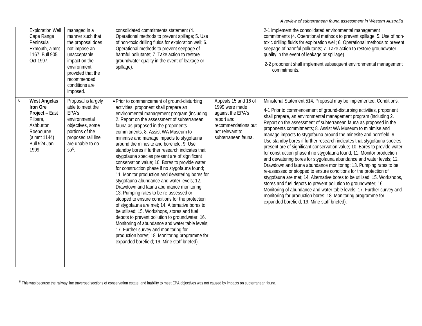<span id="page-73-0"></span>

| <b>Exploration Well</b><br>Cape Range<br>Peninsula<br>Exmouth, a'mnt<br>1167, Bull 905<br>Oct 1997.                              | managed in a<br>manner such that<br>the proposal does<br>not impose an<br>unacceptable<br>impact on the<br>environment,<br>provided that the<br>recommended<br>conditions are<br>imposed. | consolidated commitments statement (4.<br>Operational methods to prevent spillage; 5. Use<br>of non-toxic drilling fluids for exploration well; 6.<br>Operational methods to prevent seepage of<br>harmful pollutants; 7. Take action to restore<br>groundwater quality in the event of leakage or<br>spillage).                                                                                                                                                                                                                                                                                                                                                                                                                                                                                                                                                                                                                                                                                                                                                                                                                                                   |                                                                                                                                            | 2-1 implement the consolidated environmental management<br>commitments (4. Operational methods to prevent spillage; 5. Use of non-<br>toxic drilling fluids for exploration well; 6. Operational methods to prevent<br>seepage of harmful pollutants; 7. Take action to restore groundwater<br>quality in the event of leakage or spillage).<br>2-2 proponent shall implement subsequent environmental management<br>commitments.                                                                                                                                                                                                                                                                                                                                                                                                                                                                                                                                                                                                                                                                                                                                                                                    |
|----------------------------------------------------------------------------------------------------------------------------------|-------------------------------------------------------------------------------------------------------------------------------------------------------------------------------------------|--------------------------------------------------------------------------------------------------------------------------------------------------------------------------------------------------------------------------------------------------------------------------------------------------------------------------------------------------------------------------------------------------------------------------------------------------------------------------------------------------------------------------------------------------------------------------------------------------------------------------------------------------------------------------------------------------------------------------------------------------------------------------------------------------------------------------------------------------------------------------------------------------------------------------------------------------------------------------------------------------------------------------------------------------------------------------------------------------------------------------------------------------------------------|--------------------------------------------------------------------------------------------------------------------------------------------|----------------------------------------------------------------------------------------------------------------------------------------------------------------------------------------------------------------------------------------------------------------------------------------------------------------------------------------------------------------------------------------------------------------------------------------------------------------------------------------------------------------------------------------------------------------------------------------------------------------------------------------------------------------------------------------------------------------------------------------------------------------------------------------------------------------------------------------------------------------------------------------------------------------------------------------------------------------------------------------------------------------------------------------------------------------------------------------------------------------------------------------------------------------------------------------------------------------------|
| <b>West Angelas</b><br>Iron Ore<br>Project - East<br>Pilbara,<br>Ashburton,<br>Roebourne<br>(a'mnt 1144)<br>Bull 924 Jan<br>1999 | Proposal is largely<br>able to meet the<br>EPA's<br>environmental<br>objectives, some<br>portions of the<br>proposed rail line<br>are unable to do<br>$SO5$ .                             | • Prior to commencement of ground-disturbing<br>activities, proponent shall prepare an<br>environmental management program (including<br>2. Report on the assessment of subterranean<br>fauna as proposed in the proponents<br>commitments; 8. Assist WA Museum to<br>minimise and manage impacts to stygofauna<br>around the minesite and borefield; 9. Use<br>standby bores if further research indicates that<br>stygofauna species present are of significant<br>conservation value; 10. Bores to provide water<br>for construction phase if no stygofauna found;<br>11. Monitor production and dewatering bores for<br>stygofauna abundance and water levels; 12.<br>Drawdown and fauna abundance monitoring;<br>13. Pumping rates to be re-assessed or<br>stopped to ensure conditions for the protection<br>of stygofauna are met; 14. Alternative bores to<br>be utilised; 15. Workshops, stores and fuel<br>depots to prevent pollution to groundwater; 16.<br>Monitoring of abundance and water table levels;<br>17. Further survey and monitoring for<br>production bores; 18. Monitoring programme for<br>expanded borefield; 19. Mine staff briefed). | Appeals 15 and 16 of<br>1999 were made<br>against the EPA's<br>report and<br>recommendations but<br>not relevant to<br>subterranean fauna. | Ministerial Statement 514. Proposal may be implemented. Conditions:<br>4-1 Prior to commencement of ground-disturbing activities, proponent<br>shall prepare, an environmental management program (including 2.<br>Report on the assessment of subterranean fauna as proposed in the<br>proponents commitments; 8. Assist WA Museum to minimise and<br>manage impacts to stygofauna around the minesite and borefield; 9.<br>Use standby bores if further research indicates that stygofauna species<br>present are of significant conservation value; 10. Bores to provide water<br>for construction phase if no stygofauna found; 11. Monitor production<br>and dewatering bores for stygofauna abundance and water levels; 12.<br>Drawdown and fauna abundance monitoring; 13. Pumping rates to be<br>re-assessed or stopped to ensure conditions for the protection of<br>stygofauna are met; 14. Alternative bores to be utilised; 15. Workshops,<br>stores and fuel depots to prevent pollution to groundwater; 16.<br>Monitoring of abundance and water table levels; 17. Further survey and<br>monitoring for production bores; 18. Monitoring programme for<br>expanded borefield; 19. Mine staff briefed). |

<sup>&</sup>lt;sup>5</sup> This was because the railway line traversed sections of conservation estate, and inability to meet EPA objectives was not caused by impacts on subterranean fauna.

-

<u> 1989 - Johann Barnett, fransk kongres</u>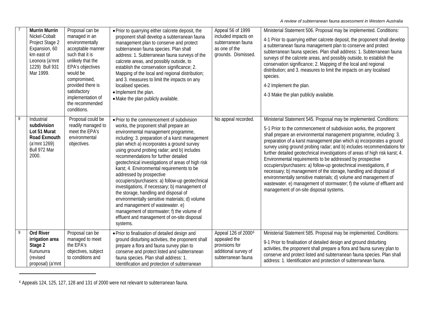<span id="page-74-0"></span>

|   | <b>Murrin Murrin</b><br>Nickel-Cobalt<br>Project Stage 2<br>Expansion, 60<br>km east of<br>Leonora (a'mnt<br>1229) Bull 931<br>Mar 1999. | Proposal can be<br>managed in an<br>environmentally<br>acceptable manner<br>such that it is<br>unlikely that the<br>EPA's objectives<br>would be<br>compromised,<br>provided there is<br>satisfactory<br>implementation of<br>the recommended<br>conditions. | • Prior to quarrying either calcrete deposit, the<br>proponent shall develop a subterranean fauna<br>management plan to conserve and protect<br>subterranean fauna species. Plan shall<br>address: 1. Subterranean fauna surveys of the<br>calcrete areas, and possibly outside, to<br>establish the conservation significance; 2.<br>Mapping of the local and regional distribution;<br>and 3. measures to limit the impacts on any<br>localised species.<br>· Implement the plan.<br>• Make the plan publicly available.                                                                                                                                                                                                                                                                     | Appeal 56 of 1999<br>included impacts on<br>subterranean fauna<br>as one of the<br>grounds. Dismissed.          | Ministerial Statement 506. Proposal may be implemented. Conditions:<br>4-1 Prior to quarrying either calcrete deposit, the proponent shall develop<br>a subterranean fauna management plan to conserve and protect<br>subterranean fauna species. Plan shall address: 1. Subterranean fauna<br>surveys of the calcrete areas, and possibly outside, to establish the<br>conservation significance; 2. Mapping of the local and regional<br>distribution; and 3. measures to limit the impacts on any localised<br>species.<br>4-2 Implement the plan.<br>4-3 Make the plan publicly available.                                                                                                                                                                                                                                                     |
|---|------------------------------------------------------------------------------------------------------------------------------------------|--------------------------------------------------------------------------------------------------------------------------------------------------------------------------------------------------------------------------------------------------------------|------------------------------------------------------------------------------------------------------------------------------------------------------------------------------------------------------------------------------------------------------------------------------------------------------------------------------------------------------------------------------------------------------------------------------------------------------------------------------------------------------------------------------------------------------------------------------------------------------------------------------------------------------------------------------------------------------------------------------------------------------------------------------------------------|-----------------------------------------------------------------------------------------------------------------|----------------------------------------------------------------------------------------------------------------------------------------------------------------------------------------------------------------------------------------------------------------------------------------------------------------------------------------------------------------------------------------------------------------------------------------------------------------------------------------------------------------------------------------------------------------------------------------------------------------------------------------------------------------------------------------------------------------------------------------------------------------------------------------------------------------------------------------------------|
| 8 | Industrial<br>subdivision<br>Lot 51 Murat<br>Road Exmouth<br>(a'mnt 1269)<br>Bull 972 Mar<br>2000.                                       | Proposal could be<br>readily managed to<br>meet the EPA's<br>environmental<br>objectives.                                                                                                                                                                    | . Prior to the commencement of subdivision<br>works, the proponent shall prepare an<br>environmental management programme,<br>including: 3. preparation of a karst management<br>plan which a) incorporates a ground survey<br>using ground probing radar; and b) includes<br>recommendations for further detailed<br>geotechnical investigations of areas of high risk<br>karst; 4. Environmental requirements to be<br>addressed by prospective<br>occupiers/purchasers: a) follow-up geotechnical<br>investigations, if necessary; b) management of<br>the storage, handling and disposal of<br>environmentally sensitive materials; d) volume<br>and management of wastewater. e)<br>management of stormwater; f) the volume of<br>effluent and management of on-site disposal<br>systems. | No appeal recorded.                                                                                             | Ministerial Statement 545. Proposal may be implemented. Conditions:<br>5-1 Prior to the commencement of subdivision works, the proponent<br>shall prepare an environmental management programme, including: 3.<br>preparation of a karst management plan which a) incorporates a ground<br>survey using ground probing radar; and b) includes recommendations for<br>further detailed geotechnical investigations of areas of high risk karst; 4.<br>Environmental requirements to be addressed by prospective<br>occupiers/purchasers: a) follow-up geotechnical investigations, if<br>necessary; b) management of the storage, handling and disposal of<br>environmentally sensitive materials; d) volume and management of<br>wastewater. e) management of stormwater; f) the volume of effluent and<br>management of on-site disposal systems. |
| 9 | <b>Ord River</b><br>irrigation area<br>Stage 2<br>Kununurra<br>(revised<br>proposal) (a'mnt                                              | Proposal can be<br>managed to meet<br>the EPA's<br>objectives, subject<br>to conditions and                                                                                                                                                                  | . Prior to finalisation of detailed design and<br>ground disturbing activities, the proponent shall<br>prepare a flora and fauna survey plan to<br>conserve and protect listed and subterranean<br>fauna species. Plan shall address: 1.<br>Identification and protection of subterranean                                                                                                                                                                                                                                                                                                                                                                                                                                                                                                      | Appeal 126 of 2000 <sup>6</sup><br>appealed the<br>provisions for<br>additional survey of<br>subterranean fauna | Ministerial Statement 585. Proposal may be implemented. Conditions:<br>9-1 Prior to finalisation of detailed design and ground disturbing<br>activities, the proponent shall prepare a flora and fauna survey plan to<br>conserve and protect listed and subterranean fauna species. Plan shall<br>address: 1. Identification and protection of subterranean fauna.                                                                                                                                                                                                                                                                                                                                                                                                                                                                                |

<sup>6</sup> Appeals 124, 125, 127, 128 and 131 of 2000 were not relevant to subterranean fauna.

<u> 1990 - Johann Barbara, martin a</u>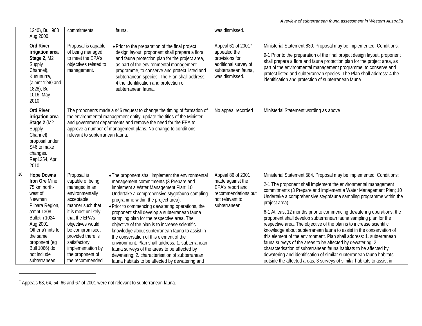<span id="page-75-0"></span>

|                  | 1240), Bull 988<br>Aug 2000.                                                                                                                                                                                                             | commitments.                                                                                                                                                                                                                                                                           | fauna.                                                                                                                                                                                                                                                                                                                                                                                                                                                                                                                                                                                                                                                                                                                                   | was dismissed.                                                                                                        |                                                                                                                                                                                                                                                                                                                                                                                                                                                                                                                                                                                                                                                                                                                                                                                                                                                                                                                                                            |
|------------------|------------------------------------------------------------------------------------------------------------------------------------------------------------------------------------------------------------------------------------------|----------------------------------------------------------------------------------------------------------------------------------------------------------------------------------------------------------------------------------------------------------------------------------------|------------------------------------------------------------------------------------------------------------------------------------------------------------------------------------------------------------------------------------------------------------------------------------------------------------------------------------------------------------------------------------------------------------------------------------------------------------------------------------------------------------------------------------------------------------------------------------------------------------------------------------------------------------------------------------------------------------------------------------------|-----------------------------------------------------------------------------------------------------------------------|------------------------------------------------------------------------------------------------------------------------------------------------------------------------------------------------------------------------------------------------------------------------------------------------------------------------------------------------------------------------------------------------------------------------------------------------------------------------------------------------------------------------------------------------------------------------------------------------------------------------------------------------------------------------------------------------------------------------------------------------------------------------------------------------------------------------------------------------------------------------------------------------------------------------------------------------------------|
|                  | <b>Ord River</b><br>irrigation area<br>Stage 2, M2<br>Supply<br>Channel),<br>Kununurra,<br>(a'mnt 1240 and<br>1828), Bull<br>1016, May<br>2010.                                                                                          | Proposal is capable<br>of being managed<br>to meet the EPA's<br>objectives related to<br>management.                                                                                                                                                                                   | • Prior to the preparation of the final project<br>design layout, proponent shall prepare a flora<br>and fauna protection plan for the project area,<br>as part of the environmental management<br>programme, to conserve and protect listed and<br>subterranean species. The Plan shall address:<br>4 the identification and protection of<br>subterranean fauna.                                                                                                                                                                                                                                                                                                                                                                       | Appeal 61 of 20017<br>appealed the<br>provisions for<br>additional survey of<br>subterranean fauna,<br>was dismissed. | Ministerial Statement 830. Proposal may be implemented. Conditions:<br>9-1 Prior to the preparation of the final project design layout, proponent<br>shall prepare a flora and fauna protection plan for the project area, as<br>part of the environmental management programme, to conserve and<br>protect listed and subterranean species. The Plan shall address: 4 the<br>identification and protection of subterranean fauna.                                                                                                                                                                                                                                                                                                                                                                                                                                                                                                                         |
|                  | <b>Ord River</b><br>irrigation area<br>Stage 2 (M2<br>Supply<br>Channel)<br>proposal under<br>S46 to make<br>changes.<br>Rep1354, Apr<br>2010.                                                                                           | relevant to subterranean fauna.                                                                                                                                                                                                                                                        | The proponents made a s46 request to change the timing of formation of<br>the environmental management entity, update the titles of the Minister<br>and government departments and remove the need for the EPA to<br>approve a number of management plans. No change to conditions                                                                                                                                                                                                                                                                                                                                                                                                                                                       | No appeal recorded                                                                                                    | Ministerial Statement wording as above                                                                                                                                                                                                                                                                                                                                                                                                                                                                                                                                                                                                                                                                                                                                                                                                                                                                                                                     |
| 10 <sup>10</sup> | <b>Hope Downs</b><br>Iron Ore Mine<br>75 km north-<br>west of<br>Newman<br>Pilbara Region,<br>a'mnt 1308,<br>Bulletin 1024<br>Aug 2001.<br>Other a'mnts for<br>the same<br>proponent (eg<br>Bull 1066) do<br>not include<br>subterranean | Proposal is<br>capable of being<br>managed in an<br>environmentally<br>acceptable<br>manner such that<br>it is most unlikely<br>that the EPA's<br>objectives would<br>be compromised,<br>provided there is<br>satisfactory<br>implementation by<br>the proponent of<br>the recommended | • The proponent shall implement the environmental<br>management commitments (3 Prepare and<br>implement a Water Management Plan; 10<br>Undertake a comprehensive stygofauna sampling<br>programme within the project area).<br>· Prior to commencing dewatering operations, the<br>proponent shall develop a subterranean fauna<br>sampling plan for the respective area. The<br>objective of the plan is to increase scientific<br>knowledge about subterranean fauna to assist in<br>the conservation of this element of the<br>environment. Plan shall address: 1. subterranean<br>fauna surveys of the areas to be affected by<br>dewatering; 2. characterisation of subterranean<br>fauna habitats to be affected by dewatering and | Appeal 86 of 2001<br>made against the<br>EPA's report and<br>recommendations but<br>not relevant to<br>subterranean.  | Ministerial Statement 584. Proposal may be implemented. Conditions:<br>2-1 The proponent shall implement the environmental management<br>commitments (3 Prepare and implement a Water Management Plan; 10<br>Undertake a comprehensive stygofauna sampling programme within the<br>project area)<br>6-1 At least 12 months prior to commencing dewatering operations, the<br>proponent shall develop subterranean fauna sampling plan for the<br>respective area. The objective of the plan is to increase scientific<br>knowledge about subterranean fauna to assist in the conservation of<br>this element of the environment. Plan shall address: 1. subterranean<br>fauna surveys of the areas to be affected by dewatering; 2.<br>characterisation of subterranean fauna habitats to be affected by<br>dewatering and identification of similar subterranean fauna habitats<br>outside the affected areas; 3 surveys of similar habitats to assist in |

<sup>7</sup> Appeals 63, 64, 54, 66 and 67 of 2001 were not relevant to subterranean fauna.

<u> 1989 - Johann Barbara, martin a</u>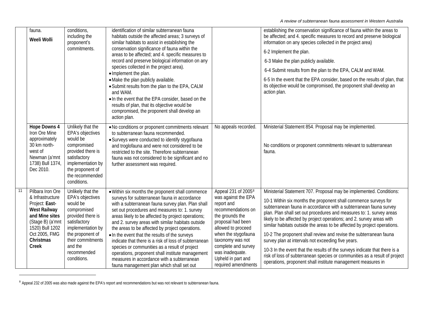<span id="page-76-0"></span>

|    | fauna.<br>Weeli Wolli                                                                                                                                                         | conditions,<br>including the<br>proponent's<br>commitments.                                                                                                                                                  | identification of similar subterranean fauna<br>habitats outside the affected areas; 3 surveys of<br>similar habitats to assist in establishing the<br>conservation significance of fauna within the<br>areas to be affected; and 4. specific measures to<br>record and preserve biological information on any<br>species collected in the project area).<br>· Implement the plan.<br>• Make the plan publicly available.<br>• Submit results from the plan to the EPA, CALM<br>and WAM.<br>. In the event that the EPA consider, based on the<br>results of plan, that its objective would be<br>compromised, the proponent shall develop an<br>action plan.                   |                                                                                                                                                                                                                                                                                            | establishing the conservation significance of fauna within the areas to<br>be affected; and 4. specific measures to record and preserve biological<br>information on any species collected in the project area)<br>6-2 Implement the plan.<br>6-3 Make the plan publicly available.<br>6-4 Submit results from the plan to the EPA, CALM and WAM.<br>6-5 In the event that the EPA consider, based on the results of plan, that<br>its objective would be compromised, the proponent shall develop an<br>action plan.                                                                                                                                                                                                                                                                           |
|----|-------------------------------------------------------------------------------------------------------------------------------------------------------------------------------|--------------------------------------------------------------------------------------------------------------------------------------------------------------------------------------------------------------|---------------------------------------------------------------------------------------------------------------------------------------------------------------------------------------------------------------------------------------------------------------------------------------------------------------------------------------------------------------------------------------------------------------------------------------------------------------------------------------------------------------------------------------------------------------------------------------------------------------------------------------------------------------------------------|--------------------------------------------------------------------------------------------------------------------------------------------------------------------------------------------------------------------------------------------------------------------------------------------|-------------------------------------------------------------------------------------------------------------------------------------------------------------------------------------------------------------------------------------------------------------------------------------------------------------------------------------------------------------------------------------------------------------------------------------------------------------------------------------------------------------------------------------------------------------------------------------------------------------------------------------------------------------------------------------------------------------------------------------------------------------------------------------------------|
|    | <b>Hope Downs 4</b><br>Iron Ore Mine<br>approximately<br>30 km north-<br>west of<br>Newman (a'mnt<br>1738) Bull 1374,<br>Dec 2010.                                            | Unlikely that the<br>EPA's objectives<br>would be<br>compromised<br>provided there is<br>satisfactory<br>implementation by<br>the proponent of<br>the recommended<br>conditions.                             | . No conditions or proponent commitments relevant<br>to subterranean fauna recommended.<br>• Surveys were conducted to identify stygofauna<br>and troglofauna and were not considered to be<br>restricted to the site. Therefore subterranean<br>fauna was not considered to be significant and no<br>further assessment was required.                                                                                                                                                                                                                                                                                                                                          | No appeals recorded.                                                                                                                                                                                                                                                                       | Ministerial Statement 854. Proposal may be implemented.<br>No conditions or proponent commitments relevant to subterranean<br>fauna.                                                                                                                                                                                                                                                                                                                                                                                                                                                                                                                                                                                                                                                            |
| 11 | Pilbara Iron Ore<br>& Infrastructure<br>Project: East-<br><b>West Railway</b><br>and Mine sites<br>(Stage B) (a'mnt<br>1520) Bull 1202<br>Oct 2005, FMG<br>Christmas<br>Creek | Unlikely that the<br>EPA's objectives<br>would be<br>compromised<br>provided there is<br>satisfactory<br>implementation by<br>the proponent of<br>their commitments<br>and the<br>recommended<br>conditions. | . Within six months the proponent shall commence<br>surveys for subterranean fauna in accordance<br>with a subterranean fauna survey plan. Plan shall<br>set out procedures and measures to: 1. survey<br>areas likely to be affected by project operations;<br>and 2. survey areas with similar habitats outside<br>the areas to be affected by project operations.<br>. In the event that the results of the surveys<br>indicate that there is a risk of loss of subterranean<br>species or communities as a result of project<br>operations, proponent shall institute management<br>measures in accordance with a subterranean<br>fauna management plan which shall set out | Appeal 231 of 2005 <sup>8</sup><br>was against the EPA<br>report and<br>recommendations on<br>the grounds the<br>proposal had been<br>allowed to proceed<br>when the stygofauna<br>taxonomy was not<br>complete and survey<br>was inadequate.<br>Upheld in part and<br>required amendments | Ministerial Statement 707. Proposal may be implemented. Conditions:<br>10-1 Within six months the proponent shall commence surveys for<br>subterranean fauna in accordance with a subterranean fauna survey<br>plan. Plan shall set out procedures and measures to: 1. survey areas<br>likely to be affected by project operations; and 2. survey areas with<br>similar habitats outside the areas to be affected by project operations.<br>10-2 The proponent shall review and revise the subterranean fauna<br>survey plan at intervals not exceeding five years.<br>10-3 In the event that the results of the surveys indicate that there is a<br>risk of loss of subterranean species or communities as a result of project<br>operations, proponent shall institute management measures in |

<sup>&</sup>lt;sup>8</sup> Appeal 232 of 2005 was also made against the EPA's report and recommendations but was not relevant to subterranean fauna.

-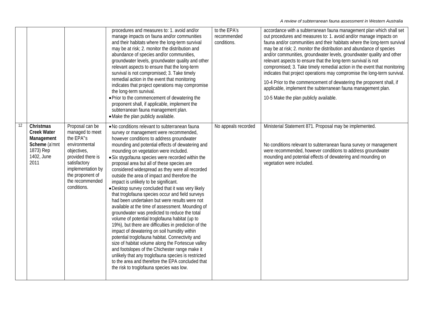|    |                                                                                                   |                                                                                                                                                                                                 | procedures and measures to: 1. avoid and/or<br>manage impacts on fauna and/or communities<br>and their habitats where the long-term survival<br>may be at risk; 2. monitor the distribution and<br>abundance of species and/or communities,<br>groundwater levels, groundwater quality and other<br>relevant aspects to ensure that the long-term<br>survival is not compromised; 3. Take timely<br>remedial action in the event that monitoring<br>indicates that project operations may compromise<br>the long-term survival.<br>. Prior to the commencement of dewatering the<br>proponent shall, if applicable, implement the<br>subterranean fauna management plan.<br>• Make the plan publicly available.                                                                                                                                                                                                                                                                                                                                                                                                                                                                                                               | to the EPA's<br>recommended<br>conditions. | accordance with a subterranean fauna management plan which shall set<br>out procedures and measures to: 1. avoid and/or manage impacts on<br>fauna and/or communities and their habitats where the long-term survival<br>may be at risk; 2. monitor the distribution and abundance of species<br>and/or communities, groundwater levels, groundwater quality and other<br>relevant aspects to ensure that the long-term survival is not<br>compromised; 3. Take timely remedial action in the event that monitoring<br>indicates that project operations may compromise the long-term survival.<br>10-4 Prior to the commencement of dewatering the proponent shall, if<br>applicable, implement the subterranean fauna management plan.<br>10-5 Make the plan publicly available. |
|----|---------------------------------------------------------------------------------------------------|-------------------------------------------------------------------------------------------------------------------------------------------------------------------------------------------------|-------------------------------------------------------------------------------------------------------------------------------------------------------------------------------------------------------------------------------------------------------------------------------------------------------------------------------------------------------------------------------------------------------------------------------------------------------------------------------------------------------------------------------------------------------------------------------------------------------------------------------------------------------------------------------------------------------------------------------------------------------------------------------------------------------------------------------------------------------------------------------------------------------------------------------------------------------------------------------------------------------------------------------------------------------------------------------------------------------------------------------------------------------------------------------------------------------------------------------|--------------------------------------------|------------------------------------------------------------------------------------------------------------------------------------------------------------------------------------------------------------------------------------------------------------------------------------------------------------------------------------------------------------------------------------------------------------------------------------------------------------------------------------------------------------------------------------------------------------------------------------------------------------------------------------------------------------------------------------------------------------------------------------------------------------------------------------|
| 12 | Christmas<br><b>Creek Water</b><br>Management<br>Scheme (a'mnt<br>1873) Rep<br>1402, June<br>2011 | Proposal can be<br>managed to meet<br>the EPA"s<br>environmental<br>objectives,<br>provided there is<br>satisfactory<br>implementation by<br>the proponent of<br>the recommended<br>conditions. | . No conditions relevant to subterranean fauna<br>survey or management were recommended,<br>however conditions to address groundwater<br>mounding and potential effects of dewatering and<br>mounding on vegetation were included.<br>• Six stygofauna species were recorded within the<br>proposal area but all of these species are<br>considered widespread as they were all recorded<br>outside the area of impact and therefore the<br>impact is unlikely to be significant.<br>• Desktop survey concluded that it was very likely<br>that troglofauna species occur and field surveys<br>had been undertaken but were results were not<br>available at the time of assessment. Mounding of<br>groundwater was predicted to reduce the total<br>volume of potential troglofauna habitat (up to<br>19%), but there are difficulties in prediction of the<br>impact of dewatering on soil humidity within<br>potential troglofauna habitat. Connectivity and<br>size of habitat volume along the Fortescue valley<br>and footslopes of the Chichester range make it<br>unlikely that any troglofauna species is restricted<br>to the area and therefore the EPA concluded that<br>the risk to troglofauna species was low. | No appeals recorded                        | Ministerial Statement 871. Proposal may be implemented.<br>No conditions relevant to subterranean fauna survey or management<br>were recommended, however conditions to address groundwater<br>mounding and potential effects of dewatering and mounding on<br>vegetation were included.                                                                                                                                                                                                                                                                                                                                                                                                                                                                                           |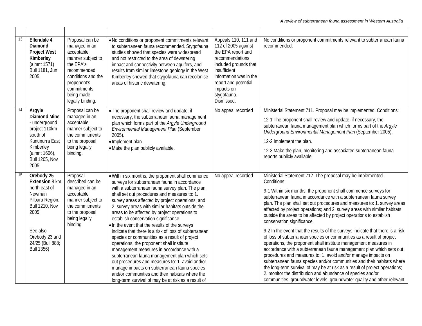| 13 | Ellendale 4<br>Diamond<br><b>Project West</b><br>Kimberley<br>(a'mnt 1571)<br><b>Bull 1181, Jun</b><br>2005.                                                                        | Proposal can be<br>managed in an<br>acceptable<br>manner subject to<br>the EPA's<br>recommended<br>conditions and the<br>proponent's<br>commitments<br>being made<br>legally binding. | . No conditions or proponent commitments relevant<br>to subterranean fauna recommended. Stygofauna<br>studies showed that species were widespread<br>and not restricted to the area of dewatering<br>impact and connectivity between aquifers, and<br>results from similar limestone geology in the West<br>Kimberley showed that stygofauna can recolonise<br>areas of historic dewatering.                                                                                                                                                                                                                                                                                                                                                                                                                                                                                                                              | Appeals 110, 111 and<br>112 of 2005 against<br>the EPA report and<br>recommendations<br>included grounds that<br>insufficient<br>information was in the<br>report and potential<br>impacts on<br>stygofauna.<br>Dismissed. | No conditions or proponent commitments relevant to subterranean fauna<br>recommended.                                                                                                                                                                                                                                                                                                                                                                                                                                                                                                                                                                                                                                                                                                                                                                                                                                                                                                                                                                                                                                                                      |
|----|-------------------------------------------------------------------------------------------------------------------------------------------------------------------------------------|---------------------------------------------------------------------------------------------------------------------------------------------------------------------------------------|---------------------------------------------------------------------------------------------------------------------------------------------------------------------------------------------------------------------------------------------------------------------------------------------------------------------------------------------------------------------------------------------------------------------------------------------------------------------------------------------------------------------------------------------------------------------------------------------------------------------------------------------------------------------------------------------------------------------------------------------------------------------------------------------------------------------------------------------------------------------------------------------------------------------------|----------------------------------------------------------------------------------------------------------------------------------------------------------------------------------------------------------------------------|------------------------------------------------------------------------------------------------------------------------------------------------------------------------------------------------------------------------------------------------------------------------------------------------------------------------------------------------------------------------------------------------------------------------------------------------------------------------------------------------------------------------------------------------------------------------------------------------------------------------------------------------------------------------------------------------------------------------------------------------------------------------------------------------------------------------------------------------------------------------------------------------------------------------------------------------------------------------------------------------------------------------------------------------------------------------------------------------------------------------------------------------------------|
| 14 | Argyle<br><b>Diamond Mine</b><br>- underground<br>project 110km<br>south of<br>Kununurra East<br>Kimberley<br>(a'mnt 1606),<br><b>Bull 1205, Nov</b><br>2005.                       | Proposal can be<br>managed in an<br>acceptable<br>manner subject to<br>the commitments<br>to the proposal<br>being legally<br>binding.                                                | • The proponent shall review and update, if<br>necessary, the subterranean fauna management<br>plan which forms part of the Argyle Underground<br>Environmental Management Plan (September<br>$2005$ ).<br>· Implement plan.<br>• Make the plan publicly available.                                                                                                                                                                                                                                                                                                                                                                                                                                                                                                                                                                                                                                                       | No appeal recorded                                                                                                                                                                                                         | Ministerial Statement 711. Proposal may be implemented. Conditions:<br>12-1 The proponent shall review and update, if necessary, the<br>subterranean fauna management plan which forms part of the Argyle<br>Underground Environmental Management Plan (September 2005).<br>12-2 Implement the plan.<br>12-3 Make the plan, monitoring and associated subterranean fauna<br>reports publicly available.                                                                                                                                                                                                                                                                                                                                                                                                                                                                                                                                                                                                                                                                                                                                                    |
| 15 | Orebody 25<br>Extension 8 km<br>north east of<br>Newman<br>Pilbara Region,<br><b>Bull 1210, Nov</b><br>2005.<br>See also<br>Orebody 23 and<br>24/25 (Bull 888;<br><b>Bull 1356)</b> | Proposal<br>described can be<br>managed in an<br>acceptable<br>manner subject to<br>the commitments<br>to the proposal<br>being legally<br>binding.                                   | . Within six months, the proponent shall commence<br>surveys for subterranean fauna in accordance<br>with a subterranean fauna survey plan. The plan<br>shall set out procedures and measures to: 1.<br>survey areas affected by project operations; and<br>2. survey areas with similar habitats outside the<br>areas to be affected by project operations to<br>establish conservation significance.<br>. In the event that the results of the surveys<br>indicate that there is a risk of loss of subterranean<br>species or communities as a result of project<br>operations, the proponent shall institute<br>management measures in accordance with a<br>subterranean fauna management plan which sets<br>out procedures and measures to: 1. avoid and/or<br>manage impacts on subterranean fauna species<br>and/or communities and their habitats where the<br>long-term survival of may be at risk as a result of | No appeal recorded                                                                                                                                                                                                         | Ministerial Statement 712. The proposal may be implemented.<br>Conditions:<br>9-1 Within six months, the proponent shall commence surveys for<br>subterranean fauna in accordance with a subterranean fauna survey<br>plan. The plan shall set out procedures and measures to: 1. survey areas<br>affected by project operations; and 2. survey areas with similar habitats<br>outside the areas to be affected by project operations to establish<br>conservation significance.<br>9-2 In the event that the results of the surveys indicate that there is a risk<br>of loss of subterranean species or communities as a result of project<br>operations, the proponent shall institute management measures in<br>accordance with a subterranean fauna management plan which sets out<br>procedures and measures to: 1. avoid and/or manage impacts on<br>subterranean fauna species and/or communities and their habitats where<br>the long-term survival of may be at risk as a result of project operations;<br>2. monitor the distribution and abundance of species and/or<br>communities, groundwater levels, groundwater quality and other relevant |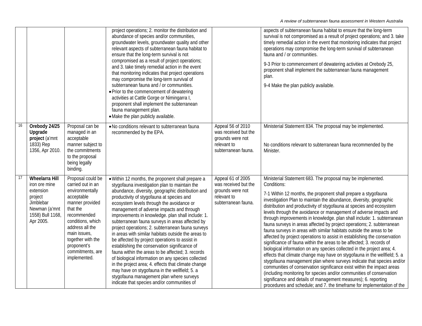|    |                                                                                                                               |                                                                                                                                                                                                                                                       | project operations; 2. monitor the distribution and<br>abundance of species and/or communities,<br>groundwater levels, groundwater quality and other<br>relevant aspects of subterranean fauna habitat to<br>ensure that the long-term survival is not<br>compromised as a result of project operations;<br>and 3. take timely remedial action in the event<br>that monitoring indicates that project operations<br>may compromise the long-term survival of<br>subterranean fauna and / or communities.<br>• Prior to the commencement of dewatering<br>activities at Cattle Gorge or Nimingarra I,<br>proponent shall implement the subterranean<br>fauna management plan.<br>• Make the plan publicly available.                                                                                                                                                                                                                 |                                                                                                     | aspects of subterranean fauna habitat to ensure that the long-term<br>survival is not compromised as a result of project operations; and 3. take<br>timely remedial action in the event that monitoring indicates that project<br>operations may compromise the long-term survival of subterranean<br>fauna and / or communities.<br>9-3 Prior to commencement of dewatering activities at Orebody 25,<br>proponent shall implement the subterranean fauna management<br>plan.<br>9-4 Make the plan publicly available.                                                                                                                                                                                                                                                                                                                                                                                                                                                                                                                                                                                                                                                                                                                                                           |
|----|-------------------------------------------------------------------------------------------------------------------------------|-------------------------------------------------------------------------------------------------------------------------------------------------------------------------------------------------------------------------------------------------------|-------------------------------------------------------------------------------------------------------------------------------------------------------------------------------------------------------------------------------------------------------------------------------------------------------------------------------------------------------------------------------------------------------------------------------------------------------------------------------------------------------------------------------------------------------------------------------------------------------------------------------------------------------------------------------------------------------------------------------------------------------------------------------------------------------------------------------------------------------------------------------------------------------------------------------------|-----------------------------------------------------------------------------------------------------|-----------------------------------------------------------------------------------------------------------------------------------------------------------------------------------------------------------------------------------------------------------------------------------------------------------------------------------------------------------------------------------------------------------------------------------------------------------------------------------------------------------------------------------------------------------------------------------------------------------------------------------------------------------------------------------------------------------------------------------------------------------------------------------------------------------------------------------------------------------------------------------------------------------------------------------------------------------------------------------------------------------------------------------------------------------------------------------------------------------------------------------------------------------------------------------------------------------------------------------------------------------------------------------|
| 16 | Orebody 24/25<br>Upgrade<br>project (a'mnt<br>1833) Rep<br>1356, Apr 2010.                                                    | Proposal can be<br>managed in an<br>acceptable<br>manner subject to<br>the commitments<br>to the proposal<br>being legally<br>binding.                                                                                                                | . No conditions relevant to subterranean fauna<br>recommended by the EPA.                                                                                                                                                                                                                                                                                                                                                                                                                                                                                                                                                                                                                                                                                                                                                                                                                                                           | Appeal 56 of 2010<br>was received but the<br>grounds were not<br>relevant to<br>subterranean fauna. | Ministerial Statement 834. The proposal may be implemented.<br>No conditions relevant to subterranean fauna recommended by the<br>Minister.                                                                                                                                                                                                                                                                                                                                                                                                                                                                                                                                                                                                                                                                                                                                                                                                                                                                                                                                                                                                                                                                                                                                       |
| 17 | <b>Wheelarra Hill</b><br>iron ore mine<br>extension<br>project<br>Jimblebar<br>Newman (a'mnt<br>1558) Bull 1168,<br>Apr 2005. | Proposal could be<br>carried out in an<br>environmentally<br>acceptable<br>manner provided<br>that the<br>recommended<br>conditions, which<br>address all the<br>main issues,<br>together with the<br>proponent's<br>commitments, are<br>implemented. | • Within 12 months, the proponent shall prepare a<br>stygofauna investigation plan to maintain the<br>abundance, diversity, geographic distribution and<br>productivity of stygofauna at species and<br>ecosystem levels through the avoidance or<br>management of adverse impacts and through<br>improvements in knowledge. plan shall include: 1.<br>subterranean fauna surveys in areas affected by<br>project operations; 2. subterranean fauna surveys<br>in areas with similar habitats outside the areas to<br>be affected by project operations to assist in<br>establishing the conservation significance of<br>fauna within the areas to be affected; 3. records<br>of biological information on any species collected<br>in the project area; 4. effects that climate change<br>may have on stygofauna in the wellfield; 5. a<br>stygofauna management plan where surveys<br>indicate that species and/or communities of | Appeal 61 of 2005<br>was received but the<br>grounds were not<br>relevant to<br>subterranean fauna. | Ministerial Statement 683. The proposal may be implemented.<br>Conditions:<br>7-1 Within 12 months, the proponent shall prepare a stygofauna<br>investigation Plan to maintain the abundance, diversity, geographic<br>distribution and productivity of stygofauna at species and ecosystem<br>levels through the avoidance or management of adverse impacts and<br>through improvements in knowledge. plan shall include: 1. subterranean<br>fauna surveys in areas affected by project operations; 2. subterranean<br>fauna surveys in areas with similar habitats outside the areas to be<br>affected by project operations to assist in establishing the conservation<br>significance of fauna within the areas to be affected; 3. records of<br>biological information on any species collected in the project area; 4.<br>effects that climate change may have on stygofauna in the wellfield; 5. a<br>stygofauna management plan where surveys indicate that species and/or<br>communities of conservation significance exist within the impact areas<br>(including monitoring for species and/or communities of conservation<br>significance and details of management measures); 6. reporting<br>procedures and schedule; and 7. the timeframe for implementation of the |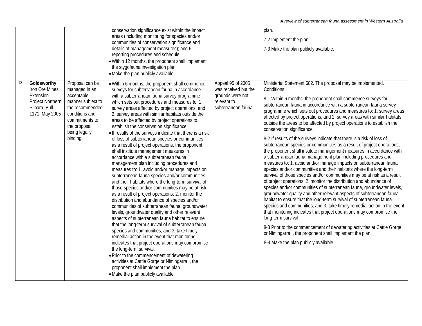|    |                                                                                                   |                                                                                                                                                                         | conservation significance exist within the impact<br>areas (including monitoring for species and/or<br>communities of conservation significance and<br>details of management measures); and 6.<br>reporting procedures and schedule.<br>· Within 12 months, the proponent shall implement<br>the stygofauna investigation plan.<br>• Make the plan publicly available.                                                                                                                                                                                                                                                                                                                                                                                                                                                                                                                                                                                                                                                                                                                                                                                                                                                                                                                                                                                                                                                                                                                                                                                                                         |                                                                                                     | plan.<br>7-2 Implement the plan.<br>7-3 Make the plan publicly available.                                                                                                                                                                                                                                                                                                                                                                                                                                                                                                                                                                                                                                                                                                                                                                                                                                                                                                                                                                                                                                                                                                                                                                                                                                                                                                                                                                                                                                                                                                                                                                                |
|----|---------------------------------------------------------------------------------------------------|-------------------------------------------------------------------------------------------------------------------------------------------------------------------------|------------------------------------------------------------------------------------------------------------------------------------------------------------------------------------------------------------------------------------------------------------------------------------------------------------------------------------------------------------------------------------------------------------------------------------------------------------------------------------------------------------------------------------------------------------------------------------------------------------------------------------------------------------------------------------------------------------------------------------------------------------------------------------------------------------------------------------------------------------------------------------------------------------------------------------------------------------------------------------------------------------------------------------------------------------------------------------------------------------------------------------------------------------------------------------------------------------------------------------------------------------------------------------------------------------------------------------------------------------------------------------------------------------------------------------------------------------------------------------------------------------------------------------------------------------------------------------------------|-----------------------------------------------------------------------------------------------------|----------------------------------------------------------------------------------------------------------------------------------------------------------------------------------------------------------------------------------------------------------------------------------------------------------------------------------------------------------------------------------------------------------------------------------------------------------------------------------------------------------------------------------------------------------------------------------------------------------------------------------------------------------------------------------------------------------------------------------------------------------------------------------------------------------------------------------------------------------------------------------------------------------------------------------------------------------------------------------------------------------------------------------------------------------------------------------------------------------------------------------------------------------------------------------------------------------------------------------------------------------------------------------------------------------------------------------------------------------------------------------------------------------------------------------------------------------------------------------------------------------------------------------------------------------------------------------------------------------------------------------------------------------|
| 18 | Goldsworthy<br>Iron Ore Mines<br>Extension<br>Project Northern<br>Pilbara, Bull<br>1171, May 2005 | Proposal can be<br>managed in an<br>acceptable<br>manner subject to<br>the recommended<br>conditions and<br>commitments to<br>the proposal<br>being legally<br>binding. | • Within 6 months, the proponent shall commence<br>surveys for subterranean fauna in accordance<br>with a subterranean fauna survey programme<br>which sets out procedures and measures to: 1.<br>survey areas affected by project operations; and<br>2. survey areas with similar habitats outside the<br>areas to be affected by project operations to<br>establish the conservation significance.<br>. If results of the surveys indicate that there is a risk<br>of loss of subterranean species or communities<br>as a result of project operations, the proponent<br>shall institute management measures in<br>accordance with a subterranean fauna<br>management plan including procedures and<br>measures to: 1. avoid and/or manage impacts on<br>subterranean fauna species and/or communities<br>and their habitats where the long-term survival of<br>those species and/or communities may be at risk<br>as a result of project operations; 2. monitor the<br>distribution and abundance of species and/or<br>communities of subterranean fauna, groundwater<br>levels, groundwater quality and other relevant<br>aspects of subterranean fauna habitat to ensure<br>that the long-term survival of subterranean fauna<br>species and communities; and 3. take timely<br>remedial action in the event that monitoring<br>indicates that project operations may compromise<br>the long-term survival.<br>• Prior to the commencement of dewatering<br>activities at Cattle Gorge or Nimingarra I, the<br>proponent shall implement the plan.<br>• Make the plan publicly available. | Appeal 95 of 2005<br>was received but the<br>grounds were not<br>relevant to<br>subterranean fauna. | Ministerial Statement 682. The proposal may be implemented.<br>Conditions:<br>8-1 Within 6 months, the proponent shall commence surveys for<br>subterranean fauna in accordance with a subterranean fauna survey<br>programme which sets out procedures and measures to: 1. survey areas<br>affected by project operations; and 2. survey areas with similar habitats<br>outside the areas to be affected by project operations to establish the<br>conservation significance.<br>8-2 If results of the surveys indicate that there is a risk of loss of<br>subterranean species or communities as a result of project operations,<br>the proponent shall institute management measures in accordance with<br>a subterranean fauna management plan including procedures and<br>measures to: 1. avoid and/or manage impacts on subterranean fauna<br>species and/or communities and their habitats where the long-term<br>survival of those species and/or communities may be at risk as a result<br>of project operations; 2. monitor the distribution and abundance of<br>species and/or communities of subterranean fauna, groundwater levels,<br>groundwater quality and other relevant aspects of subterranean fauna<br>habitat to ensure that the long-term survival of subterranean fauna<br>species and communities; and 3. take timely remedial action in the event<br>that monitoring indicates that project operations may compromise the<br>long-term survival<br>8-3 Prior to the commencement of dewatering activities at Cattle Gorge<br>or Nimingarra I, the proponent shall implement the plan.<br>8-4 Make the plan publicly available. |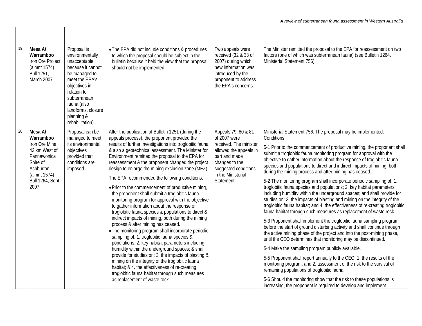| 19 | Mesa A/<br>Warramboo<br>Iron Ore Project<br>(a'mnt 1574)<br>Bull 1251,<br>March 2007. | Proposal is<br>environmentally<br>unacceptable<br>because it cannot<br>be managed to<br>meet the EPA's<br>objectives in<br>relation to<br>subterranean<br>fauna (also<br>landforms, closure<br>planning &<br>rehabilitation). | • The EPA did not include conditions & procedures<br>to which the proposal should be subject in the<br>bulletin because it held the view that the proposal<br>should not be implemented.                                                                                                                         | Two appeals were<br>received (32 & 33 of<br>2007) during which<br>new information was<br>introduced by the<br>proponent to address<br>the EPA's concerns.                                                                                          | The Minister remitted the proposal to the EPA for reassessment on two<br>factors (one of which was subterranean fauna) (see Bulletin 1264.<br>Ministerial Statement 756).                                                                                                                                                                                                                                                                                    |                                                                                                                                                                                                                                                                                              |
|----|---------------------------------------------------------------------------------------|-------------------------------------------------------------------------------------------------------------------------------------------------------------------------------------------------------------------------------|------------------------------------------------------------------------------------------------------------------------------------------------------------------------------------------------------------------------------------------------------------------------------------------------------------------|----------------------------------------------------------------------------------------------------------------------------------------------------------------------------------------------------------------------------------------------------|--------------------------------------------------------------------------------------------------------------------------------------------------------------------------------------------------------------------------------------------------------------------------------------------------------------------------------------------------------------------------------------------------------------------------------------------------------------|----------------------------------------------------------------------------------------------------------------------------------------------------------------------------------------------------------------------------------------------------------------------------------------------|
| 20 | Mesa A/<br>Warramboo<br>Iron Ore Mine                                                 | Proposal can be<br>managed to meet<br>its environmental                                                                                                                                                                       | After the publication of Bulletin 1251 (during the<br>appeals process), the proponent provided the<br>results of further investigations into troglobitic fauna                                                                                                                                                   | Appeals 79, 80 & 81<br>of 2007 were<br>received. The minister                                                                                                                                                                                      | Ministerial Statement 756. The proposal may be implemented.<br>Conditions:                                                                                                                                                                                                                                                                                                                                                                                   |                                                                                                                                                                                                                                                                                              |
|    | 43 km West of<br>Pannawonica<br>Shire of<br>Ashburton<br>(a'mnt 1574)                 | objectives<br>provided that<br>conditions are<br>imposed.                                                                                                                                                                     | & also a geotechnical assessment. The Minister for<br>Environment remitted the proposal to the EPA for<br>reassessment & the proponent changed the project<br>design to enlarge the mining exclusion zone (MEZ).                                                                                                 | allowed the appeals in<br>part and made<br>changes to the<br>suggested conditions<br>in the Ministerial                                                                                                                                            | 5-1 Prior to the commencement of productive mining, the proponent shall<br>submit a troglobitic fauna monitoring program for approval with the<br>objective to gather information about the response of troglobitic fauna<br>species and populations to direct and indirect impacts of mining, both<br>during the mining process and after mining has ceased.                                                                                                |                                                                                                                                                                                                                                                                                              |
|    | Bull 1264, Sept<br>2007.                                                              |                                                                                                                                                                                                                               | The EPA recommended the following conditions:<br>• Prior to the commencement of productive mining,<br>the proponent shall submit a troglobitic fauna<br>monitoring program for approval with the objective<br>to gather information about the response of<br>troglobitic fauna species & populations to direct & | Statement.                                                                                                                                                                                                                                         | 5-2 The monitoring program shall incorporate periodic sampling of: 1.<br>troglobitic fauna species and populations; 2. key habitat parameters<br>including humidity within the underground spaces; and shall provide for<br>studies on: 3. the impacts of blasting and mining on the integrity of the<br>troglobitic fauna habitat; and 4. the effectiveness of re-creating troglobitic<br>fauna habitat through such measures as replacement of waste rock. |                                                                                                                                                                                                                                                                                              |
|    |                                                                                       |                                                                                                                                                                                                                               |                                                                                                                                                                                                                                                                                                                  | indirect impacts of mining, both during the mining<br>process & after mining has ceased.<br>• The monitoring program shall incorporate periodic<br>sampling of: 1. troglobitic fauna species &<br>populations; 2. key habitat parameters including |                                                                                                                                                                                                                                                                                                                                                                                                                                                              | 5-3 Proponent shall implement the troglobitic fauna sampling program<br>before the start of ground disturbing activity and shall continue through<br>the active mining phase of the project and into the post-mining phase,<br>until the CEO determines that monitoring may be discontinued. |
|    |                                                                                       |                                                                                                                                                                                                                               | humidity within the underground spaces; & shall<br>provide for studies on: 3. the impacts of blasting &                                                                                                                                                                                                          |                                                                                                                                                                                                                                                    | 5-4 Make the sampling program publicly available.                                                                                                                                                                                                                                                                                                                                                                                                            |                                                                                                                                                                                                                                                                                              |
|    |                                                                                       |                                                                                                                                                                                                                               | mining on the integrity of the troglobitic fauna<br>habitat; & 4. the effectiveness of re-creating<br>troglobitic fauna habitat through such measures                                                                                                                                                            |                                                                                                                                                                                                                                                    | 5-5 Proponent shall report annually to the CEO: 1. the results of the<br>monitoring program, and 2. assessment of the risk to the survival of<br>remaining populations of troglobitic fauna.                                                                                                                                                                                                                                                                 |                                                                                                                                                                                                                                                                                              |
|    |                                                                                       |                                                                                                                                                                                                                               | as replacement of waste rock.                                                                                                                                                                                                                                                                                    |                                                                                                                                                                                                                                                    | 5-6 Should the monitoring show that the risk to these populations is<br>increasing, the proponent is required to develop and implement                                                                                                                                                                                                                                                                                                                       |                                                                                                                                                                                                                                                                                              |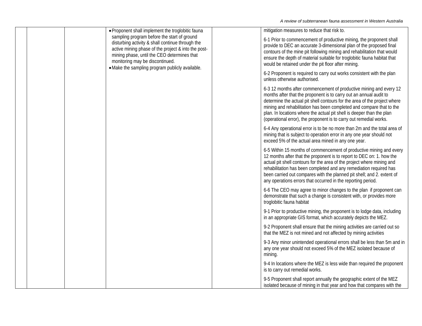|  | • Proponent shall implement the troglobitic fauna                                                                                                                                                                                                                                           | mitigation measures to reduce that risk to.                                                                                                                                                                                                                                                                                                                                                                                                  |
|--|---------------------------------------------------------------------------------------------------------------------------------------------------------------------------------------------------------------------------------------------------------------------------------------------|----------------------------------------------------------------------------------------------------------------------------------------------------------------------------------------------------------------------------------------------------------------------------------------------------------------------------------------------------------------------------------------------------------------------------------------------|
|  | sampling program before the start of ground<br>disturbing activity & shall continue through the<br>active mining phase of the project & into the post-<br>mining phase, until the CEO determines that<br>monitoring may be discontinued.<br>• Make the sampling program publicly available. | 6-1 Prior to commencement of productive mining, the proponent shall<br>provide to DEC an accurate 3-dimensional plan of the proposed final<br>contours of the mine pit following mining and rehabilitation that would<br>ensure the depth of material suitable for troglobitic fauna habitat that<br>would be retained under the pit floor after mining.                                                                                     |
|  |                                                                                                                                                                                                                                                                                             | 6-2 Proponent is required to carry out works consistent with the plan<br>unless otherwise authorised.                                                                                                                                                                                                                                                                                                                                        |
|  |                                                                                                                                                                                                                                                                                             | 6-3 12 months after commencement of productive mining and every 12<br>months after that the proponent is to carry out an annual audit to<br>determine the actual pit shell contours for the area of the project where<br>mining and rehabilitation has been completed and compare that to the<br>plan. In locations where the actual pit shell is deeper than the plan<br>(operational error), the proponent is to carry out remedial works. |
|  |                                                                                                                                                                                                                                                                                             | 6-4 Any operational error is to be no more than 2m and the total area of<br>mining that is subject to operation error in any one year should not<br>exceed 5% of the actual area mined in any one year.                                                                                                                                                                                                                                      |
|  |                                                                                                                                                                                                                                                                                             | 6-5 Within 15 months of commencement of productive mining and every<br>12 months after that the proponent is to report to DEC on: 1. how the<br>actual pit shell contours for the area of the project where mining and<br>rehabilitation has been completed and any remediation required has<br>been carried out compares with the planned pit shell; and 2. extent of<br>any operations errors that occurred in the reporting period.       |
|  |                                                                                                                                                                                                                                                                                             | 6-6 The CEO may agree to minor changes to the plan if proponent can<br>demonstrate that such a change is consistent with, or provides more<br>troglobitic fauna habitat                                                                                                                                                                                                                                                                      |
|  |                                                                                                                                                                                                                                                                                             | 9-1 Prior to productive mining, the proponent is to lodge data, including<br>in an appropriate GIS format, which accurately depicts the MEZ.                                                                                                                                                                                                                                                                                                 |
|  |                                                                                                                                                                                                                                                                                             | 9-2 Proponent shall ensure that the mining activities are carried out so<br>that the MEZ is not mined and not affected by mining activities                                                                                                                                                                                                                                                                                                  |
|  |                                                                                                                                                                                                                                                                                             | 9-3 Any minor unintended operational errors shall be less than 5m and in<br>any one year should not exceed 5% of the MEZ isolated because of<br>mining.                                                                                                                                                                                                                                                                                      |
|  |                                                                                                                                                                                                                                                                                             | 9-4 In locations where the MEZ is less wide than required the proponent<br>is to carry out remedial works.                                                                                                                                                                                                                                                                                                                                   |
|  |                                                                                                                                                                                                                                                                                             | 9-5 Proponent shall report annually the geographic extent of the MEZ<br>isolated because of mining in that year and how that compares with the                                                                                                                                                                                                                                                                                               |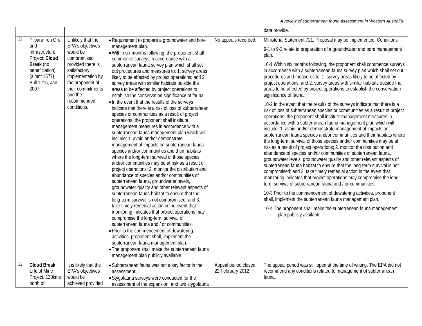|                 |                                                                                                                                             |                                                                                                                                                                                               |                                                                                                                                                                                                                                                                                                                                                                                                                                                                                                                                                                                                                                                                                                                                                                                                                                                                                                                                                                                                                                                                                                                                                                                                                                                                               |                                          | data provide.                                                                                                                                                                                                                                                                                                                                                                                                                                                                                                                                                                                                                                                                                                                                                                                                                                                                                                                                                                                                                                                                                                                                                                                                                                                   |
|-----------------|---------------------------------------------------------------------------------------------------------------------------------------------|-----------------------------------------------------------------------------------------------------------------------------------------------------------------------------------------------|-------------------------------------------------------------------------------------------------------------------------------------------------------------------------------------------------------------------------------------------------------------------------------------------------------------------------------------------------------------------------------------------------------------------------------------------------------------------------------------------------------------------------------------------------------------------------------------------------------------------------------------------------------------------------------------------------------------------------------------------------------------------------------------------------------------------------------------------------------------------------------------------------------------------------------------------------------------------------------------------------------------------------------------------------------------------------------------------------------------------------------------------------------------------------------------------------------------------------------------------------------------------------------|------------------------------------------|-----------------------------------------------------------------------------------------------------------------------------------------------------------------------------------------------------------------------------------------------------------------------------------------------------------------------------------------------------------------------------------------------------------------------------------------------------------------------------------------------------------------------------------------------------------------------------------------------------------------------------------------------------------------------------------------------------------------------------------------------------------------------------------------------------------------------------------------------------------------------------------------------------------------------------------------------------------------------------------------------------------------------------------------------------------------------------------------------------------------------------------------------------------------------------------------------------------------------------------------------------------------|
| $\overline{21}$ | Pilbara Iron Ore<br>and<br>Infrastructure<br>Project: Cloud<br>Break (no<br>beneficiation)<br>(a'mnt 1577)<br><b>Bull 1216, Jan</b><br>2007 | Unlikely that the<br>EPA's objectives<br>would be<br>compromised<br>provided there is<br>satisfactory<br>implementation by<br>the proponent of<br>their commitments<br>and the<br>recommended | • Requirement to prepare a groundwater and bore<br>management plan.<br>. Within six months following, the proponent shall<br>commence surveys in accordance with a<br>subterranean fauna survey plan which shall set<br>out procedures and measures to: 1. survey areas<br>likely to be affected by project operations; and 2.<br>survey areas with similar habitats outside the<br>areas to be affected by project operations to<br>establish the conservation significance of fauna.                                                                                                                                                                                                                                                                                                                                                                                                                                                                                                                                                                                                                                                                                                                                                                                        | No appeals recorded.                     | Ministerial Statement 721. Proposal may be implemented. Conditions:<br>9-1 to 9-3 relate to preparation of a groundwater and bore management<br>plan.<br>10-1 Within six months following, the proponent shall commence surveys<br>in accordance with a subterranean fauna survey plan which shall set out<br>procedures and measures to: 1. survey areas likely to be affected by<br>project operations; and 2. survey areas with similar habitats outside the<br>areas to be affected by project operations to establish the conservation<br>significance of fauna.                                                                                                                                                                                                                                                                                                                                                                                                                                                                                                                                                                                                                                                                                           |
|                 |                                                                                                                                             | conditions.                                                                                                                                                                                   | . In the event that the results of the surveys<br>indicate that there is a risk of loss of subterranean<br>species or communities as a result of project<br>operations, the proponent shall institute<br>management measures in accordance with a<br>subterranean fauna management plan which will<br>include: 1. avoid and/or demonstrate<br>management of impacts on subterranean fauna<br>species and/or communities and their habitats<br>where the long-term survival of those species<br>and/or communities may be at risk as a result of<br>project operations; 2. monitor the distribution and<br>abundance of species and/or communities of<br>subterranean fauna, groundwater levels,<br>groundwater quality and other relevant aspects of<br>subterranean fauna habitat to ensure that the<br>long-term survival is not compromised; and 3.<br>take timely remedial action in the event that<br>monitoring indicates that project operations may<br>compromise the long-term survival of<br>subterranean fauna and / or communities.<br>• Prior to the commencement of dewatering<br>activities, proponent shall, implement the<br>subterranean fauna management plan.<br>. The proponent shall make the subterranean fauna<br>management plan publicly available. |                                          | 10-2 In the event that the results of the surveys indicate that there is a<br>risk of loss of subterranean species or communities as a result of project<br>operations, the proponent shall institute management measures in<br>accordance with a subterranean fauna management plan which will<br>include: 1. avoid and/or demonstrate management of impacts on<br>subterranean fauna species and/or communities and their habitats where<br>the long-term survival of those species and/or communities may be at<br>risk as a result of project operations; 2. monitor the distribution and<br>abundance of species and/or communities of subterranean fauna,<br>groundwater levels, groundwater quality and other relevant aspects of<br>subterranean fauna habitat to ensure that the long-term survival is not<br>compromised; and 3. take timely remedial action in the event that<br>monitoring indicates that project operations may compromise the long-<br>term survival of subterranean fauna and / or communities.<br>10-3 Prior to the commencement of dewatering activities, proponent<br>shall, implement the subterranean fauna management plan.<br>10-4 The proponent shall make the subterranean fauna management<br>plan publicly available. |
| 22              | <b>Cloud Break</b><br>Life of Mine<br>Project, 120kms<br>north of                                                                           | It is likely that the<br>EPA's objectives<br>would be<br>achieved provided                                                                                                                    | • Subterranean fauna was not a key factor in the<br>assessment.<br>• Stygofauna surveys were conducted for the<br>assessment of the expansion, and two stygofauna                                                                                                                                                                                                                                                                                                                                                                                                                                                                                                                                                                                                                                                                                                                                                                                                                                                                                                                                                                                                                                                                                                             | Appeal period closed<br>22 February 2012 | The appeal period was still open at the time of writing. The EPA did not<br>recommend any conditions related to management of subterranean<br>fauna.                                                                                                                                                                                                                                                                                                                                                                                                                                                                                                                                                                                                                                                                                                                                                                                                                                                                                                                                                                                                                                                                                                            |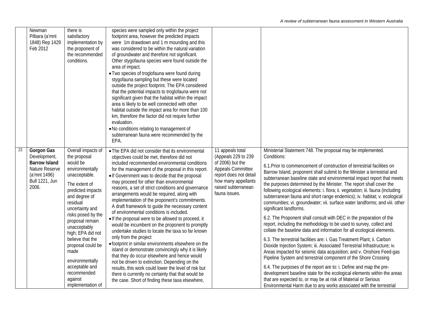|                 | Newman<br>Pilbara (a'mnt<br>1848) Rep 1429<br>Feb 2012                                                                 | there is<br>satisfactory<br>implementation by<br>the proponent of<br>the recommended<br>conditions.                                                                                                                                                                                                                                                                                         | species were sampled only within the project<br>footprint area, however the predicted impacts<br>were 1m drawdown and 1 m mounding and this<br>was considered to be within the natural variation<br>of groundwater and therefore not significant.<br>Other stygofauna species were found outside the<br>area of impact.<br>• Two species of troglofauna were found during<br>stygofauna sampling but these were located<br>outside the project footprint. The EPA considered<br>that the potential impacts to troglofauna were not<br>significant given that the habitat within the impact<br>area is likely to be well connected with other<br>habitat outside the impact area for more than 100<br>km, therefore the factor did not require further<br>evaluation.<br>. No conditions relating to management of<br>subterranean fauna were recommended by the<br>EPA.                                                                                                                                                                                                                                                               |                                                                                                                                                                           |                                                                                                                                                                                                                                                                                                                                                                                                                                                                                                                                                                                                                                                                                                                                                                                                                                                                                                                                                                                                                                                                                                                                                                                                                                                                                                                                                                                                                                                                               |
|-----------------|------------------------------------------------------------------------------------------------------------------------|---------------------------------------------------------------------------------------------------------------------------------------------------------------------------------------------------------------------------------------------------------------------------------------------------------------------------------------------------------------------------------------------|---------------------------------------------------------------------------------------------------------------------------------------------------------------------------------------------------------------------------------------------------------------------------------------------------------------------------------------------------------------------------------------------------------------------------------------------------------------------------------------------------------------------------------------------------------------------------------------------------------------------------------------------------------------------------------------------------------------------------------------------------------------------------------------------------------------------------------------------------------------------------------------------------------------------------------------------------------------------------------------------------------------------------------------------------------------------------------------------------------------------------------------|---------------------------------------------------------------------------------------------------------------------------------------------------------------------------|-------------------------------------------------------------------------------------------------------------------------------------------------------------------------------------------------------------------------------------------------------------------------------------------------------------------------------------------------------------------------------------------------------------------------------------------------------------------------------------------------------------------------------------------------------------------------------------------------------------------------------------------------------------------------------------------------------------------------------------------------------------------------------------------------------------------------------------------------------------------------------------------------------------------------------------------------------------------------------------------------------------------------------------------------------------------------------------------------------------------------------------------------------------------------------------------------------------------------------------------------------------------------------------------------------------------------------------------------------------------------------------------------------------------------------------------------------------------------------|
| $\overline{23}$ | Gorgon Gas<br>Development,<br><b>Barrow Island</b><br>Nature Reserve<br>(a'mnt 1496)<br><b>Bull 1221, Jun</b><br>2006. | Overall impacts of<br>the proposal<br>would be<br>environmentally<br>unacceptable.<br>The extent of<br>predicted impacts<br>and degree of<br>residual<br>uncertainty and<br>risks posed by the<br>proposal remain<br>unacceptably<br>high; EPA did not<br>believe that the<br>proposal could be<br>made<br>environmentally<br>acceptable and<br>recommended<br>against<br>implementation of | • The EPA did not consider that its environmental<br>objectives could be met, therefore did not<br>included recommended environmental conditions<br>for the management of the proposal in this report.<br>• If Government was to decide that the proposal<br>may proceed for other than environmental<br>reasons, a set of strict conditions and governance<br>arrangements would be required, along with<br>implementation of the proponent's commitments.<br>A draft framework to guide the necessary content<br>of environmental conditions is included.<br>• If the proposal were to be allowed to proceed, it<br>would be incumbent on the proponent to promptly<br>undertake studies to locate the taxa so far known<br>only from the project<br>• footprint in similar environments elsewhere on the<br>island or demonstrate convincingly why it is likely<br>that they do occur elsewhere and hence would<br>not be driven to extinction. Depending on the<br>results, this work could lower the level of risk but<br>there is currently no certainty that that would be<br>the case. Short of finding these taxa elsewhere, | 11 appeals total<br>(Appeals 229 to 239<br>of 2006) but the<br>Appeals Committee<br>report does not detail<br>how many appellants<br>raised subterranean<br>fauna issues. | Ministerial Statement 748. The proposal may be implemented.<br>Conditions:<br>6.1. Prior to commencement of construction of terrestrial facilities on<br>Barrow Island, proponent shall submit to the Minister a terrestrial and<br>subterranean baseline state and environmental impact report that meets<br>the purposes determined by the Minister. The report shall cover the<br>following ecological elements: i. flora; ii. vegetation; iii. fauna (including<br>subterranean fauna and short range endemics); iv. habitat; v. ecological<br>communities; vi. groundwater; vii. surface water landforms; and viii. other<br>significant landforms.<br>6.2. The Proponent shall consult with DEC in the preparation of the<br>report, including the methodology to be used to survey, collect and<br>collate the baseline data and information for all ecological elements.<br>6.3. The terrestrial facilities are: i. Gas Treatment Plant; ii. Carbon<br>Dioxide Injection System; iii. Associated Terrestrial Infrastructure; iv.<br>Areas impacted for seismic data acquisition; and v. Onshore Feed-gas<br>Pipeline System and terrestrial component of the Shore Crossing<br>6.4. The purposes of the report are to: i. Define and map the pre-<br>development baseline state for the ecological elements within the areas<br>that are expected to, or may be at risk of Material or Serious<br>Environmental Harm due to any works associated with the terrestrial |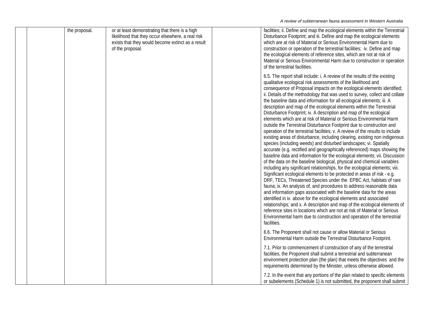|  | the proposal. | or at least demonstrating that there is a high<br>likelihood that they occur elsewhere, a real risk<br>exists that they would become extinct as a result<br>of the proposal. | facilities; ii. Define and map the ecological elements within the Terrestrial<br>Disturbance Footprint; and iii. Define and map the ecological elements<br>which are at risk of Material or Serious Environmental Harm due to<br>construction or operation of the terrestrial facilities; iv. Define and map<br>the ecological elements of reference sites, which are not at risk of<br>Material or Serious Environmental Harm due to construction or operation<br>of the terrestrial facilities.                                                                                                                                                                                                                                                                                                                                                                                                                                                                                                                                                                                                                                                                                                                                                                                                                                                                                                                                                                                                                                                                                                                                                                                                                                                                                                                                                                |
|--|---------------|------------------------------------------------------------------------------------------------------------------------------------------------------------------------------|------------------------------------------------------------------------------------------------------------------------------------------------------------------------------------------------------------------------------------------------------------------------------------------------------------------------------------------------------------------------------------------------------------------------------------------------------------------------------------------------------------------------------------------------------------------------------------------------------------------------------------------------------------------------------------------------------------------------------------------------------------------------------------------------------------------------------------------------------------------------------------------------------------------------------------------------------------------------------------------------------------------------------------------------------------------------------------------------------------------------------------------------------------------------------------------------------------------------------------------------------------------------------------------------------------------------------------------------------------------------------------------------------------------------------------------------------------------------------------------------------------------------------------------------------------------------------------------------------------------------------------------------------------------------------------------------------------------------------------------------------------------------------------------------------------------------------------------------------------------|
|  |               |                                                                                                                                                                              | 6.5. The report shall include: i. A review of the results of the existing<br>qualitative ecological risk assessments of the likelihood and<br>consequence of Proposal impacts on the ecological elements identified;<br>ii. Details of the methodology that was used to survey, collect and collate<br>the baseline data and information for all ecological elements; iii. A<br>description and map of the ecological elements within the Terrestrial<br>Disturbance Footprint; iv. A description and map of the ecological<br>elements which are at risk of Material or Serious Environmental Harm<br>outside the Terrestrial Disturbance Footprint due to construction and<br>operation of the terrestrial facilities; v. A review of the results to include<br>existing areas of disturbance, including clearing, existing non indigenous<br>species (including weeds) and disturbed landscapes; vi. Spatially<br>accurate (e.g. rectified and geographically referenced) maps showing the<br>baseline data and information for the ecological elements; vii. Discussion<br>of the data on the baseline biological, physical and chemical variables<br>including any significant relationships, for the ecological elements; viii.<br>Significant ecological elements to be protected in areas of risk - e.g.<br>DRF, TECs, Threatened Species under the EPBC Act, habitats of rare<br>fauna; ix. An analysis of, and procedures to address reasonable data<br>and information gaps associated with the baseline data for the areas<br>identified in iv. above for the ecological elements and associated<br>relationships; and x. A description and map of the ecological elements of<br>reference sites in locations which are not at risk of Material or Serious<br>Environmental harm due to construction and operation of the terrestrial<br>facilities. |
|  |               |                                                                                                                                                                              | 6.6. The Proponent shall not cause or allow Material or Serious<br>Environmental Harm outside the Terrestrial Disturbance Footprint.                                                                                                                                                                                                                                                                                                                                                                                                                                                                                                                                                                                                                                                                                                                                                                                                                                                                                                                                                                                                                                                                                                                                                                                                                                                                                                                                                                                                                                                                                                                                                                                                                                                                                                                             |
|  |               |                                                                                                                                                                              | 7.1. Prior to commencement of construction of any of the terrestrial<br>facilities, the Proponent shall submit a terrestrial and subterranean<br>environment protection plan (the plan) that meets the objectives and the<br>requirements determined by the Minister, unless otherwise allowed.                                                                                                                                                                                                                                                                                                                                                                                                                                                                                                                                                                                                                                                                                                                                                                                                                                                                                                                                                                                                                                                                                                                                                                                                                                                                                                                                                                                                                                                                                                                                                                  |
|  |               |                                                                                                                                                                              | 7.2. In the event that any portions of the plan related to specific elements<br>or subelements (Schedule 1) is not submitted, the proponent shall submit                                                                                                                                                                                                                                                                                                                                                                                                                                                                                                                                                                                                                                                                                                                                                                                                                                                                                                                                                                                                                                                                                                                                                                                                                                                                                                                                                                                                                                                                                                                                                                                                                                                                                                         |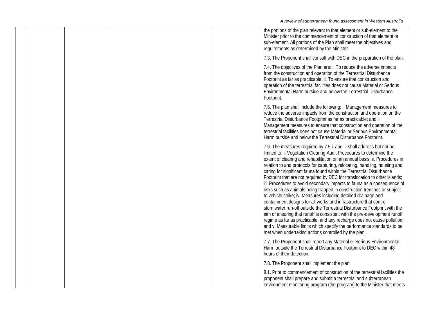|  |  | the portions of the plan relevant to that element or sub-element to the<br>Minister prior to the commencement of construction of that element or<br>sub-element. All portions of the Plan shall meet the objectives and<br>requirements as determined by the Minister.                                                                                                                                                                                                                                                                                                                                                                                                                                                                                                                                                                                                                                                                                                                                                                                                                                                                  |
|--|--|-----------------------------------------------------------------------------------------------------------------------------------------------------------------------------------------------------------------------------------------------------------------------------------------------------------------------------------------------------------------------------------------------------------------------------------------------------------------------------------------------------------------------------------------------------------------------------------------------------------------------------------------------------------------------------------------------------------------------------------------------------------------------------------------------------------------------------------------------------------------------------------------------------------------------------------------------------------------------------------------------------------------------------------------------------------------------------------------------------------------------------------------|
|  |  | 7.3. The Proponent shall consult with DEC in the preparation of the plan.                                                                                                                                                                                                                                                                                                                                                                                                                                                                                                                                                                                                                                                                                                                                                                                                                                                                                                                                                                                                                                                               |
|  |  | 7.4. The objectives of the Plan are: i. To reduce the adverse impacts<br>from the construction and operation of the Terrestrial Disturbance<br>Footprint as far as practicable; ii. To ensure that construction and<br>operation of the terrestrial facilities does not cause Material or Serious<br>Environmental Harm outside and below the Terrestrial Disturbance<br>Footprint.                                                                                                                                                                                                                                                                                                                                                                                                                                                                                                                                                                                                                                                                                                                                                     |
|  |  | 7.5. The plan shall include the following: i. Management measures to<br>reduce the adverse impacts from the construction and operation on the<br>Terrestrial Disturbance Footprint as far as practicable; and ii.<br>Management measures to ensure that construction and operation of the<br>terrestrial facilities does not cause Material or Serious Environmental<br>Harm outside and below the Terrestrial Disturbance Footprint.                                                                                                                                                                                                                                                                                                                                                                                                                                                                                                                                                                                                                                                                                                   |
|  |  | 7.6. The measures required by 7.5.i. and ii. shall address but not be<br>limited to: i. Vegetation Clearing Audit Procedures to determine the<br>extent of clearing and rehabilitation on an annual basis; ii. Procedures in<br>relation to and protocols for capturing, relocating, handling, housing and<br>caring for significant fauna found within the Terrestrial Disturbance<br>Footprint that are not required by DEC for translocation to other islands;<br>iii. Procedures to avoid secondary impacts to fauna as a consequence of<br>risks such as animals being trapped in construction trenches or subject<br>to vehicle strike; iv. Measures including detailed drainage and<br>containment designs for all works and infrastructure that control<br>stormwater run-off outside the Terrestrial Disturbance Footprint with the<br>aim of ensuring that runoff is consistent with the pre-development runoff<br>regime as far as practicable, and any recharge does not cause pollution;<br>and v. Measurable limits which specify the performance standards to be<br>met when undertaking actions controlled by the plan. |
|  |  | 7.7. The Proponent shall report any Material or Serious Environmental<br>Harm outside the Terrestrial Disturbance Footprint to DEC within 48<br>hours of their detection.                                                                                                                                                                                                                                                                                                                                                                                                                                                                                                                                                                                                                                                                                                                                                                                                                                                                                                                                                               |
|  |  | 7.8. The Proponent shall implement the plan.                                                                                                                                                                                                                                                                                                                                                                                                                                                                                                                                                                                                                                                                                                                                                                                                                                                                                                                                                                                                                                                                                            |
|  |  | 8.1. Prior to commencement of construction of the terrestrial facilities the<br>proponent shall prepare and submit a terrestrial and subterranean<br>environment monitoring program (the program) to the Minister that meets                                                                                                                                                                                                                                                                                                                                                                                                                                                                                                                                                                                                                                                                                                                                                                                                                                                                                                            |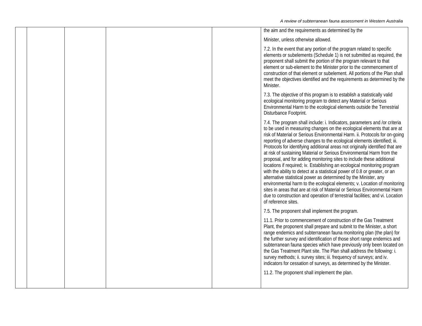|  |  | the aim and the requirements as determined by the                                                                                                                                                                                                                                                                                                                                                                                                                                                                                                                                                                                                                                                                                                                                                                                                                                                                                                                                                                                                |
|--|--|--------------------------------------------------------------------------------------------------------------------------------------------------------------------------------------------------------------------------------------------------------------------------------------------------------------------------------------------------------------------------------------------------------------------------------------------------------------------------------------------------------------------------------------------------------------------------------------------------------------------------------------------------------------------------------------------------------------------------------------------------------------------------------------------------------------------------------------------------------------------------------------------------------------------------------------------------------------------------------------------------------------------------------------------------|
|  |  | Minister, unless otherwise allowed.                                                                                                                                                                                                                                                                                                                                                                                                                                                                                                                                                                                                                                                                                                                                                                                                                                                                                                                                                                                                              |
|  |  | 7.2. In the event that any portion of the program related to specific<br>elements or subelements (Schedule 1) is not submitted as required, the<br>proponent shall submit the portion of the program relevant to that<br>element or sub-element to the Minister prior to the commencement of<br>construction of that element or subelement. All portions of the Plan shall<br>meet the objectives identified and the requirements as determined by the<br>Minister.                                                                                                                                                                                                                                                                                                                                                                                                                                                                                                                                                                              |
|  |  | 7.3. The objective of this program is to establish a statistically valid<br>ecological monitoring program to detect any Material or Serious<br>Environmental Harm to the ecological elements outside the Terrestrial<br>Disturbance Footprint.                                                                                                                                                                                                                                                                                                                                                                                                                                                                                                                                                                                                                                                                                                                                                                                                   |
|  |  | 7.4. The program shall include: i. Indicators, parameters and /or criteria<br>to be used in measuring changes on the ecological elements that are at<br>risk of Material or Serious Environmental Harm. ii. Protocols for on-going<br>reporting of adverse changes to the ecological elements identified; iii.<br>Protocols for identifying additional areas not originally identified that are<br>at risk of sustaining Material or Serious Environmental Harm from the<br>proposal, and for adding monitoring sites to include these additional<br>locations if required; iv. Establishing an ecological monitoring program<br>with the ability to detect at a statistical power of 0.8 or greater, or an<br>alternative statistical power as determined by the Minister, any<br>environmental harm to the ecological elements; v. Location of monitoring<br>sites in areas that are at risk of Material or Serious Environmental Harm<br>due to construction and operation of terrestrial facilities; and vi. Location<br>of reference sites. |
|  |  | 7.5. The proponent shall implement the program.                                                                                                                                                                                                                                                                                                                                                                                                                                                                                                                                                                                                                                                                                                                                                                                                                                                                                                                                                                                                  |
|  |  | 11.1. Prior to commencement of construction of the Gas Treatment<br>Plant, the proponent shall prepare and submit to the Minister, a short<br>range endemics and subterranean fauna monitoring plan (the plan) for<br>the further survey and identification of those short range endemics and<br>subterranean fauna species which have previously only been located on<br>the Gas Treatment Plant site. The Plan shall address the following: i.<br>survey methods; ii. survey sites; iii. frequency of surveys; and iv.<br>indicators for cessation of surveys, as determined by the Minister.<br>11.2. The proponent shall implement the plan.                                                                                                                                                                                                                                                                                                                                                                                                 |
|  |  |                                                                                                                                                                                                                                                                                                                                                                                                                                                                                                                                                                                                                                                                                                                                                                                                                                                                                                                                                                                                                                                  |
|  |  |                                                                                                                                                                                                                                                                                                                                                                                                                                                                                                                                                                                                                                                                                                                                                                                                                                                                                                                                                                                                                                                  |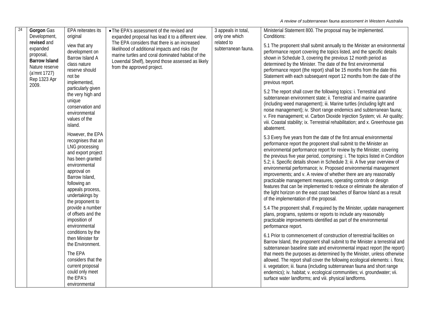| 24 | Gorgon Gas<br>Development,<br>revised and<br>expanded<br>proposal,<br><b>Barrow Island</b><br>Nature reserve<br>(a'mnt 1727)<br>Rep 1323 Apr<br>2009. | EPA reiterates its<br>original<br>view that any<br>development on<br>Barrow Island A<br>class nature<br>reserve should<br>not be<br>implemented,<br>particularly given                                                          | • The EPA's assessment of the revised and<br>expanded proposal has lead it to a different view.<br>The EPA considers that there is an increased<br>likelihood of additional impacts and risks (for<br>marine turtles and coral dominated habitat of the<br>Lowendal Shelf), beyond those assessed as likely<br>from the approved project. | 3 appeals in total,<br>only one which<br>related to<br>subterranean fauna. | Ministerial Statement 800. The proposal may be implemented.<br>Conditions:<br>5.1 The proponent shall submit annually to the Minister an environmental<br>performance report covering the topics listed, and the specific details<br>shown in Schedule 3, covering the previous 12 month period as<br>determined by the Minister. The date of the first environmental<br>performance report (the report) shall be 15 months from the date this<br>Statement with each subsequent report 12 months from the date of the<br>previous report.                                                                                                                                                                                                                                                    |
|----|-------------------------------------------------------------------------------------------------------------------------------------------------------|---------------------------------------------------------------------------------------------------------------------------------------------------------------------------------------------------------------------------------|-------------------------------------------------------------------------------------------------------------------------------------------------------------------------------------------------------------------------------------------------------------------------------------------------------------------------------------------|----------------------------------------------------------------------------|-----------------------------------------------------------------------------------------------------------------------------------------------------------------------------------------------------------------------------------------------------------------------------------------------------------------------------------------------------------------------------------------------------------------------------------------------------------------------------------------------------------------------------------------------------------------------------------------------------------------------------------------------------------------------------------------------------------------------------------------------------------------------------------------------|
|    |                                                                                                                                                       | the very high and<br>unique<br>conservation and<br>environmental<br>values of the<br>island.                                                                                                                                    |                                                                                                                                                                                                                                                                                                                                           |                                                                            | 5.2 The report shall cover the following topics: i. Terrestrial and<br>subterranean environment state; ii. Terrestrial and marine quarantine<br>(including weed management); iii. Marine turtles (including light and<br>noise management); iv. Short range endemics and subterranean fauna;<br>v. Fire management; vi. Carbon Dioxide Injection System; vii. Air quality;<br>viii. Coastal stability; ix. Terrestrial rehabilitation; and x. Greenhouse gas<br>abatement.                                                                                                                                                                                                                                                                                                                    |
|    |                                                                                                                                                       | However, the EPA<br>recognises that an<br>LNG processing<br>and export project<br>has been granted<br>environmental<br>approval on<br>Barrow Island,<br>following an<br>appeals process,<br>undertakings by<br>the proponent to |                                                                                                                                                                                                                                                                                                                                           |                                                                            | 5.3 Every five years from the date of the first annual environmental<br>performance report the proponent shall submit to the Minister an<br>environmental performance report for review by the Minister, covering<br>the previous five year period, comprising: i. The topics listed in Condition<br>5.2; ii. Specific details shown in Schedule 3; iii. A five year overview of<br>environmental performance; iv. Proposed environmental management<br>improvements; and v. A review of whether there are any reasonably<br>practicable management measures, operating controls or design<br>features that can be implemented to reduce or eliminate the alteration of<br>the light horizon on the east coast beaches of Barrow Island as a result<br>of the implementation of the proposal. |
|    |                                                                                                                                                       | provide a number<br>of offsets and the<br>imposition of<br>environmental                                                                                                                                                        |                                                                                                                                                                                                                                                                                                                                           |                                                                            | 5.4 The proponent shall, if required by the Minister, update management<br>plans, programs, systems or reports to include any reasonably<br>practicable improvements identified as part of the environmental<br>performance report.                                                                                                                                                                                                                                                                                                                                                                                                                                                                                                                                                           |
|    |                                                                                                                                                       | conditions by the<br>then Minister for<br>the Environment.<br>The EPA<br>considers that the<br>current proposal<br>could only meet<br>the EPA's                                                                                 |                                                                                                                                                                                                                                                                                                                                           |                                                                            | 6.1 Prior to commencement of construction of terrestrial facilities on<br>Barrow Island, the proponent shall submit to the Minister a terrestrial and<br>subterranean baseline state and environmental impact report (the report)<br>that meets the purposes as determined by the Minister, unless otherwise<br>allowed. The report shall cover the following ecological elements: i. flora;<br>ii. vegetation; iii. fauna (including subterranean fauna and short range<br>endemics); iv. habitat; v. ecological communities; vi. groundwater; vii.<br>surface water landforms; and viii. physical landforms.                                                                                                                                                                                |
|    |                                                                                                                                                       | environmental                                                                                                                                                                                                                   |                                                                                                                                                                                                                                                                                                                                           |                                                                            |                                                                                                                                                                                                                                                                                                                                                                                                                                                                                                                                                                                                                                                                                                                                                                                               |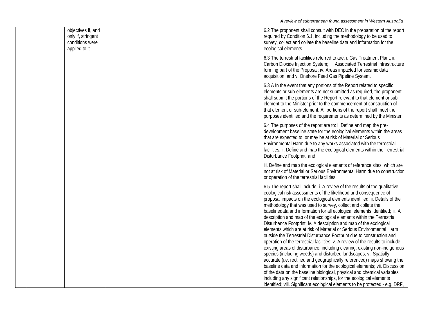| objectives if, and<br>only if, stringent<br>conditions were<br>applied to it. |  | 6.2 The proponent shall consult with DEC in the preparation of the report<br>required by Condition 6.1, including the methodology to be used to<br>survey, collect and collate the baseline data and information for the<br>ecological elements.                                                                                                                                                                                                                                                                                                                                                                                                                                                                                                                                                                                                                                                                                                                                                                                                                                                                                                                                                                                                                                                                |
|-------------------------------------------------------------------------------|--|-----------------------------------------------------------------------------------------------------------------------------------------------------------------------------------------------------------------------------------------------------------------------------------------------------------------------------------------------------------------------------------------------------------------------------------------------------------------------------------------------------------------------------------------------------------------------------------------------------------------------------------------------------------------------------------------------------------------------------------------------------------------------------------------------------------------------------------------------------------------------------------------------------------------------------------------------------------------------------------------------------------------------------------------------------------------------------------------------------------------------------------------------------------------------------------------------------------------------------------------------------------------------------------------------------------------|
|                                                                               |  | 6.3 The terrestrial facilities referred to are: i. Gas Treatment Plant; ii.<br>Carbon Dioxide Injection System; iii. Associated Terrestrial Infrastructure<br>forming part of the Proposal; iv. Areas impacted for seismic data<br>acquisition; and v. Onshore Feed Gas Pipeline System.                                                                                                                                                                                                                                                                                                                                                                                                                                                                                                                                                                                                                                                                                                                                                                                                                                                                                                                                                                                                                        |
|                                                                               |  | 6.3 A In the event that any portions of the Report related to specific<br>elements or sub-elements are not submitted as required, the proponent<br>shall submit the portions of the Report relevant to that element or sub-<br>element to the Minister prior to the commencement of construction of<br>that element or sub-element. All portions of the report shall meet the<br>purposes identified and the requirements as determined by the Minister.                                                                                                                                                                                                                                                                                                                                                                                                                                                                                                                                                                                                                                                                                                                                                                                                                                                        |
|                                                                               |  | 6.4 The purposes of the report are to: i. Define and map the pre-<br>development baseline state for the ecological elements within the areas<br>that are expected to, or may be at risk of Material or Serious<br>Environmental Harm due to any works associated with the terrestrial<br>facilities; ii. Define and map the ecological elements within the Terrestrial<br>Disturbance Footprint; and                                                                                                                                                                                                                                                                                                                                                                                                                                                                                                                                                                                                                                                                                                                                                                                                                                                                                                            |
|                                                                               |  | iii. Define and map the ecological elements of reference sites, which are<br>not at risk of Material or Serious Environmental Harm due to construction<br>or operation of the terrestrial facilities.                                                                                                                                                                                                                                                                                                                                                                                                                                                                                                                                                                                                                                                                                                                                                                                                                                                                                                                                                                                                                                                                                                           |
|                                                                               |  | 6.5 The report shall include: i. A review of the results of the qualitative<br>ecological risk assessments of the likelihood and consequence of<br>proposal impacts on the ecological elements identified; ii. Details of the<br>methodology that was used to survey, collect and collate the<br>baselinedata and information for all ecological elements identified; iii. A<br>description and map of the ecological elements within the Terrestrial<br>Disturbance Footprint; iv. A description and map of the ecological<br>elements which are at risk of Material or Serious Environmental Harm<br>outside the Terrestrial Disturbance Footprint due to construction and<br>operation of the terrestrial facilities; v. A review of the results to include<br>existing areas of disturbance, including clearing, existing non-indigenous<br>species (including weeds) and disturbed landscapes; vi. Spatially<br>accurate (i.e. rectified and geographically referenced) maps showing the<br>baseline data and information for the ecological elements; vii. Discussion<br>of the data on the baseline biological, physical and chemical variables<br>including any significant relationships, for the ecological elements<br>identified; viii. Significant ecological elements to be protected - e.g. DRF, |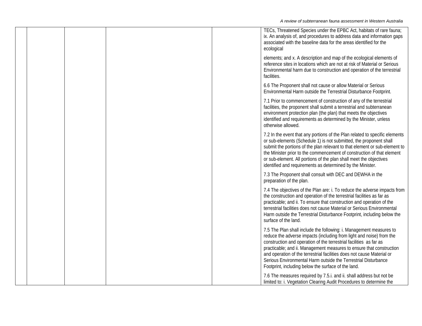|  |  | TECs, Threatened Species under the EPBC Act, habitats of rare fauna;<br>ix. An analysis of, and procedures to address data and information gaps<br>associated with the baseline data for the areas identified for the<br>ecological                                                                                                                                                                                                                                                          |
|--|--|----------------------------------------------------------------------------------------------------------------------------------------------------------------------------------------------------------------------------------------------------------------------------------------------------------------------------------------------------------------------------------------------------------------------------------------------------------------------------------------------|
|  |  | elements; and x. A description and map of the ecological elements of<br>reference sites in locations which are not at risk of Material or Serious<br>Environmental harm due to construction and operation of the terrestrial<br>facilities.                                                                                                                                                                                                                                                  |
|  |  | 6.6 The Proponent shall not cause or allow Material or Serious<br>Environmental Harm outside the Terrestrial Disturbance Footprint.                                                                                                                                                                                                                                                                                                                                                          |
|  |  | 7.1 Prior to commencement of construction of any of the terrestrial<br>facilities, the proponent shall submit a terrestrial and subterranean<br>environment protection plan (the plan) that meets the objectives<br>identified and requirements as determined by the Minister, unless<br>otherwise allowed.                                                                                                                                                                                  |
|  |  | 7.2 In the event that any portions of the Plan related to specific elements<br>or sub-elements (Schedule 1) is not submitted, the proponent shall<br>submit the portions of the plan relevant to that element or sub-element to<br>the Minister prior to the commencement of construction of that element<br>or sub-element. All portions of the plan shall meet the objectives<br>identified and requirements as determined by the Minister.                                                |
|  |  | 7.3 The Proponent shall consult with DEC and DEWHA in the<br>preparation of the plan.                                                                                                                                                                                                                                                                                                                                                                                                        |
|  |  | 7.4 The objectives of the Plan are: i. To reduce the adverse impacts from<br>the construction and operation of the terrestrial facilities as far as<br>practicable; and ii. To ensure that construction and operation of the<br>terrestrial facilities does not cause Material or Serious Environmental<br>Harm outside the Terrestrial Disturbance Footprint, including below the<br>surface of the land.                                                                                   |
|  |  | 7.5 The Plan shall include the following: i. Management measures to<br>reduce the adverse impacts (including from light and noise) from the<br>construction and operation of the terrestrial facilities as far as<br>practicable; and ii. Management measures to ensure that construction<br>and operation of the terrestrial facilities does not cause Material or<br>Serious Environmental Harm outside the Terrestrial Disturbance<br>Footprint, including below the surface of the land. |
|  |  | 7.6 The measures required by 7.5.i. and ii. shall address but not be<br>limited to: i. Vegetation Clearing Audit Procedures to determine the                                                                                                                                                                                                                                                                                                                                                 |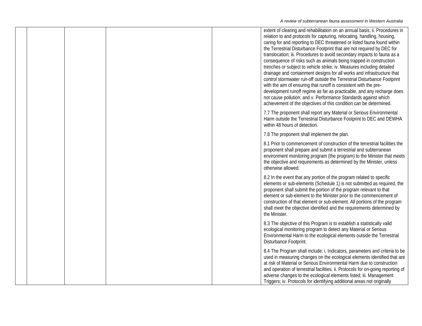|  |  | extent of clearing and rehabilitation on an annual basis; ii. Procedures in<br>relation to and protocols for capturing, relocating, handling, housing,<br>caring for and reporting to DEC threatened or listed fauna found within<br>the Terrestrial Disturbance Footprint that are not required by DEC for<br>translocation; iii. Procedures to avoid secondary impacts to fauna as a<br>consequence of risks such as animals being trapped in construction<br>trenches or subject to vehicle strike; iv. Measures including detailed<br>drainage and containment designs for all works and infrastructure that<br>control stormwater run-off outside the Terrestrial Disturbance Footprint<br>with the aim of ensuring that runoff is consistent with the pre-<br>development runoff regime as far as practicable, and any recharge does<br>not cause pollution; and v. Performance Standards against which<br>achievement of the objectives of this condition can be determined. |
|--|--|-------------------------------------------------------------------------------------------------------------------------------------------------------------------------------------------------------------------------------------------------------------------------------------------------------------------------------------------------------------------------------------------------------------------------------------------------------------------------------------------------------------------------------------------------------------------------------------------------------------------------------------------------------------------------------------------------------------------------------------------------------------------------------------------------------------------------------------------------------------------------------------------------------------------------------------------------------------------------------------|
|  |  | 7.7 The proponent shall report any Material or Serious Environmental<br>Harm outside the Terrestrial Disturbance Footprint to DEC and DEWHA<br>within 48 hours of detection.                                                                                                                                                                                                                                                                                                                                                                                                                                                                                                                                                                                                                                                                                                                                                                                                        |
|  |  | 7.8 The proponent shall implement the plan.                                                                                                                                                                                                                                                                                                                                                                                                                                                                                                                                                                                                                                                                                                                                                                                                                                                                                                                                         |
|  |  | 8.1 Prior to commencement of construction of the terrestrial facilities the<br>proponent shall prepare and submit a terrestrial and subterranean<br>environment monitoring program (the program) to the Minister that meets<br>the objective and requirements as determined by the Minister, unless<br>otherwise allowed.                                                                                                                                                                                                                                                                                                                                                                                                                                                                                                                                                                                                                                                           |
|  |  | 8.2 In the event that any portion of the program related to specific<br>elements or sub-elements (Schedule 1) is not submitted as required, the<br>proponent shall submit the portion of the program relevant to that<br>element or sub-element to the Minister prior to the commencement of<br>construction of that element or sub-element. All portions of the program<br>shall meet the objective identified and the requirements determined by<br>the Minister.                                                                                                                                                                                                                                                                                                                                                                                                                                                                                                                 |
|  |  | 8.3 The objective of this Program is to establish a statistically valid<br>ecological monitoring program to detect any Material or Serious<br>Environmental Harm to the ecological elements outside the Terrestrial<br>Disturbance Footprint.                                                                                                                                                                                                                                                                                                                                                                                                                                                                                                                                                                                                                                                                                                                                       |
|  |  | 8.4 The Program shall include: i. Indicators, parameters and criteria to be<br>used in measuring changes on the ecological elements identified that are<br>at risk of Material or Serious Environmental Harm due to construction<br>and operation of terrestrial facilities. ii. Protocols for on-going reporting of<br>adverse changes to the ecological elements listed; iii. Management<br>Triggers; iv. Protocols for identifying additional areas not originally                                                                                                                                                                                                                                                                                                                                                                                                                                                                                                               |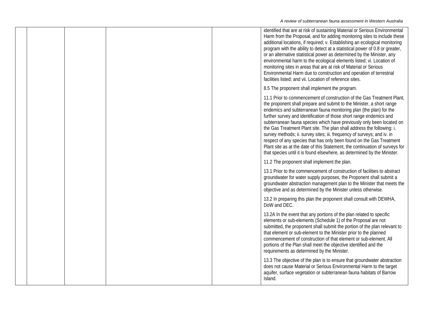|  |  | identified that are at risk of sustaining Material or Serious Environmental<br>Harm from the Proposal, and for adding monitoring sites to include these<br>additional locations, if required; v. Establishing an ecological monitoring<br>program with the ability to detect at a statistical power of 0.8 or greater,<br>or an alternative statistical power as determined by the Minister, any<br>environmental harm to the ecological elements listed; vi. Location of<br>monitoring sites in areas that are at risk of Material or Serious<br>Environmental Harm due to construction and operation of terrestrial<br>facilities listed; and vii. Location of reference sites.                                                                              |
|--|--|----------------------------------------------------------------------------------------------------------------------------------------------------------------------------------------------------------------------------------------------------------------------------------------------------------------------------------------------------------------------------------------------------------------------------------------------------------------------------------------------------------------------------------------------------------------------------------------------------------------------------------------------------------------------------------------------------------------------------------------------------------------|
|  |  | 8.5 The proponent shall implement the program.                                                                                                                                                                                                                                                                                                                                                                                                                                                                                                                                                                                                                                                                                                                 |
|  |  | 11.1 Prior to commencement of construction of the Gas Treatment Plant,<br>the proponent shall prepare and submit to the Minister, a short range<br>endemics and subterranean fauna monitoring plan (the plan) for the<br>further survey and identification of those short range endemics and<br>subterranean fauna species which have previously only been located on<br>the Gas Treatment Plant site. The plan shall address the following: i.<br>survey methods; ii. survey sites; iii. frequency of surveys; and iv. in<br>respect of any species that has only been found on the Gas Treatment<br>Plant site as at the date of this Statement, the continuation of surveys for<br>that species until it is found elsewhere, as determined by the Minister. |
|  |  | 11.2 The proponent shall implement the plan.                                                                                                                                                                                                                                                                                                                                                                                                                                                                                                                                                                                                                                                                                                                   |
|  |  | 13.1 Prior to the commencement of construction of facilities to abstract<br>groundwater for water supply purposes, the Proponent shall submit a<br>groundwater abstraction management plan to the Minister that meets the<br>objective and as determined by the Minister unless otherwise.                                                                                                                                                                                                                                                                                                                                                                                                                                                                     |
|  |  | 13.2 In preparing this plan the proponent shall consult with DEWHA,<br>DoW and DEC.                                                                                                                                                                                                                                                                                                                                                                                                                                                                                                                                                                                                                                                                            |
|  |  | 13.2A In the event that any portions of the plan related to specific<br>elements or sub-elements (Schedule 1) of the Proposal are not<br>submitted, the proponent shall submit the portion of the plan relevant to<br>that element or sub-element to the Minister prior to the planned<br>commencement of construction of that element or sub-element. All<br>portions of the Plan shall meet the objective identified and the<br>requirements as determined by the Minister.                                                                                                                                                                                                                                                                                  |
|  |  | 13.3 The objective of the plan is to ensure that groundwater abstraction<br>does not cause Material or Serious Environmental Harm to the target<br>aquifer, surface vegetation or subterranean fauna habitats of Barrow<br>Island.                                                                                                                                                                                                                                                                                                                                                                                                                                                                                                                             |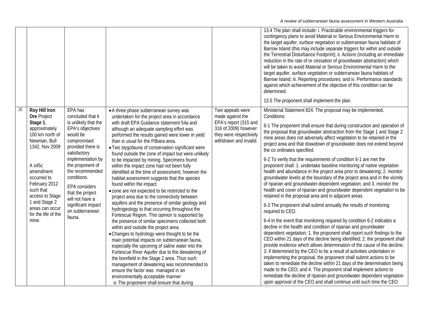|                 |                                                                                                                                                                                                                                                                           |                                                                                                                                                                                                                                                                                                                                       |                                                                                                                                                                                                                                                                                                                                                                                                                                                                                                                                                                                                                                                                                                                                                                                                                                                                                                                                                                                                                                                                                                                                                                                                                                                                                                                                                              |                                                                                                                                           | 13.4 The plan shall include: i. Practicable environmental triggers for<br>contingency plans to avoid Material or Serious Environmental Harm to<br>the target aquifer, surface vegetation or subterranean fauna habitats of<br>Barrow Island (this may include separate triggers for within and outside<br>the Terrestrial Disturbance Footprint); ii. Actions (including an immediate<br>reduction in the rate of or cessation of groundwater abstraction) which<br>will be taken to avoid Material or Serious Environmental Harm to the<br>target aquifer, surface vegetation or subterranean fauna habitats of<br>Barrow Island; iii. Reporting procedures; and iv. Performance standards<br>against which achievement of the objective of this condition can be<br>determined.<br>13.5 The proponent shall implement the plan.                                                                                                                                                                                                                                                                                                                                                                                                                                                                                                                                                                                                                                                                                                                                                                                                                                                                                                                                                          |
|-----------------|---------------------------------------------------------------------------------------------------------------------------------------------------------------------------------------------------------------------------------------------------------------------------|---------------------------------------------------------------------------------------------------------------------------------------------------------------------------------------------------------------------------------------------------------------------------------------------------------------------------------------|--------------------------------------------------------------------------------------------------------------------------------------------------------------------------------------------------------------------------------------------------------------------------------------------------------------------------------------------------------------------------------------------------------------------------------------------------------------------------------------------------------------------------------------------------------------------------------------------------------------------------------------------------------------------------------------------------------------------------------------------------------------------------------------------------------------------------------------------------------------------------------------------------------------------------------------------------------------------------------------------------------------------------------------------------------------------------------------------------------------------------------------------------------------------------------------------------------------------------------------------------------------------------------------------------------------------------------------------------------------|-------------------------------------------------------------------------------------------------------------------------------------------|--------------------------------------------------------------------------------------------------------------------------------------------------------------------------------------------------------------------------------------------------------------------------------------------------------------------------------------------------------------------------------------------------------------------------------------------------------------------------------------------------------------------------------------------------------------------------------------------------------------------------------------------------------------------------------------------------------------------------------------------------------------------------------------------------------------------------------------------------------------------------------------------------------------------------------------------------------------------------------------------------------------------------------------------------------------------------------------------------------------------------------------------------------------------------------------------------------------------------------------------------------------------------------------------------------------------------------------------------------------------------------------------------------------------------------------------------------------------------------------------------------------------------------------------------------------------------------------------------------------------------------------------------------------------------------------------------------------------------------------------------------------------------------------------|
| $\overline{25}$ | Roy Hill Iron<br>Ore Project<br>Stage 1,<br>approximately<br>100 km north of<br>Newman, Bull<br>1342, Nov 2009<br>A s45c<br>amendment<br>occurred to<br>February 2012<br>such that<br>access to Stage<br>1 and Stage 2<br>areas can occur<br>for the life of the<br>mine. | EPA has<br>concluded that it<br>is unlikely that the<br>EPA's objectives<br>would be<br>compromised<br>provided there is<br>satisfactory<br>implementation by<br>the proponent of<br>the recommended<br>conditions.<br><b>EPA</b> considers<br>that the project<br>will not have a<br>significant impact<br>on subterranean<br>fauna. | • A three phase subterranean survey was<br>undertaken for the project area in accordance<br>with draft EPA Guidance statement 54a and<br>although an adequate sampling effort was<br>performed the results gained were lower in yield<br>than is usual for the Pilbara area.<br>• Two stygofauna of conservation significant were<br>found outside the zone of impact but were unlikely<br>to be impacted by mining. Specimens found<br>within the impact zone had not been fully<br>identified at the time of assessment, however the<br>habitat assessment suggests that the species<br>found within the impact<br>• zone are not expected to be restricted to the<br>project area due to the connectivity between<br>aquifers and the presence of similar geology and<br>hydrogeology to that occurring throughout the<br>Fortescue Region. This opinion is supported by<br>the presence of similar specimens collected both<br>within and outside the project area.<br>• Changes to hydrology were thought to be the<br>main potential impacts on subterranean fauna,<br>especially the upconing of saline water into the<br>Fortescue River Aquifer due to the dewatering of<br>the borefield in the Stage 2 area. Thus such<br>management of dewatering was recommended to<br>ensure the factor was managed in an<br>environmentally acceptable manner | Two appeals were<br>made against the<br>EPA's report (315 and<br>316 of 2009) however<br>they were respectively<br>withdrawn and invalid. | Ministerial Statement 824. The proposal may be implemented.<br>Conditions:<br>6-1 The proponent shall ensure that during construction and operation of<br>the proposal that groundwater abstraction from the Stage 1 and Stage 2<br>mine areas does not adversely affect vegetation to be retained in the<br>project area and that drawdown of groundwater does not extend beyond<br>the co ordinates specified.<br>6-2 To verify that the requirements of condition 6-1 are met the<br>proponent shall: 1. undertake baseline monitoring of native vegetation<br>health and abundance in the project area prior to dewatering; 2. monitor<br>groundwater levels at the boundary of the project area and in the vicinity<br>of riparian and groundwater-dependent vegetation; and 3. monitor the<br>health and cover of riparian and groundwater dependent vegetation to be<br>retained in the proposal area and in adjacent areas.<br>6-3 The proponent shall submit annually the results of monitoring<br>required to CEO.<br>6-4 In the event that monitoring required by condition 6-2 indicates a<br>decline in the health and condition of riparian and groundwater<br>dependent vegetation: 1. the proponent shall report such findings to the<br>CEO within 21 days of the decline being identified; 2. the proponent shall<br>provide evidence which allows determination of the cause of the decline;<br>3. If determined by the CEO to be a result of activities undertaken in<br>implementing the proposal, the proponent shall submit actions to be<br>taken to remediate the decline within 21 days of the determination being<br>made to the CEO; and 4. The proponent shall implement actions to<br>remediate the decline of riparian and groundwater dependent vegetation |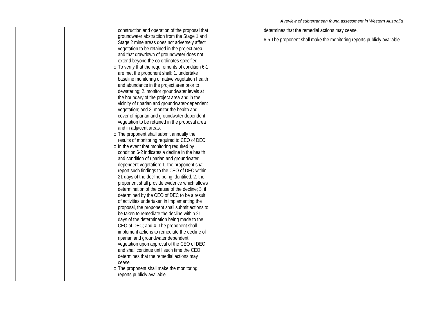| construction and operation of the proposal that    | determines that the remedial actions may cease.                         |
|----------------------------------------------------|-------------------------------------------------------------------------|
| groundwater abstraction from the Stage 1 and       |                                                                         |
| Stage 2 mine areas does not adversely affect       | 6-5 The proponent shall make the monitoring reports publicly available. |
| vegetation to be retained in the project area      |                                                                         |
| and that drawdown of groundwater does not          |                                                                         |
| extend beyond the co ordinates specified.          |                                                                         |
| o To verify that the requirements of condition 6-1 |                                                                         |
| are met the proponent shall: 1. undertake          |                                                                         |
| baseline monitoring of native vegetation health    |                                                                         |
| and abundance in the project area prior to         |                                                                         |
| dewatering; 2. monitor groundwater levels at       |                                                                         |
| the boundary of the project area and in the        |                                                                         |
| vicinity of riparian and groundwater-dependent     |                                                                         |
| vegetation; and 3. monitor the health and          |                                                                         |
| cover of riparian and groundwater dependent        |                                                                         |
| vegetation to be retained in the proposal area     |                                                                         |
| and in adjacent areas.                             |                                                                         |
| o The proponent shall submit annually the          |                                                                         |
| results of monitoring required to CEO of DEC.      |                                                                         |
| o In the event that monitoring required by         |                                                                         |
| condition 6-2 indicates a decline in the health    |                                                                         |
| and condition of riparian and groundwater          |                                                                         |
| dependent vegetation: 1. the proponent shall       |                                                                         |
| report such findings to the CEO of DEC within      |                                                                         |
| 21 days of the decline being identified; 2. the    |                                                                         |
| proponent shall provide evidence which allows      |                                                                         |
| determination of the cause of the decline; 3. if   |                                                                         |
| determined by the CEO of DEC to be a result        |                                                                         |
| of activities undertaken in implementing the       |                                                                         |
| proposal, the proponent shall submit actions to    |                                                                         |
| be taken to remediate the decline within 21        |                                                                         |
| days of the determination being made to the        |                                                                         |
| CEO of DEC; and 4. The proponent shall             |                                                                         |
| implement actions to remediate the decline of      |                                                                         |
| riparian and groundwater dependent                 |                                                                         |
| vegetation upon approval of the CEO of DEC         |                                                                         |
| and shall continue until such time the CEO         |                                                                         |
| determines that the remedial actions may           |                                                                         |
| cease.                                             |                                                                         |
| o The proponent shall make the monitoring          |                                                                         |
| reports publicly available.                        |                                                                         |
|                                                    |                                                                         |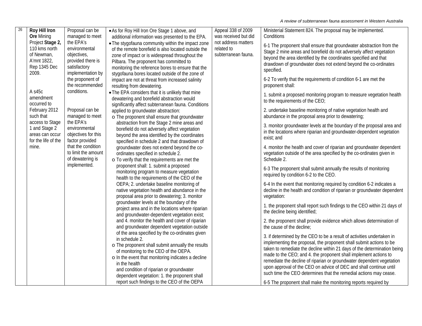| 26 | Roy Hill Iron       | Proposal can be                  | • As for Roy Hill Iron Ore Stage 1 above, and                                             | Appeal 338 of 2009   | Ministerial Statement 824. The proposal may be implemented.                                                                                 |
|----|---------------------|----------------------------------|-------------------------------------------------------------------------------------------|----------------------|---------------------------------------------------------------------------------------------------------------------------------------------|
|    | <b>Ore Mining</b>   | managed to meet                  | additional information was presented to the EPA.                                          | was received but did | Conditions                                                                                                                                  |
|    | Project Stage 2,    | the EPA's                        | . The stygofauna community within the impact zone                                         | not address matters  |                                                                                                                                             |
|    | 110 kms north       | environmental                    | of the remote borefield is also located outside the                                       | related to           | 6-1 The proponent shall ensure that groundwater abstraction from the<br>Stage 2 mine areas and borefield do not adversely affect vegetation |
|    | of Newman,          | objectives,                      | zone of impact or is widespread throughout the                                            | subterranean fauna.  | beyond the area identified by the coordinates specified and that                                                                            |
|    | A'mnt 1822,         | provided there is                | Pilbara. The proponent has committed to                                                   |                      | drawdown of groundwater does not extend beyond the co-ordinates                                                                             |
|    | Rep 1345 Dec        | satisfactory                     | monitoring the reference bores to ensure that the                                         |                      | specified.                                                                                                                                  |
|    | 2009.               | implementation by                | stygofauna bores located outside of the zone of                                           |                      |                                                                                                                                             |
|    |                     | the proponent of                 | impact are not at threat from increased salinity                                          |                      | 6-2 To verify that the requirements of condition 6-1 are met the                                                                            |
|    |                     | the recommended                  | resulting from dewatering.                                                                |                      | proponent shall:                                                                                                                            |
|    | A s45c              | conditions.                      | . The EPA considers that it is unlikely that mine                                         |                      | 1. submit a proposed monitoring program to measure vegetation health                                                                        |
|    | amendment           |                                  | dewatering and borefield abstraction would                                                |                      | to the requirements of the CEO;                                                                                                             |
|    | occurred to         |                                  | significantly affect subterranean fauna. Conditions                                       |                      |                                                                                                                                             |
|    | February 2012       | Proposal can be                  | applied to groundwater abstraction:                                                       |                      | 2. undertake baseline monitoring of native vegetation health and                                                                            |
|    | such that           | managed to meet                  | o The proponent shall ensure that groundwater                                             |                      | abundance in the proposal area prior to dewatering;                                                                                         |
|    | access to Stage     | the EPA's                        | abstraction from the Stage 2 mine areas and                                               |                      | 3. monitor groundwater levels at the boundary of the proposal area and                                                                      |
|    | 1 and Stage 2       | environmental                    | borefield do not adversely affect vegetation                                              |                      | in the locations where riparian and groundwater-dependent vegetation                                                                        |
|    | areas can occur     | objectives for this              | beyond the area identified by the coordinates                                             |                      | exist; and                                                                                                                                  |
|    | for the life of the | factor provided                  | specified in schedule 2 and that drawdown of                                              |                      |                                                                                                                                             |
|    | mine.               | that the condition               | groundwater does not extend beyond the co-                                                |                      | 4. monitor the health and cover of riparian and groundwater dependent                                                                       |
|    |                     | to limit the amount              | ordinates specified in schedule 2.                                                        |                      | vegetation outside of the area specified by the co-ordinates given in                                                                       |
|    |                     | of dewatering is<br>implemented. | o To verify that the requirements are met the                                             |                      | Schedule 2.                                                                                                                                 |
|    |                     |                                  | proponent shall: 1. submit a proposed                                                     |                      | 6-3 The proponent shall submit annually the results of monitoring                                                                           |
|    |                     |                                  | monitoring program to measure vegetation                                                  |                      | required by condition 6-2 to the CEO.                                                                                                       |
|    |                     |                                  | health to the requirements of the CEO of the<br>OEPA; 2. undertake baseline monitoring of |                      | 6-4 In the event that monitoring required by condition 6-2 indicates a                                                                      |
|    |                     |                                  | native vegetation health and abundance in the                                             |                      | decline in the health and condition of riparian or groundwater dependent                                                                    |
|    |                     |                                  | proposal area prior to dewatering; 3. monitor                                             |                      | vegetation:                                                                                                                                 |
|    |                     |                                  | groundwater levels at the boundary of the                                                 |                      |                                                                                                                                             |
|    |                     |                                  | project area and in the locations where riparian                                          |                      | 1. the proponent shall report such findings to the CEO within 21 days of                                                                    |
|    |                     |                                  | and groundwater-dependent vegetation exist;                                               |                      | the decline being identified;                                                                                                               |
|    |                     |                                  | and 4. monitor the health and cover of riparian                                           |                      | 2. the proponent shall provide evidence which allows determination of                                                                       |
|    |                     |                                  | and groundwater dependent vegetation outside                                              |                      | the cause of the decline:                                                                                                                   |
|    |                     |                                  | of the area specified by the co-ordinates given                                           |                      |                                                                                                                                             |
|    |                     |                                  | in schedule 2.                                                                            |                      | 3. if determined by the CEO to be a result of activities undertaken in                                                                      |
|    |                     |                                  | o The proponent shall submit annually the results                                         |                      | implementing the proposal, the proponent shall submit actions to be                                                                         |
|    |                     |                                  | of monitoring to the CEO of the OEPA.                                                     |                      | taken to remediate the decline within 21 days of the determination being                                                                    |
|    |                     |                                  | o In the event that monitoring indicates a decline                                        |                      | made to the CEO; and 4. the proponent shall implement actions to                                                                            |
|    |                     |                                  | in the health                                                                             |                      | remediate the decline of riparian or groundwater dependent vegetation                                                                       |
|    |                     |                                  | and condition of riparian or groundwater                                                  |                      | upon approval of the CEO on advice of DEC and shall continue until                                                                          |
|    |                     |                                  | dependent vegetation: 1. the proponent shall                                              |                      | such time the CEO determines that the remedial actions may cease.                                                                           |
|    |                     |                                  | report such findings to the CEO of the OEPA                                               |                      | 6-5 The proponent shall make the monitoring reports required by                                                                             |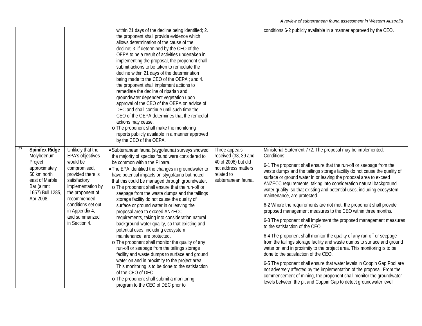|    |                                                                                                                                                 |                                                                                                                                                                                                                                           | within 21 days of the decline being identified; 2.<br>the proponent shall provide evidence which<br>allows determination of the cause of the<br>decline; 3. if determined by the CEO of the<br>OEPA to be a result of activities undertaken in<br>implementing the proposal, the proponent shall<br>submit actions to be taken to remediate the<br>decline within 21 days of the determination<br>being made to the CEO of the OEPA; and 4.<br>the proponent shall implement actions to<br>remediate the decline of riparian and<br>groundwater dependent vegetation upon<br>approval of the CEO of the OEPA on advice of<br>DEC and shall continue until such time the<br>CEO of the OEPA determines that the remedial<br>actions may cease.<br>o The proponent shall make the monitoring<br>reports publicly available in a manner approved<br>by the CEO of the OEPA.                                                                                                                                                                                                              |                                                                                                                          | conditions 6-2 publicly available in a manner approved by the CEO.                                                                                                                                                                                                                                                                                                                                                                                                                                                                                                                                                                                                                                                                                                                                                                                                                                                                                                                                                                                                                                                                                                                                                                                                                                          |
|----|-------------------------------------------------------------------------------------------------------------------------------------------------|-------------------------------------------------------------------------------------------------------------------------------------------------------------------------------------------------------------------------------------------|---------------------------------------------------------------------------------------------------------------------------------------------------------------------------------------------------------------------------------------------------------------------------------------------------------------------------------------------------------------------------------------------------------------------------------------------------------------------------------------------------------------------------------------------------------------------------------------------------------------------------------------------------------------------------------------------------------------------------------------------------------------------------------------------------------------------------------------------------------------------------------------------------------------------------------------------------------------------------------------------------------------------------------------------------------------------------------------|--------------------------------------------------------------------------------------------------------------------------|-------------------------------------------------------------------------------------------------------------------------------------------------------------------------------------------------------------------------------------------------------------------------------------------------------------------------------------------------------------------------------------------------------------------------------------------------------------------------------------------------------------------------------------------------------------------------------------------------------------------------------------------------------------------------------------------------------------------------------------------------------------------------------------------------------------------------------------------------------------------------------------------------------------------------------------------------------------------------------------------------------------------------------------------------------------------------------------------------------------------------------------------------------------------------------------------------------------------------------------------------------------------------------------------------------------|
| 27 | <b>Spinifex Ridge</b><br>Molybdenum<br>Project<br>approximately<br>50 km north<br>east of Marble<br>Bar (a'mnt<br>1657) Bull 1285,<br>Apr 2008. | Unlikely that the<br>EPA's objectives<br>would be<br>compromised,<br>provided there is<br>satisfactory<br>implementation by<br>the proponent of<br>recommended<br>conditions set out<br>in Appendix 4,<br>and summarized<br>in Section 4. | · Subterranean fauna (stygofauna) surveys showed<br>the majority of species found were considered to<br>be common within the Pilbara.<br>• The EPA identified the changes in groundwater to<br>have potential impacts on stygofauna but noted<br>that this could be managed through groundwater.<br>o The proponent shall ensure that the run-off or<br>seepage from the waste dumps and the tailings<br>storage facility do not cause the quality of<br>surface or ground water in or leaving the<br>proposal area to exceed ANZECC<br>requirements, taking into consideration natural<br>background water quality, so that existing and<br>potential uses, including ecosystem<br>maintenance, are protected.<br>o The proponent shall monitor the quality of any<br>run-off or seepage from the tailings storage<br>facility and waste dumps to surface and ground<br>water on and in proximity to the project area.<br>This monitoring is to be done to the satisfaction<br>of the CEO of DEC.<br>o The proponent shall submit a monitoring<br>program to the CEO of DEC prior to | Three appeals<br>received (38, 39 and<br>40 of 2008) but did<br>not address matters<br>related to<br>subterranean fauna. | Ministerial Statement 772. The proposal may be implemented.<br>Conditions:<br>6-1 The proponent shall ensure that the run-off or seepage from the<br>waste dumps and the tailings storage facility do not cause the quality of<br>surface or ground water in or leaving the proposal area to exceed<br>ANZECC requirements, taking into consideration natural background<br>water quality, so that existing and potential uses, including ecosystem<br>maintenance, are protected.<br>6-2 Where the requirements are not met, the proponent shall provide<br>proposed management measures to the CEO within three months.<br>6-3 The proponent shall implement the proposed management measures<br>to the satisfaction of the CEO.<br>6-4 The proponent shall monitor the quality of any run-off or seepage<br>from the tailings storage facility and waste dumps to surface and ground<br>water on and in proximity to the project area. This monitoring is to be<br>done to the satisfaction of the CEO.<br>6-5 The proponent shall ensure that water levels in Coppin Gap Pool are<br>not adversely affected by the implementation of the proposal. From the<br>commencement of mining, the proponent shall monitor the groundwater<br>levels between the pit and Coppin Gap to detect groundwater level |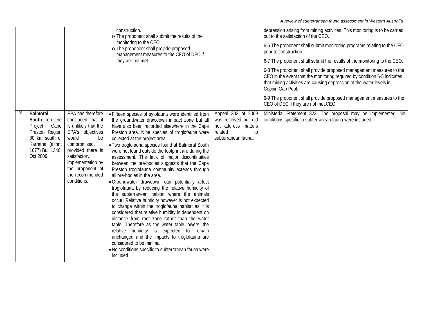|    |                                                                                                                                      |                                                                                                                                                                                                                                   | construction.<br>o The proponent shall submit the results of the<br>monitoring to the CEO.<br>o The proponent shall provide proposed<br>management measures to the CEO of DEC if<br>they are not met.                                                                                                                                                                                                                                                                                                                                                                                                                                                                                                                                                                                                                                                                                                                                                                                                                                                                                                                                                   |                                                                                                           | depression arising from mining activities. This monitoring is to be carried<br>out to the satisfaction of the CEO.<br>6-6 The proponent shall submit monitoring programs relating to the CEO<br>prior to construction.<br>6-7 The proponent shall submit the results of the monitoring to the CEO.<br>6-8 The proponent shall provide proposed management measures to the<br>CEO in the event that the monitoring required by condition 6-5 indicates<br>that mining activities are causing depression of the water levels in<br>Coppin Gap Pool.<br>6-9 The proponent shall provide proposed management measures to the<br>CEO of DEC if they are not met.CEO. |
|----|--------------------------------------------------------------------------------------------------------------------------------------|-----------------------------------------------------------------------------------------------------------------------------------------------------------------------------------------------------------------------------------|---------------------------------------------------------------------------------------------------------------------------------------------------------------------------------------------------------------------------------------------------------------------------------------------------------------------------------------------------------------------------------------------------------------------------------------------------------------------------------------------------------------------------------------------------------------------------------------------------------------------------------------------------------------------------------------------------------------------------------------------------------------------------------------------------------------------------------------------------------------------------------------------------------------------------------------------------------------------------------------------------------------------------------------------------------------------------------------------------------------------------------------------------------|-----------------------------------------------------------------------------------------------------------|-----------------------------------------------------------------------------------------------------------------------------------------------------------------------------------------------------------------------------------------------------------------------------------------------------------------------------------------------------------------------------------------------------------------------------------------------------------------------------------------------------------------------------------------------------------------------------------------------------------------------------------------------------------------|
| 28 | Balmoral<br>South Iron Ore<br>Project<br>Cape<br>Preston Region<br>80 km south of<br>Karratha (a'mnt<br>1677) Bull 1340,<br>Oct 2009 | EPA has therefore<br>concluded that it<br>is unlikely that the<br>EPA's objectives<br>would<br>be<br>compromised,<br>provided there is<br>satisfactory<br>implementation by<br>the proponent of<br>the recommended<br>conditions. | • Fifteen species of sytofauna were identified from<br>the groundwater drawdown impact zone but all<br>have also been recorded elsewhere in the Cape<br>Preston area. Nine species of troglofauna were<br>collected at the project area.<br>• Two troglofauna species found at Balmoral South<br>were not found outside the footprint are during the<br>assessment. The lack of major discontinuities<br>between the ore-bodies suggests that the Cape<br>Preston troglofauna community extends through<br>all ore-bodies in the area.<br>· Groundwater drawdown can potentially affect<br>troglofauna by reducing the relative humidity of<br>the subterranean habitat where the animals<br>occur. Relative humidity however is not expected<br>to change within the troglofauna habitat as it is<br>considered that relative humidity is dependent on<br>distance from root zone rather than the water<br>table. Therefore as the water table lowers, the<br>relative humidity is expected to remain<br>unchanged and the impacts to troglofauna are<br>considered to be minimal.<br>. No conditions specific to subterranean fauna were<br>included. | Appeal 303 of 2009<br>was received but did<br>not address matters<br>related<br>to<br>subterranean fauna. | Ministerial Statement 823. The proposal may be implemented. No<br>conditions specific to subterranean fauna were included.                                                                                                                                                                                                                                                                                                                                                                                                                                                                                                                                      |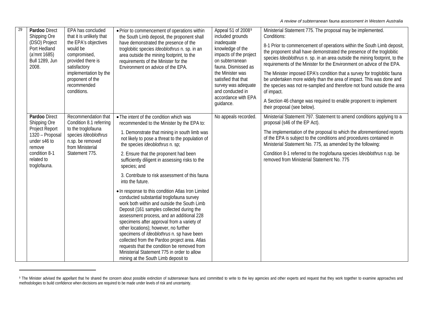<span id="page-98-0"></span>

| 29 | Pardoo Direct<br>Shipping Ore<br>(DSO) Project<br>Port Hedland<br>(a'mnt 1685)<br><b>Bull 1289, Jun</b><br>2008.                            | EPA has concluded<br>that it is unlikely that<br>the EPA's objectives<br>would be<br>compromised,<br>provided there is<br>satisfactory<br>implementation by the<br>proponent of the<br>recommended<br>conditions. | • Prior to commencement of operations within<br>the South Limb deposit, the proponent shall<br>have demonstrated the presence of the<br>troglobitic species Ideoblothrus n. sp. in an<br>area outside the mining footprint, to the<br>requirements of the Minister for the<br>Environment on advice of the EPA.                                                                                                                                                                                                                                                   | Appeal 51 of 20089<br>included grounds<br>inadequate<br>knowledge of the<br>impacts of the project<br>on subterranean<br>fauna. Dismissed as<br>the Minister was<br>satisfied that that<br>survey was adequate<br>and conducted in<br>accordance with EPA<br>guidance. | Ministerial Statement 775. The proposal may be implemented.<br>Conditions:<br>8-1 Prior to commencement of operations within the South Limb deposit,<br>the proponent shall have demonstrated the presence of the troglobitic<br>species Ideoblothrus n. sp. in an area outside the mining footprint, to the<br>requirements of the Minister for the Environment on advice of the EPA.<br>The Minister imposed EPA's condition that a survey for troglobitic fauna<br>be undertaken more widely than the area of impact. This was done and<br>the species was not re-sampled and therefore not found outside the area<br>of impact.<br>A Section 46 change was required to enable proponent to implement<br>their proposal (see below). |
|----|---------------------------------------------------------------------------------------------------------------------------------------------|-------------------------------------------------------------------------------------------------------------------------------------------------------------------------------------------------------------------|-------------------------------------------------------------------------------------------------------------------------------------------------------------------------------------------------------------------------------------------------------------------------------------------------------------------------------------------------------------------------------------------------------------------------------------------------------------------------------------------------------------------------------------------------------------------|------------------------------------------------------------------------------------------------------------------------------------------------------------------------------------------------------------------------------------------------------------------------|-----------------------------------------------------------------------------------------------------------------------------------------------------------------------------------------------------------------------------------------------------------------------------------------------------------------------------------------------------------------------------------------------------------------------------------------------------------------------------------------------------------------------------------------------------------------------------------------------------------------------------------------------------------------------------------------------------------------------------------------|
|    | Pardoo Direct<br>Shipping Ore<br>Project Report<br>1320 - Proposal<br>under s46 to<br>remove<br>condition 8-1<br>related to<br>troglofauna. | Recommendation that<br>Condition 8.1 referring<br>to the troglofauna<br>species Ideoblothrus<br>n.sp. be removed<br>from Ministerial<br>Statement 775.                                                            | • The intent of the condition which was<br>recommended to the Minister by the EPA to:<br>1. Demonstrate that mining in south limb was<br>not likely to pose a threat to the population of<br>the species Ideoblothrus n. sp;<br>2. Ensure that the proponent had been<br>sufficiently diligent in assessing risks to the<br>species; and<br>3. Contribute to risk assessment of this fauna<br>into the future.                                                                                                                                                    | No appeals recorded.                                                                                                                                                                                                                                                   | Ministerial Statement 797. Statement to amend conditions applying to a<br>proposal (s46 of the EP Act).<br>The implementation of the proposal to which the aforementioned reports<br>of the EPA is subject to the conditions and procedures contained in<br>Ministerial Statement No. 775, as amended by the following:<br>Condition 8-1 referred to the troglofauna species Ideoblothrus n.sp. be<br>removed from Ministerial Statement No. 775                                                                                                                                                                                                                                                                                        |
|    |                                                                                                                                             |                                                                                                                                                                                                                   | . In response to this condition Atlas Iron Limited<br>conducted substantial troglofauna survey<br>work both within and outside the South Limb<br>Deposit (161 samples collected during the<br>assessment process, and an additional 228<br>specimens after approval from a variety of<br>other locations); however, no further<br>specimens of Ideoblothrus n. sp have been<br>collected from the Pardoo project area. Atlas<br>requests that the condition be removed from<br>Ministerial Statement 775 in order to allow<br>mining at the South Limb deposit to |                                                                                                                                                                                                                                                                        |                                                                                                                                                                                                                                                                                                                                                                                                                                                                                                                                                                                                                                                                                                                                         |

<sup>9</sup> The Minister advised the appellant that he shared the concern about possible extinction of subterranean fauna and committed to write to the key agencies and other experts and request that they work together to examine ap methodologies to build confidence when decisions are required to be made under levels of risk and uncertainty.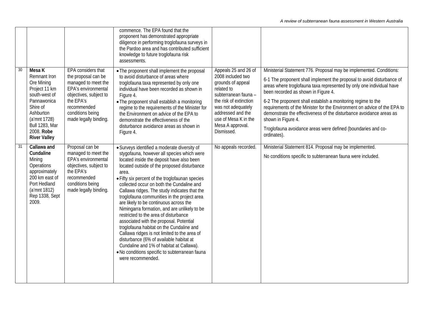|                 |                                                                                                                                                                                              |                                                                                                                                                                                            | commence. The EPA found that the<br>proponent has demonstrated appropriate<br>diligence in performing troglofauna surveys in<br>the Pardoo area and has contributed sufficient<br>knowledge to future troglofauna risk<br>assessments.                                                                                                                                                                                                                                                                                                                                                                                                                                                                                                                                                                                                 |                                                                                                                                                                                                                                     |                                                                                                                                                                                                                                                                                                                                                                                                                                                                                                                                                                                      |
|-----------------|----------------------------------------------------------------------------------------------------------------------------------------------------------------------------------------------|--------------------------------------------------------------------------------------------------------------------------------------------------------------------------------------------|----------------------------------------------------------------------------------------------------------------------------------------------------------------------------------------------------------------------------------------------------------------------------------------------------------------------------------------------------------------------------------------------------------------------------------------------------------------------------------------------------------------------------------------------------------------------------------------------------------------------------------------------------------------------------------------------------------------------------------------------------------------------------------------------------------------------------------------|-------------------------------------------------------------------------------------------------------------------------------------------------------------------------------------------------------------------------------------|--------------------------------------------------------------------------------------------------------------------------------------------------------------------------------------------------------------------------------------------------------------------------------------------------------------------------------------------------------------------------------------------------------------------------------------------------------------------------------------------------------------------------------------------------------------------------------------|
| $\overline{30}$ | Mesa K<br>Remnant Iron<br>Ore Mining<br>Project 11 km<br>south-west of<br>Pannawonica<br>Shire of<br>Ashburton<br>(a'mnt 1728)<br><b>Bull 1283, Mar</b><br>2008. Robe<br><b>River Valley</b> | EPA considers that<br>the proposal can be<br>managed to meet the<br>EPA's environmental<br>objectives, subject to<br>the EPA's<br>recommended<br>conditions being<br>made legally binding. | . The proponent shall implement the proposal<br>to avoid disturbance of areas where<br>troglofauna taxa represented by only one<br>individual have been recorded as shown in<br>Figure 4.<br>• The proponent shall establish a monitoring<br>regime to the requirements of the Minister for<br>the Environment on advice of the EPA to<br>demonstrate the effectiveness of the<br>disturbance avoidance areas as shown in<br>Figure 4.                                                                                                                                                                                                                                                                                                                                                                                                 | Appeals 25 and 26 of<br>2008 included two<br>grounds of appeal<br>related to<br>subterranean fauna -<br>the risk of extinction<br>was not adequately<br>addressed and the<br>use of Mesa K in the<br>Mesa A approval.<br>Dismissed. | Ministerial Statement 776. Proposal may be implemented. Conditions:<br>6-1 The proponent shall implement the proposal to avoid disturbance of<br>areas where troglofauna taxa represented by only one individual have<br>been recorded as shown in Figure 4.<br>6-2 The proponent shall establish a monitoring regime to the<br>requirements of the Minister for the Environment on advice of the EPA to<br>demonstrate the effectiveness of the disturbance avoidance areas as<br>shown in Figure 4.<br>Troglofauna avoidance areas were defined (boundaries and co-<br>ordinates). |
| 31              | Callawa and<br>Cundaline<br>Mining<br>Operations<br>approximately<br>200 km east of<br>Port Hedland<br>(a'mnt 1812)<br>Rep 1338, Sept<br>2009.                                               | Proposal can be<br>managed to meet the<br>EPA's environmental<br>objectives, subject to<br>the EPA's<br>recommended<br>conditions being<br>made legally binding.                           | • Surveys identified a moderate diversity of<br>stygofauna, however all species which were<br>located inside the deposit have also been<br>located outside of the proposed disturbance<br>area.<br>• Fifty six percent of the troglofaunan species<br>collected occur on both the Cundaline and<br>Callawa ridges. The study indicates that the<br>troglofauna communities in the project area<br>are likely to be continuous across the<br>Nimingarra formation, and are unlikely to be<br>restricted to the area of disturbance<br>associated with the proposal. Potential<br>troglofauna habitat on the Cundaline and<br>Callawa ridges is not limited to the area of<br>disturbance (6% of available habitat at<br>Cundaline and 1% of habitat at Callawa).<br>. No conditions specific to subterranean fauna<br>were recommended. | No appeals recorded.                                                                                                                                                                                                                | Ministerial Statement 814. Proposal may be implemented.<br>No conditions specific to subterranean fauna were included.                                                                                                                                                                                                                                                                                                                                                                                                                                                               |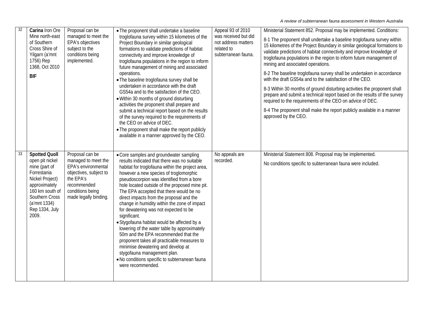| $\overline{32}$ | Carina Iron Ore<br>Mine north-east<br>of Southern<br>Cross Shire of<br>Yilgarn (a'mnt<br>1756) Rep<br>1368, Oct 2010<br><b>BIF</b>                                                          | Proposal can be<br>managed to meet the<br>EPA's objectives<br>subject to the<br>conditions being<br>implemented.                                                 | • The proponent shall undertake a baseline<br>troglofauna survey within 15 kilometres of the<br>Project Boundary in similar geological<br>formations to validate predictions of habitat<br>connectivity and improve knowledge of<br>troglofauna populations in the region to inform<br>future management of mining and associated<br>operations.<br>. The baseline troglofauna survey shall be<br>undertaken in accordance with the draft<br>GS54a and to the satisfaction of the CEO.<br>. Within 30 months of ground disturbing<br>activities the proponent shall prepare and<br>submit a technical report based on the results<br>of the survey required to the requirements of<br>the CEO on advice of DEC.<br>• The proponent shall make the report publicly<br>available in a manner approved by the CEO.        | Appeal 93 of 2010<br>was received but did<br>not address matters<br>related to<br>subterranean fauna. | Ministerial Statement 852. Proposal may be implemented. Conditions:<br>8-1 The proponent shall undertake a baseline troglofauna survey within<br>15 kilometres of the Project Boundary in similar geological formations to<br>validate predictions of habitat connectivity and improve knowledge of<br>troglofauna populations in the region to inform future management of<br>mining and associated operations.<br>8-2 The baseline troglofauna survey shall be undertaken in accordance<br>with the draft GS54a and to the satisfaction of the CEO.<br>8-3 Within 30 months of ground disturbing activities the proponent shall<br>prepare and submit a technical report based on the results of the survey<br>required to the requirements of the CEO on advice of DEC.<br>8-4 The proponent shall make the report publicly available in a manner<br>approved by the CEO. |
|-----------------|---------------------------------------------------------------------------------------------------------------------------------------------------------------------------------------------|------------------------------------------------------------------------------------------------------------------------------------------------------------------|------------------------------------------------------------------------------------------------------------------------------------------------------------------------------------------------------------------------------------------------------------------------------------------------------------------------------------------------------------------------------------------------------------------------------------------------------------------------------------------------------------------------------------------------------------------------------------------------------------------------------------------------------------------------------------------------------------------------------------------------------------------------------------------------------------------------|-------------------------------------------------------------------------------------------------------|------------------------------------------------------------------------------------------------------------------------------------------------------------------------------------------------------------------------------------------------------------------------------------------------------------------------------------------------------------------------------------------------------------------------------------------------------------------------------------------------------------------------------------------------------------------------------------------------------------------------------------------------------------------------------------------------------------------------------------------------------------------------------------------------------------------------------------------------------------------------------|
| 33              | <b>Spotted Quoll</b><br>open pit nickel<br>mine (part of<br>Forrestania<br>Nickel Project)<br>approximately<br>160 km south of<br>Southern Cross<br>(a'mnt 1334)<br>Rep 1334, July<br>2009. | Proposal can be<br>managed to meet the<br>EPA's environmental<br>objectives, subject to<br>the EPA's<br>recommended<br>conditions being<br>made legally binding. | • Core samples and groundwater sampling<br>results indicated that there was no suitable<br>habitat for troglofauna within the project area,<br>however a new species of troglomorphic<br>pseudoscorpion was identified from a bore<br>hole located outside of the proposed mine pit.<br>The EPA accepted that there would be no<br>direct impacts from the proposal and the<br>change in humidity within the zone of impact<br>for dewatering was not expected to be<br>significant.<br>• Stygofauna habitat would be affected by a<br>lowering of the water table by approximately<br>50m and the EPA recommended that the<br>proponent takes all practicable measures to<br>minimise dewatering and develop at<br>stygofauna management plan.<br>. No conditions specific to subterranean fauna<br>were recommended. | No appeals are<br>recorded.                                                                           | Ministerial Statement 808. Proposal may be implemented.<br>No conditions specific to subterranean fauna were included.                                                                                                                                                                                                                                                                                                                                                                                                                                                                                                                                                                                                                                                                                                                                                       |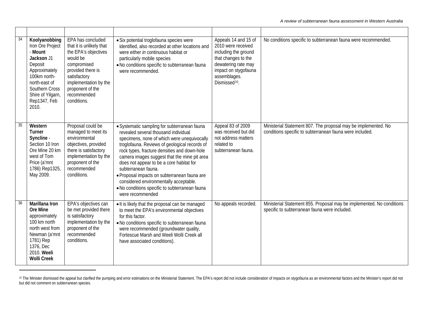| 34 | Koolyanobbing<br>Iron Ore Project<br>- Mount<br>Jackson J1<br>Deposit<br>Approximately<br>100km north-<br>north-east of<br>Southern Cross<br>Shire of Yilgarn,<br>Rep1347, Feb<br>2010. | EPA has concluded<br>that it is unlikely that<br>the EPA's objectives<br>would be<br>compromised<br>provided there is<br>satisfactory<br>implementation by the<br>proponent of the<br>recommended<br>conditions. | · Six potential troglofauna species were<br>identified, also recorded at other locations and<br>were either in continuous habitat or<br>particularly mobile species<br>. No conditions specific to subterranean fauna<br>were recommended.                                                                                                                                                                                                                                                                              | Appeals 14 and 15 of<br>2010 were received<br>including the ground<br>that changes to the<br>dewatering rate may<br>impact on stygofauna<br>assemblages.<br>Dismissed <sup>10</sup> . | No conditions specific to subterranean fauna were recommended.                                                             |
|----|-----------------------------------------------------------------------------------------------------------------------------------------------------------------------------------------|------------------------------------------------------------------------------------------------------------------------------------------------------------------------------------------------------------------|-------------------------------------------------------------------------------------------------------------------------------------------------------------------------------------------------------------------------------------------------------------------------------------------------------------------------------------------------------------------------------------------------------------------------------------------------------------------------------------------------------------------------|---------------------------------------------------------------------------------------------------------------------------------------------------------------------------------------|----------------------------------------------------------------------------------------------------------------------------|
|    | Western<br>Turner<br>Syncline -<br>Section 10 Iron<br>Ore Mine 20 km<br>west of Tom<br>Price (a'mnt<br>1786) Rep1325,<br>May 2009.                                                      | Proposal could be<br>managed to meet its<br>environmental<br>objectives, provided<br>there is satisfactory<br>implementation by the<br>proponent of the<br>recommended<br>conditions.                            | • Systematic sampling for subterranean fauna<br>revealed several thousand individual<br>specimens, none of which were unequivocally<br>troglofauna. Reviews of geological records of<br>rock types, fracture densities and down-hole<br>camera images suggest that the mine pit area<br>does not appear to be a core habitat for<br>subterranean fauna.<br>· Proposal impacts on subterranean fauna are<br>considered environmentally acceptable.<br>. No conditions specific to subterranean fauna<br>were recommended | Appeal 83 of 2009<br>was received but did<br>not address matters<br>related to<br>subterranean fauna.                                                                                 | Ministerial Statement 807. The proposal may be implemented. No<br>conditions specific to subterranean fauna were included. |
| 36 | Marillana Iron<br>Ore Mine<br>approximately<br>100 km north<br>north west from<br>Newman (a'mnt<br>1781) Rep<br>1376, Dec<br>2010. Weeli<br><b>Wolli Creek</b>                          | EPA's objectives can<br>be met provided there<br>is satisfactory<br>implementation by the<br>proponent of the<br>recommended<br>conditions.                                                                      | • It is likely that the proposal can be managed<br>to meet the EPA's environmental objectives<br>for this factor.<br>. No conditions specific to subterranean fauna<br>were recommended (groundwater quality,<br>Fortescue Marsh and Weeli Wolli Creek all<br>have associated conditions).                                                                                                                                                                                                                              | No appeals recorded.                                                                                                                                                                  | Ministerial Statement 855. Proposal may be implemented. No conditions<br>specific to subterranean fauna were included.     |

<sup>&</sup>lt;sup>10</sup> The Minister dismissed the appeal but clarified the pumping and error estimations on the Ministerial Statement. The EPA's report did not include consideration of impacts on stygofauna as an environmental factors and t but did not comment on subterranean species.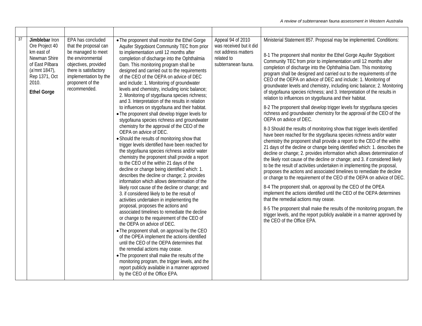| 37 | Jimblebar Iron<br>Ore Project 40<br>km east of<br>Newman Shire<br>of East Pilbara<br>(a'mnt 1847),<br>Rep 1371, Oct<br>2010.<br><b>Ethel Gorge</b> | EPA has concluded<br>that the proposal can<br>be managed to meet<br>the environmental<br>objectives, provided<br>there is satisfactory<br>implementation by the<br>proponent of the<br>recommended. | • The proponent shall monitor the Ethel Gorge<br>Aquifer Stygobiont Community TEC from prior<br>to implementation until 12 months after<br>completion of discharge into the Ophthalmia<br>Dam. This monitoring program shall be<br>designed and carried out to the requirements<br>of the CEO of the OEPA on advice of DEC<br>and include: 1. Monitoring of groundwater<br>levels and chemistry, including ionic balance;<br>2. Monitoring of stygofauna species richness;<br>and 3. Interpretation of the results in relation<br>to influences on stygofauna and their habitat.<br>• The proponent shall develop trigger levels for<br>stygofauna species richness and groundwater<br>chemistry for the approval of the CEO of the<br>OEPA on advice of DEC.<br>• Should the results of monitoring show that<br>trigger levels identified have been reached for<br>the stygofauna species richness and/or water<br>chemistry the proponent shall provide a report<br>to the CEO of the within 21 days of the<br>decline or change being identified which: 1.<br>describes the decline or change; 2. provides<br>information which allows determination of the<br>likely root cause of the decline or change; and<br>3. if considered likely to be the result of<br>activities undertaken in implementing the<br>proposal, proposes the actions and<br>associated timelines to remediate the decline<br>or change to the requirement of the CEO of<br>the OEPA on advice of DEC.<br>• The proponent shall, on approval by the CEO<br>of the OPEA implement the actions identified<br>until the CEO of the OEPA determines that<br>the remedial actions may cease.<br>• The proponent shall make the results of the<br>monitoring program, the trigger levels, and the<br>report publicly available in a manner approved<br>by the CEO of the Office EPA. | Appeal 94 of 2010<br>was received but it did<br>not address matters<br>related to<br>subterranean fauna. | Ministerial Statement 857. Proposal may be implemented. Conditions:<br>8-1 The proponent shall monitor the Ethel Gorge Aquifer Stygobiont<br>Community TEC from prior to implementation until 12 months after<br>completion of discharge into the Ophthalmia Dam. This monitoring<br>program shall be designed and carried out to the requirements of the<br>CEO of the OEPA on advice of DEC and include: 1. Monitoring of<br>groundwater levels and chemistry, including ionic balance; 2. Monitoring<br>of stygofauna species richness; and 3. Interpretation of the results in<br>relation to influences on stygofauna and their habitat.<br>8-2 The proponent shall develop trigger levels for stygofauna species<br>richness and groundwater chemistry for the approval of the CEO of the<br>OEPA on advice of DEC.<br>8-3 Should the results of monitoring show that trigger levels identified<br>have been reached for the stygofauna species richness and/or water<br>chemistry the proponent shall provide a report to the CEO of the within<br>21 days of the decline or change being identified which: 1. describes the<br>decline or change; 2. provides information which allows determination of<br>the likely root cause of the decline or change; and 3. if considered likely<br>to be the result of activities undertaken in implementing the proposal,<br>proposes the actions and associated timelines to remediate the decline<br>or change to the requirement of the CEO of the OEPA on advice of DEC.<br>8-4 The proponent shall, on approval by the CEO of the OPEA<br>implement the actions identified until the CEO of the OEPA determines<br>that the remedial actions may cease.<br>8-5 The proponent shall make the results of the monitoring program, the<br>trigger levels, and the report publicly available in a manner approved by<br>the CEO of the Office EPA. |
|----|----------------------------------------------------------------------------------------------------------------------------------------------------|-----------------------------------------------------------------------------------------------------------------------------------------------------------------------------------------------------|----------------------------------------------------------------------------------------------------------------------------------------------------------------------------------------------------------------------------------------------------------------------------------------------------------------------------------------------------------------------------------------------------------------------------------------------------------------------------------------------------------------------------------------------------------------------------------------------------------------------------------------------------------------------------------------------------------------------------------------------------------------------------------------------------------------------------------------------------------------------------------------------------------------------------------------------------------------------------------------------------------------------------------------------------------------------------------------------------------------------------------------------------------------------------------------------------------------------------------------------------------------------------------------------------------------------------------------------------------------------------------------------------------------------------------------------------------------------------------------------------------------------------------------------------------------------------------------------------------------------------------------------------------------------------------------------------------------------------------------------------------------------------------------------------------------------------------------------------------|----------------------------------------------------------------------------------------------------------|----------------------------------------------------------------------------------------------------------------------------------------------------------------------------------------------------------------------------------------------------------------------------------------------------------------------------------------------------------------------------------------------------------------------------------------------------------------------------------------------------------------------------------------------------------------------------------------------------------------------------------------------------------------------------------------------------------------------------------------------------------------------------------------------------------------------------------------------------------------------------------------------------------------------------------------------------------------------------------------------------------------------------------------------------------------------------------------------------------------------------------------------------------------------------------------------------------------------------------------------------------------------------------------------------------------------------------------------------------------------------------------------------------------------------------------------------------------------------------------------------------------------------------------------------------------------------------------------------------------------------------------------------------------------------------------------------------------------------------------------------------------------------------------------------------------------------------------------------------------------------------------------------|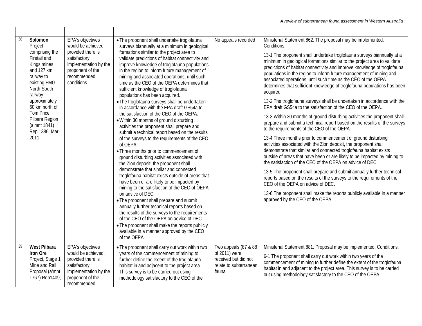| 38 | Solomon<br>Project<br>comprising the<br>Firetail and<br>Kings mines<br>and 127 km<br>railway to<br>existing FMG<br>North-South<br>railway<br>approximately<br>60 km north of<br>Tom Price<br>Pilbara Region<br>(a'mnt 1841)<br>Rep 1386, Mar<br>2011. | EPA's objectives<br>would be achieved<br>provided there is<br>satisfactory<br>implementation by the<br>proponent of the<br>recommended<br>conditions. | • The proponent shall undertake troglofauna<br>surveys biannually at a minimum in geological<br>formations similar to the project area to<br>validate predictions of habitat connectivity and<br>improve knowledge of troglofauna populations<br>in the region to inform future management of<br>mining and associated operations, until such<br>time as the CEO of the OEPA determines that<br>sufficient knowledge of troglofauna<br>populations has been acquired.<br>• The troglofauna surveys shall be undertaken<br>in accordance with the EPA draft GS54a to<br>the satisfaction of the CEO of the OEPA.<br>. Within 30 months of ground disturbing<br>activities the proponent shall prepare and<br>submit a technical report based on the results<br>of the surveys to the requirements of the CEO<br>of OEPA.<br>• Three months prior to commencement of<br>ground disturbing activities associated with<br>the Zion deposit, the proponent shall<br>demonstrate that similar and connected<br>troglofauna habitat exists outside of areas that<br>have been or are likely to be impacted by<br>mining to the satisfaction of the CEO of OEPA<br>on advice of DEC.<br>• The proponent shall prepare and submit<br>annually further technical reports based on<br>the results of the surveys to the requirements<br>of the CEO of the OEPA on advice of DEC.<br>• The proponent shall make the reports publicly<br>available in a manner approved by the CEO<br>of the OEPA. | No appeals recorded                                                                               | Ministerial Statement 862. The proposal may be implemented.<br>Conditions:<br>13-1 The proponent shall undertake troglofauna surveys biannually at a<br>minimum in geological formations similar to the project area to validate<br>predictions of habitat connectivity and improve knowledge of troglofauna<br>populations in the region to inform future management of mining and<br>associated operations, until such time as the CEO of the OEPA<br>determines that sufficient knowledge of troglofauna populations has been<br>acquired.<br>13-2 The troglofauna surveys shall be undertaken in accordance with the<br>EPA draft GS54a to the satisfaction of the CEO of the OEPA.<br>13-3 Within 30 months of ground disturbing activities the proponent shall<br>prepare and submit a technical report based on the results of the surveys<br>to the requirements of the CEO of the OEPA.<br>13-4 Three months prior to commencement of ground disturbing<br>activities associated with the Zion deposit, the proponent shall<br>demonstrate that similar and connected troglofauna habitat exists<br>outside of areas that have been or are likely to be impacted by mining to<br>the satisfaction of the CEO of the OEPA on advice of DEC.<br>13-5 The proponent shall prepare and submit annually further technical<br>reports based on the results of the surveys to the requirements of the<br>CEO of the OEPA on advice of DEC.<br>13-6 The proponent shall make the reports publicly available in a manner<br>approved by the CEO of the OEPA. |
|----|-------------------------------------------------------------------------------------------------------------------------------------------------------------------------------------------------------------------------------------------------------|-------------------------------------------------------------------------------------------------------------------------------------------------------|---------------------------------------------------------------------------------------------------------------------------------------------------------------------------------------------------------------------------------------------------------------------------------------------------------------------------------------------------------------------------------------------------------------------------------------------------------------------------------------------------------------------------------------------------------------------------------------------------------------------------------------------------------------------------------------------------------------------------------------------------------------------------------------------------------------------------------------------------------------------------------------------------------------------------------------------------------------------------------------------------------------------------------------------------------------------------------------------------------------------------------------------------------------------------------------------------------------------------------------------------------------------------------------------------------------------------------------------------------------------------------------------------------------------------------------------------------------------------------------|---------------------------------------------------------------------------------------------------|--------------------------------------------------------------------------------------------------------------------------------------------------------------------------------------------------------------------------------------------------------------------------------------------------------------------------------------------------------------------------------------------------------------------------------------------------------------------------------------------------------------------------------------------------------------------------------------------------------------------------------------------------------------------------------------------------------------------------------------------------------------------------------------------------------------------------------------------------------------------------------------------------------------------------------------------------------------------------------------------------------------------------------------------------------------------------------------------------------------------------------------------------------------------------------------------------------------------------------------------------------------------------------------------------------------------------------------------------------------------------------------------------------------------------------------------------------------------------------------------------------------------------------------------------------------|
| 39 | <b>West Pilbara</b><br>Iron Ore<br>Project, Stage 1<br>Mine and Rail<br>Proposal (a'mnt<br>1767) Rep1409,                                                                                                                                             | <b>EPA's objectives</b><br>would be achieved,<br>provided there is<br>satisfactory<br>implementation by the<br>proponent of the<br>recommended        | • The proponent shall carry out work within two<br>years of the commencement of mining to<br>further define the extent of the troglofauna<br>habitat in and adjacent to the project area.<br>This survey is to be carried out using<br>methodology satisfactory to the CEO of the                                                                                                                                                                                                                                                                                                                                                                                                                                                                                                                                                                                                                                                                                                                                                                                                                                                                                                                                                                                                                                                                                                                                                                                                     | Two appeals (87 & 88<br>of 2011) were<br>received but did not<br>relate to subterranean<br>fauna. | Ministerial Statement 881. Proposal may be implemented. Conditions:<br>6-1 The proponent shall carry out work within two years of the<br>commencement of mining to further define the extent of the troglofauna<br>habitat in and adjacent to the project area. This survey is to be carried<br>out using methodology satisfactory to the CEO of the OEPA.                                                                                                                                                                                                                                                                                                                                                                                                                                                                                                                                                                                                                                                                                                                                                                                                                                                                                                                                                                                                                                                                                                                                                                                                   |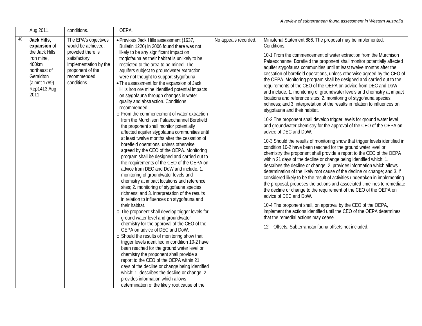|    | Aug 2011.                                                                                                                                 | conditions.                                                                                                                                                | OEPA.                                                                                                                                                                                                                                                                                                                                                                                                                                                                                                                                                                                                                                                                                                                                                                                                                                                                                                                                                                                                                                                                                                                                                                                                                                                                                                                                                                                                                                                                                                                                                                                                                                                                                                                                                                                                                                                                  |                      |                                                                                                                                                                                                                                                                                                                                                                                                                                                                                                                                                                                                                                                                                                                                                                                                                                                                                                                                                                                                                                                                                                                                                                                                                                                                                                                                                                                                                                                                                                                                                                                                                                                                                                                                                                                                                                                                                                                                          |
|----|-------------------------------------------------------------------------------------------------------------------------------------------|------------------------------------------------------------------------------------------------------------------------------------------------------------|------------------------------------------------------------------------------------------------------------------------------------------------------------------------------------------------------------------------------------------------------------------------------------------------------------------------------------------------------------------------------------------------------------------------------------------------------------------------------------------------------------------------------------------------------------------------------------------------------------------------------------------------------------------------------------------------------------------------------------------------------------------------------------------------------------------------------------------------------------------------------------------------------------------------------------------------------------------------------------------------------------------------------------------------------------------------------------------------------------------------------------------------------------------------------------------------------------------------------------------------------------------------------------------------------------------------------------------------------------------------------------------------------------------------------------------------------------------------------------------------------------------------------------------------------------------------------------------------------------------------------------------------------------------------------------------------------------------------------------------------------------------------------------------------------------------------------------------------------------------------|----------------------|------------------------------------------------------------------------------------------------------------------------------------------------------------------------------------------------------------------------------------------------------------------------------------------------------------------------------------------------------------------------------------------------------------------------------------------------------------------------------------------------------------------------------------------------------------------------------------------------------------------------------------------------------------------------------------------------------------------------------------------------------------------------------------------------------------------------------------------------------------------------------------------------------------------------------------------------------------------------------------------------------------------------------------------------------------------------------------------------------------------------------------------------------------------------------------------------------------------------------------------------------------------------------------------------------------------------------------------------------------------------------------------------------------------------------------------------------------------------------------------------------------------------------------------------------------------------------------------------------------------------------------------------------------------------------------------------------------------------------------------------------------------------------------------------------------------------------------------------------------------------------------------------------------------------------------------|
| 40 | Jack Hills,<br>expansion of<br>the Jack Hills<br>iron mine,<br>400km<br>northeast of<br>Geraldton<br>(a'mnt 1789)<br>Rep1413 Aug<br>2011. | The EPA's objectives<br>would be achieved,<br>provided there is<br>satisfactory<br>implementation by the<br>proponent of the<br>recommended<br>conditions. | · Previous Jack Hills assessment (1637,<br>Bulletin 1220) in 2006 found there was not<br>likely to be any significant impact on<br>troglofauna as their habitat is unlikely to be<br>restricted to the area to be mined. The<br>aquifers subject to groundwater extraction<br>were not thought to support stygofauna<br>• The assessment for the expansion of Jack<br>Hills iron ore mine identified potential impacts<br>on stygofauna through changes in water<br>quality and abstraction. Conditions<br>recommended:<br>o From the commencement of water extraction<br>from the Murchison Palaeochannel Borefield<br>the proponent shall monitor potentially<br>affected aquifer stygofauna communities until<br>at least twelve months after the cessation of<br>borefield operations, unless otherwise<br>agreed by the CEO of the OEPA. Monitoring<br>program shall be designed and carried out to<br>the requirements of the CEO of the OEPA on<br>advice from DEC and DoW and include: 1.<br>monitoring of groundwater levels and<br>chemistry at impact locations and reference<br>sites; 2. monitoring of stygofauna species<br>richness; and 3. interpretation of the results<br>in relation to influences on stygofauna and<br>their habitat.<br>o The proponent shall develop trigger levels for<br>ground water level and groundwater<br>chemistry for the approval of the CEO of the<br>OEPA on advice of DEC and DoW.<br>o Should the results of monitoring show that<br>trigger levels identified in condition 10-2 have<br>been reached for the ground water level or<br>chemistry the proponent shall provide a<br>report to the CEO of the OEPA within 21<br>days of the decline or change being identified<br>which: 1. describes the decline or change; 2.<br>provides information which allows<br>determination of the likely root cause of the | No appeals recorded. | Ministerial Statement 886. The proposal may be implemented.<br>Conditions:<br>10-1 From the commencement of water extraction from the Murchison<br>Palaeochannel Borefield the proponent shall monitor potentially affected<br>aquifer stygofauna communities until at least twelve months after the<br>cessation of borefield operations, unless otherwise agreed by the CEO of<br>the OEPA. Monitoring program shall be designed and carried out to the<br>requirements of the CEO of the OEPA on advice from DEC and DoW<br>and include: 1. monitoring of groundwater levels and chemistry at impact<br>locations and reference sites; 2. monitoring of stygofauna species<br>richness; and 3. interpretation of the results in relation to influences on<br>stygofauna and their habitat.<br>10-2 The proponent shall develop trigger levels for ground water level<br>and groundwater chemistry for the approval of the CEO of the OEPA on<br>advice of DEC and DoW.<br>10-3 Should the results of monitoring show that trigger levels identified in<br>condition 10-2 have been reached for the ground water level or<br>chemistry the proponent shall provide a report to the CEO of the OEPA<br>within 21 days of the decline or change being identified which: 1.<br>describes the decline or change; 2. provides information which allows<br>determination of the likely root cause of the decline or change; and 3. if<br>considered likely to be the result of activities undertaken in implementing<br>the proposal, proposes the actions and associated timelines to remediate<br>the decline or change to the requirement of the CEO of the OEPA on<br>advice of DEC and DoW.<br>10-4 The proponent shall, on approval by the CEO of the OEPA,<br>implement the actions identified until the CEO of the OEPA determines<br>that the remedial actions may cease.<br>12 - Offsets. Subterranean fauna offsets not included. |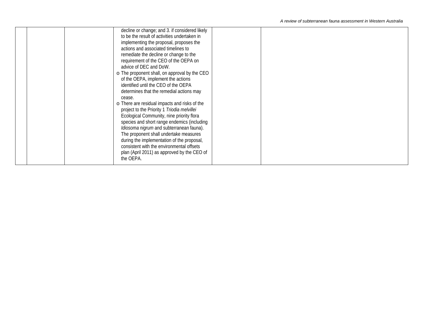```
A review of subterranean fauna assessment in Western Australia
```

|  | decline or change; and 3. if considered likely<br>to be the result of activities undertaken in<br>implementing the proposal, proposes the<br>actions and associated timelines to                                                                                                         |  |
|--|------------------------------------------------------------------------------------------------------------------------------------------------------------------------------------------------------------------------------------------------------------------------------------------|--|
|  | remediate the decline or change to the<br>requirement of the CEO of the OEPA on<br>advice of DEC and DoW.<br>o The proponent shall, on approval by the CEO                                                                                                                               |  |
|  | of the OEPA, implement the actions<br>identified until the CEO of the OEPA<br>determines that the remedial actions may                                                                                                                                                                   |  |
|  | cease.<br>o There are residual impacts and risks of the<br>project to the Priority 1 Triodia melvillei<br>Ecological Community, nine priority flora<br>species and short range endemics (including<br>Idiosoma nigrum and subterranean fauna).<br>The proponent shall undertake measures |  |
|  | during the implementation of the proposal,<br>consistent with the environmental offsets<br>plan (April 2011) as approved by the CEO of<br>the OEPA.                                                                                                                                      |  |